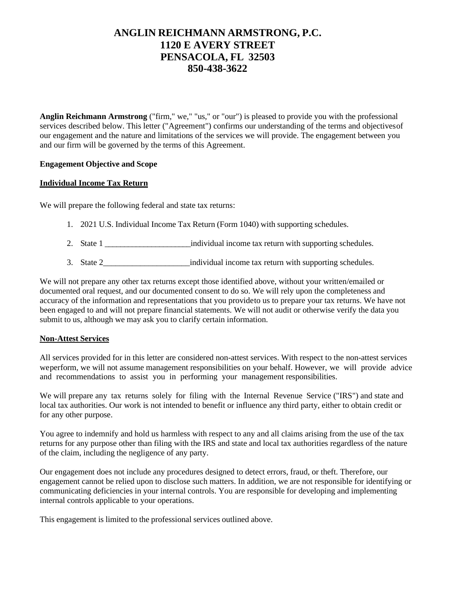## **ANGLIN REICHMANN ARMSTRONG, P.C. 1120 E AVERY STREET PENSACOLA, FL 32503 850-438-3622**

**Anglin Reichmann Armstrong** ("firm," we," "us," or "our") is pleased to provide you with the professional services described below. This letter ("Agreement") confirms our understanding of the terms and objectivesof our engagement and the nature and limitations of the services we will provide. The engagement between you and our firm will be governed by the terms of this Agreement.

#### **Engagement Objective and Scope**

#### **Individual Income Tax Return**

We will prepare the following federal and state tax returns:

- 1. 2021 U.S. Individual Income Tax Return (Form 1040) with supporting schedules.
- 2. State 1 contract 1 contract individual income tax return with supporting schedules.
- 3. State 2\_\_\_\_\_\_\_\_\_\_\_\_\_\_\_\_\_\_\_\_\_individual income tax return with supporting schedules.

We will not prepare any other tax returns except those identified above, without your written/emailed or documented oral request, and our documented consent to do so. We will rely upon the completeness and accuracy of the information and representations that you provideto us to prepare your tax returns. We have not been engaged to and will not prepare financial statements. We will not audit or otherwise verify the data you submit to us, although we may ask you to clarify certain information.

#### **Non-Attest Services**

All services provided for in this letter are considered non-attest services. With respect to the non-attest services weperform, we will not assume management responsibilities on your behalf. However, we will provide advice and recommendations to assist you in performing your management responsibilities.

We will prepare any tax returns solely for filing with the Internal Revenue Service ("IRS") and state and local tax authorities. Our work is not intended to benefit or influence any third party, either to obtain credit or for any other purpose.

You agree to indemnify and hold us harmless with respect to any and all claims arising from the use of the tax returns for any purpose other than filing with the IRS and state and local tax authorities regardless of the nature of the claim, including the negligence of any party.

Our engagement does not include any procedures designed to detect errors, fraud, or theft. Therefore, our engagement cannot be relied upon to disclose such matters. In addition, we are not responsible for identifying or communicating deficiencies in your internal controls. You are responsible for developing and implementing internal controls applicable to your operations.

This engagement is limited to the professional services outlined above.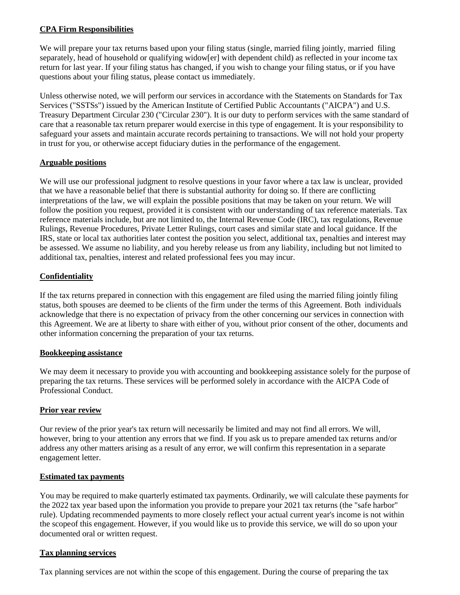#### **CPA Firm Responsibilities**

We will prepare your tax returns based upon your filing status (single, married filing jointly, married filing separately, head of household or qualifying widow[er] with dependent child) as reflected in your income tax return for last year. If your filing status has changed, if you wish to change your filing status, or if you have questions about your filing status, please contact us immediately.

Unless otherwise noted, we will perform our services in accordance with the Statements on Standards for Tax Services ("SSTSs") issued by the American Institute of Certified Public Accountants ("AICPA") and U.S. Treasury Department Circular 230 ("Circular 230"). It is our duty to perform services with the same standard of care that a reasonable tax return preparer would exercise in this type of engagement. It is your responsibility to safeguard your assets and maintain accurate records pertaining to transactions. We will not hold your property in trust for you, or otherwise accept fiduciary duties in the performance of the engagement.

#### **Arguable positions**

We will use our professional judgment to resolve questions in your favor where a tax law is unclear, provided that we have a reasonable belief that there is substantial authority for doing so. If there are conflicting interpretations of the law, we will explain the possible positions that may be taken on your return. We will follow the position you request, provided it is consistent with our understanding of tax reference materials. Tax reference materials include, but are not limited to, the Internal Revenue Code (IRC), tax regulations, Revenue Rulings, Revenue Procedures, Private Letter Rulings, court cases and similar state and local guidance. If the IRS, state or local tax authorities later contest the position you select, additional tax, penalties and interest may be assessed. We assume no liability, and you hereby release us from any liability, including but not limited to additional tax, penalties, interest and related professional fees you may incur.

#### **Confidentiality**

If the tax returns prepared in connection with this engagement are filed using the married filing jointly filing status, both spouses are deemed to be clients of the firm under the terms of this Agreement. Both individuals acknowledge that there is no expectation of privacy from the other concerning our services in connection with this Agreement. We are at liberty to share with either of you, without prior consent of the other, documents and other information concerning the preparation of your tax returns.

#### **Bookkeeping assistance**

We may deem it necessary to provide you with accounting and bookkeeping assistance solely for the purpose of preparing the tax returns. These services will be performed solely in accordance with the AICPA Code of Professional Conduct.

#### **Prior year review**

Our review of the prior year's tax return will necessarily be limited and may not find all errors. We will, however, bring to your attention any errors that we find. If you ask us to prepare amended tax returns and/or address any other matters arising as a result of any error, we will confirm this representation in a separate engagement letter.

#### **Estimated tax payments**

You may be required to make quarterly estimated tax payments. Ordinarily, we will calculate these payments for the 2022 tax year based upon the information you provide to prepare your 2021 tax returns (the "safe harbor" rule). Updating recommended payments to more closely reflect your actual current year's income is not within the scopeof this engagement. However, if you would like us to provide this service, we will do so upon your documented oral or written request.

#### **Tax planning services**

Tax planning services are not within the scope of this engagement. During the course of preparing the tax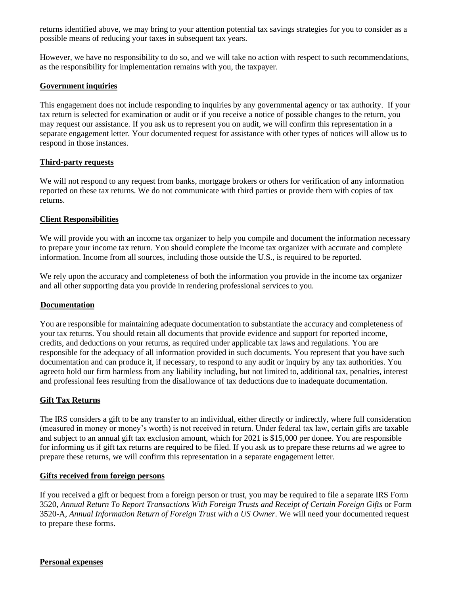returns identified above, we may bring to your attention potential tax savings strategies for you to consider as a possible means of reducing your taxes in subsequent tax years.

However, we have no responsibility to do so, and we will take no action with respect to such recommendations, as the responsibility for implementation remains with you, the taxpayer.

#### **Government inquiries**

This engagement does not include responding to inquiries by any governmental agency or tax authority. If your tax return is selected for examination or audit or if you receive a notice of possible changes to the return, you may request our assistance. If you ask us to represent you on audit, we will confirm this representation in a separate engagement letter. Your documented request for assistance with other types of notices will allow us to respond in those instances.

#### **Third-party requests**

We will not respond to any request from banks, mortgage brokers or others for verification of any information reported on these tax returns. We do not communicate with third parties or provide them with copies of tax returns.

#### **Client Responsibilities**

We will provide you with an income tax organizer to help you compile and document the information necessary to prepare your income tax return. You should complete the income tax organizer with accurate and complete information. Income from all sources, including those outside the U.S., is required to be reported.

We rely upon the accuracy and completeness of both the information you provide in the income tax organizer and all other supporting data you provide in rendering professional services to you.

#### **Documentation**

You are responsible for maintaining adequate documentation to substantiate the accuracy and completeness of your tax returns. You should retain all documents that provide evidence and support for reported income, credits, and deductions on your returns, as required under applicable tax laws and regulations. You are responsible for the adequacy of all information provided in such documents. You represent that you have such documentation and can produce it, if necessary, to respond to any audit or inquiry by any tax authorities. You agreeto hold our firm harmless from any liability including, but not limited to, additional tax, penalties, interest and professional fees resulting from the disallowance of tax deductions due to inadequate documentation.

#### **Gift Tax Returns**

The IRS considers a gift to be any transfer to an individual, either directly or indirectly, where full consideration (measured in money or money's worth) is not received in return. Under federal tax law, certain gifts are taxable and subject to an annual gift tax exclusion amount, which for 2021 is \$15,000 per donee. You are responsible for informing us if gift tax returns are required to be filed. If you ask us to prepare these returns ad we agree to prepare these returns, we will confirm this representation in a separate engagement letter.

#### **Gifts received from foreign persons**

If you received a gift or bequest from a foreign person or trust, you may be required to file a separate IRS Form 3520, *Annual Return To Report Transactions With Foreign Trusts and Receipt of Certain Foreign Gifts* or Form 3520-A, *Annual Information Return of Foreign Trust with a US Owner*. We will need your documented request to prepare these forms.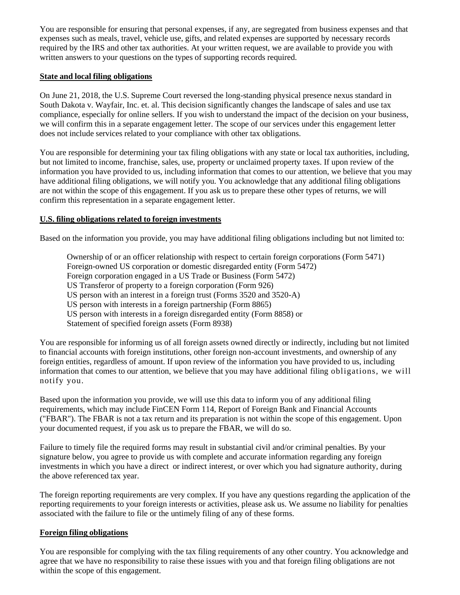You are responsible for ensuring that personal expenses, if any, are segregated from business expenses and that expenses such as meals, travel, vehicle use, gifts, and related expenses are supported by necessary records required by the IRS and other tax authorities. At your written request, we are available to provide you with written answers to your questions on the types of supporting records required.

#### **State and local filing obligations**

On June 21, 2018, the U.S. Supreme Court reversed the long-standing physical presence nexus standard in South Dakota v. Wayfair, Inc. et. al. This decision significantly changes the landscape of sales and use tax compliance, especially for online sellers. If you wish to understand the impact of the decision on your business, we will confirm this in a separate engagement letter. The scope of our services under this engagement letter does not include services related to your compliance with other tax obligations.

You are responsible for determining your tax filing obligations with any state or local tax authorities, including, but not limited to income, franchise, sales, use, property or unclaimed property taxes. If upon review of the information you have provided to us, including information that comes to our attention, we believe that you may have additional filing obligations, we will notify you. You acknowledge that any additional filing obligations are not within the scope of this engagement. If you ask us to prepare these other types of returns, we will confirm this representation in a separate engagement letter.

#### **U.S. filing obligations related to foreign investments**

Based on the information you provide, you may have additional filing obligations including but not limited to:

Ownership of or an officer relationship with respect to certain foreign corporations (Form 5471) Foreign-owned US corporation or domestic disregarded entity (Form 5472) Foreign corporation engaged in a US Trade or Business (Form 5472) US Transferor of property to a foreign corporation (Form 926) US person with an interest in a foreign trust (Forms 3520 and 3520-A) US person with interests in a foreign partnership (Form 8865) US person with interests in a foreign disregarded entity (Form 8858) or Statement of specified foreign assets (Form 8938)

You are responsible for informing us of all foreign assets owned directly or indirectly, including but not limited to financial accounts with foreign institutions, other foreign non-account investments, and ownership of any foreign entities, regardless of amount. If upon review of the information you have provided to us, including information that comes to our attention, we believe that you may have additional filing obligations, we will notify you.

Based upon the information you provide, we will use this data to inform you of any additional filing requirements, which may include FinCEN Form 114, Report of Foreign Bank and Financial Accounts ("FBAR"). The FBAR is not a tax return and its preparation is not within the scope of this engagement. Upon your documented request, if you ask us to prepare the FBAR, we will do so.

Failure to timely file the required forms may result in substantial civil and/or criminal penalties. By your signature below, you agree to provide us with complete and accurate information regarding any foreign investments in which you have a direct or indirect interest, or over which you had signature authority, during the above referenced tax year.

The foreign reporting requirements are very complex. If you have any questions regarding the application of the reporting requirements to your foreign interests or activities, please ask us. We assume no liability for penalties associated with the failure to file or the untimely filing of any of these forms.

#### **Foreign filing obligations**

You are responsible for complying with the tax filing requirements of any other country. You acknowledge and agree that we have no responsibility to raise these issues with you and that foreign filing obligations are not within the scope of this engagement.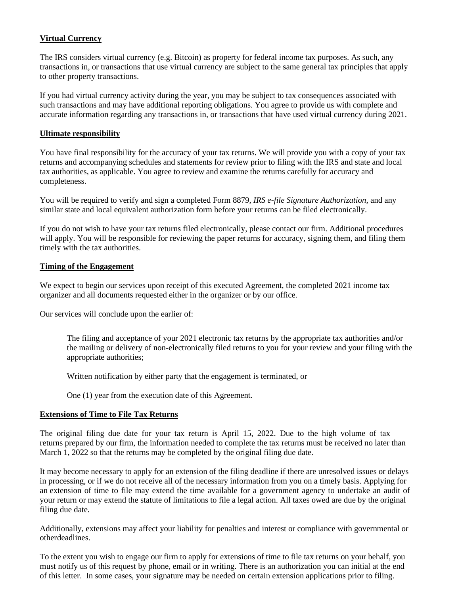#### **Virtual Currency**

The IRS considers virtual currency (e.g. Bitcoin) as property for federal income tax purposes. As such, any transactions in, or transactions that use virtual currency are subject to the same general tax principles that apply to other property transactions.

If you had virtual currency activity during the year, you may be subject to tax consequences associated with such transactions and may have additional reporting obligations. You agree to provide us with complete and accurate information regarding any transactions in, or transactions that have used virtual currency during 2021.

#### **Ultimate responsibility**

You have final responsibility for the accuracy of your tax returns. We will provide you with a copy of your tax returns and accompanying schedules and statements for review prior to filing with the IRS and state and local tax authorities, as applicable. You agree to review and examine the returns carefully for accuracy and completeness.

You will be required to verify and sign a completed Form 8879, *IRS e-file Signature Authorization*, and any similar state and local equivalent authorization form before your returns can be filed electronically.

If you do not wish to have your tax returns filed electronically, please contact our firm. Additional procedures will apply. You will be responsible for reviewing the paper returns for accuracy, signing them, and filing them timely with the tax authorities.

#### **Timing of the Engagement**

We expect to begin our services upon receipt of this executed Agreement, the completed 2021 income tax organizer and all documents requested either in the organizer or by our office.

Our services will conclude upon the earlier of:

The filing and acceptance of your 2021 electronic tax returns by the appropriate tax authorities and/or the mailing or delivery of non-electronically filed returns to you for your review and your filing with the appropriate authorities;

Written notification by either party that the engagement is terminated, or

One (1) year from the execution date of this Agreement.

#### **Extensions of Time to File Tax Returns**

The original filing due date for your tax return is April 15, 2022. Due to the high volume of tax returns prepared by our firm, the information needed to complete the tax returns must be received no later than March 1, 2022 so that the returns may be completed by the original filing due date.

It may become necessary to apply for an extension of the filing deadline if there are unresolved issues or delays in processing, or if we do not receive all of the necessary information from you on a timely basis. Applying for an extension of time to file may extend the time available for a government agency to undertake an audit of your return or may extend the statute of limitations to file a legal action. All taxes owed are due by the original filing due date.

Additionally, extensions may affect your liability for penalties and interest or compliance with governmental or otherdeadlines.

To the extent you wish to engage our firm to apply for extensions of time to file tax returns on your behalf, you must notify us of this request by phone, email or in writing. There is an authorization you can initial at the end of this letter. In some cases, your signature may be needed on certain extension applications prior to filing.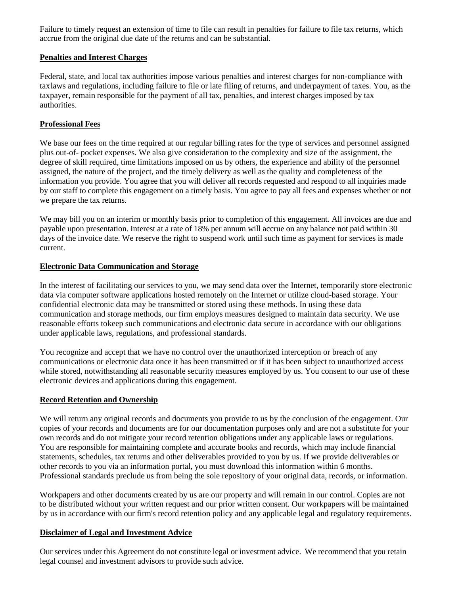Failure to timely request an extension of time to file can result in penalties for failure to file tax returns, which accrue from the original due date of the returns and can be substantial.

#### **Penalties and Interest Charges**

Federal, state, and local tax authorities impose various penalties and interest charges for non-compliance with taxlaws and regulations, including failure to file or late filing of returns, and underpayment of taxes. You, as the taxpayer, remain responsible for the payment of all tax, penalties, and interest charges imposed by tax authorities.

#### **Professional Fees**

We base our fees on the time required at our regular billing rates for the type of services and personnel assigned plus out-of- pocket expenses. We also give consideration to the complexity and size of the assignment, the degree of skill required, time limitations imposed on us by others, the experience and ability of the personnel assigned, the nature of the project, and the timely delivery as well as the quality and completeness of the information you provide. You agree that you will deliver all records requested and respond to all inquiries made by our staff to complete this engagement on a timely basis. You agree to pay all fees and expenses whether or not we prepare the tax returns.

We may bill you on an interim or monthly basis prior to completion of this engagement. All invoices are due and payable upon presentation. Interest at a rate of 18% per annum will accrue on any balance not paid within 30 days of the invoice date. We reserve the right to suspend work until such time as payment for services is made current.

#### **Electronic Data Communication and Storage**

In the interest of facilitating our services to you, we may send data over the Internet, temporarily store electronic data via computer software applications hosted remotely on the Internet or utilize cloud-based storage. Your confidential electronic data may be transmitted or stored using these methods. In using these data communication and storage methods, our firm employs measures designed to maintain data security. We use reasonable efforts tokeep such communications and electronic data secure in accordance with our obligations under applicable laws, regulations, and professional standards.

You recognize and accept that we have no control over the unauthorized interception or breach of any communications or electronic data once it has been transmitted or if it has been subject to unauthorized access while stored, notwithstanding all reasonable security measures employed by us. You consent to our use of these electronic devices and applications during this engagement.

#### **Record Retention and Ownership**

We will return any original records and documents you provide to us by the conclusion of the engagement. Our copies of your records and documents are for our documentation purposes only and are not a substitute for your own records and do not mitigate your record retention obligations under any applicable laws or regulations. You are responsible for maintaining complete and accurate books and records, which may include financial statements, schedules, tax returns and other deliverables provided to you by us. If we provide deliverables or other records to you via an information portal, you must download this information within 6 months. Professional standards preclude us from being the sole repository of your original data, records, or information.

Workpapers and other documents created by us are our property and will remain in our control. Copies are not to be distributed without your written request and our prior written consent. Our workpapers will be maintained by us in accordance with our firm's record retention policy and any applicable legal and regulatory requirements.

#### **Disclaimer of Legal and Investment Advice**

Our services under this Agreement do not constitute legal or investment advice. We recommend that you retain legal counsel and investment advisors to provide such advice.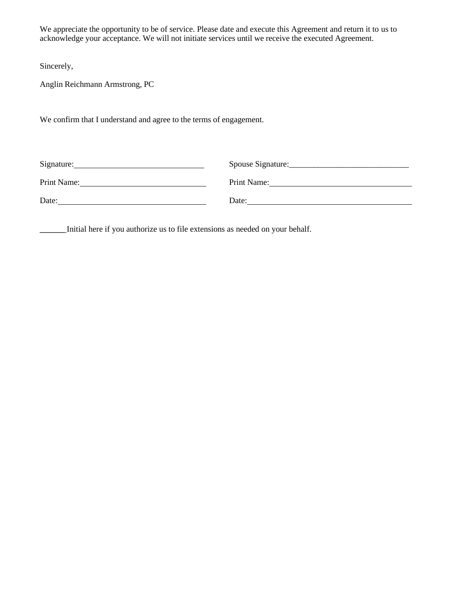We appreciate the opportunity to be of service. Please date and execute this Agreement and return it to us to acknowledge your acceptance. We will not initiate services until we receive the executed Agreement.

Sincerely,

Anglin Reichmann Armstrong, PC

We confirm that I understand and agree to the terms of engagement.

| Signature:  | Spouse Signature: |
|-------------|-------------------|
| Print Name: | Print Name:       |
| Date:       | Date:             |

\_\_\_\_\_\_ Initial here if you authorize us to file extensions as needed on your behalf.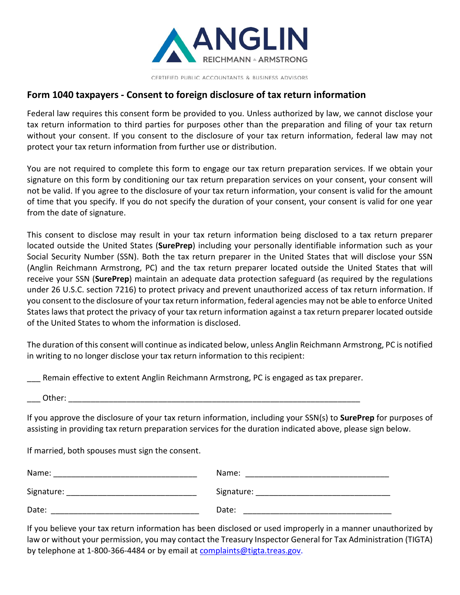

CERTIFIED PUBLIC ACCOUNTANTS & BUSINESS ADVISORS

## **Form 1040 taxpayers - Consent to foreign disclosure of tax return information**

Federal law requires this consent form be provided to you. Unless authorized by law, we cannot disclose your tax return information to third parties for purposes other than the preparation and filing of your tax return without your consent. If you consent to the disclosure of your tax return information, federal law may not protect your tax return information from further use or distribution.

You are not required to complete this form to engage our tax return preparation services. If we obtain your signature on this form by conditioning our tax return preparation services on your consent, your consent will not be valid. If you agree to the disclosure of your tax return information, your consent is valid for the amount of time that you specify. If you do not specify the duration of your consent, your consent is valid for one year from the date of signature.

This consent to disclose may result in your tax return information being disclosed to a tax return preparer located outside the United States (**SurePrep**) including your personally identifiable information such as your Social Security Number (SSN). Both the tax return preparer in the United States that will disclose your SSN (Anglin Reichmann Armstrong, PC) and the tax return preparer located outside the United States that will receive your SSN (**SurePrep**) maintain an adequate data protection safeguard (as required by the regulations under 26 U.S.C. section 7216) to protect privacy and prevent unauthorized access of tax return information. If you consent to the disclosure of your tax return information, federal agencies may not be able to enforce United States laws that protect the privacy of your tax return information against a tax return preparer located outside of the United States to whom the information is disclosed.

The duration of this consent will continue as indicated below, unless Anglin Reichmann Armstrong, PC is notified in writing to no longer disclose your tax return information to this recipient:

Remain effective to extent Anglin Reichmann Armstrong, PC is engaged as tax preparer.

Other:  $\Box$ 

If you approve the disclosure of your tax return information, including your SSN(s) to **SurePrep** for purposes of assisting in providing tax return preparation services for the duration indicated above, please sign below.

If married, both spouses must sign the consent.

| Name:      | Name:      |
|------------|------------|
| Signature: | Signature: |
| Date:      | Date:      |

If you believe your tax return information has been disclosed or used improperly in a manner unauthorized by law or without your permission, you may contact the Treasury Inspector General for Tax Administration (TIGTA) by telephone at 1-800-366-4484 or by email at complaints@tigta.treas.gov.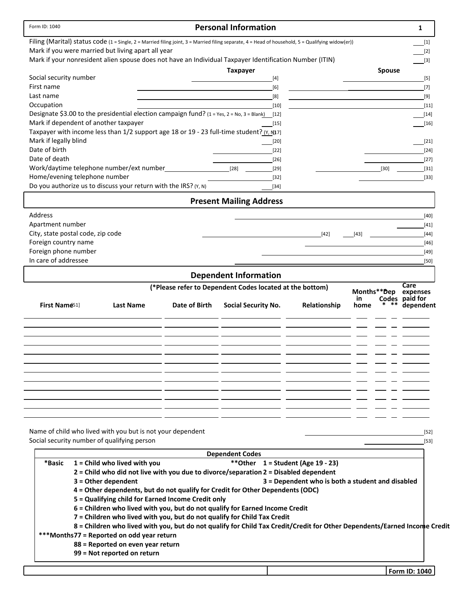| Form ID: 1040                                                                                                                                     |               | <b>Personal Information</b>                              |                                                  |               | 1                           |
|---------------------------------------------------------------------------------------------------------------------------------------------------|---------------|----------------------------------------------------------|--------------------------------------------------|---------------|-----------------------------|
| Filing (Marital) status code (1 = Single, 2 = Married filing joint, 3 = Married filing separate, 4 = Head of household, 5 = Qualifying widow(er)) |               |                                                          |                                                  |               | $[1]$                       |
| Mark if you were married but living apart all year                                                                                                |               |                                                          |                                                  |               | $[2]$                       |
| Mark if your nonresident alien spouse does not have an Individual Taxpayer Identification Number (ITIN)                                           |               |                                                          |                                                  |               | $[3]$                       |
| Social security number                                                                                                                            |               | <b>Taxpayer</b>                                          |                                                  | <b>Spouse</b> |                             |
| First name                                                                                                                                        |               | $[4]$<br>[6]                                             |                                                  |               | $[5]$<br>$[7]$              |
| Last name                                                                                                                                         |               | [8]                                                      |                                                  |               | $[9]$                       |
| Occupation                                                                                                                                        |               | $[10]$                                                   |                                                  |               | $[11]$                      |
| Designate \$3.00 to the presidential election campaign fund? $(1 = Yes, 2 = No, 3 = Blank)$ [12]                                                  |               |                                                          |                                                  |               | $[14]$                      |
| Mark if dependent of another taxpayer                                                                                                             |               | $[15]$                                                   |                                                  |               | $[16]$                      |
| Taxpayer with income less than 1/2 support age 18 or 19 - 23 full-time student? (Y, N17]                                                          |               |                                                          |                                                  |               |                             |
| Mark if legally blind                                                                                                                             |               | $[20]$                                                   |                                                  |               | $[21]$                      |
| Date of birth                                                                                                                                     |               | $[22]$                                                   |                                                  |               | $[24]$                      |
| Date of death                                                                                                                                     |               | $[26]$                                                   |                                                  |               | $[27]$                      |
| Work/daytime telephone number/ext number                                                                                                          |               | $[28]$<br>$[29]$                                         |                                                  | $[30]$        | $[31]$                      |
| Home/evening telephone number                                                                                                                     |               | $[32]$                                                   |                                                  |               | $[33]$                      |
| Do you authorize us to discuss your return with the IRS? (Y, N)                                                                                   |               | $[34]$                                                   |                                                  |               |                             |
|                                                                                                                                                   |               | <b>Present Mailing Address</b>                           |                                                  |               |                             |
| Address                                                                                                                                           |               |                                                          |                                                  |               | $[40]$                      |
| Apartment number<br>City, state postal code, zip code                                                                                             |               |                                                          | $[42]$                                           | [43]          | $[41]$<br>$[44]$            |
| Foreign country name                                                                                                                              |               |                                                          |                                                  |               | $[46]$                      |
| Foreign phone number                                                                                                                              |               |                                                          |                                                  |               | $[49]$                      |
| In care of addressee                                                                                                                              |               |                                                          |                                                  |               | [50]                        |
|                                                                                                                                                   |               | <b>Dependent Information</b>                             |                                                  |               |                             |
|                                                                                                                                                   |               |                                                          |                                                  |               | Care                        |
|                                                                                                                                                   |               | (*Please refer to Dependent Codes located at the bottom) |                                                  | Months**Dep   | expenses                    |
| First Name <sup>51</sup><br><b>Last Name</b>                                                                                                      | Date of Birth | <b>Social Security No.</b>                               | Relationship                                     | in<br>home    | Codes paid for<br>dependent |
|                                                                                                                                                   |               |                                                          |                                                  |               |                             |
|                                                                                                                                                   |               |                                                          |                                                  |               |                             |
|                                                                                                                                                   |               |                                                          |                                                  |               |                             |
|                                                                                                                                                   |               |                                                          |                                                  |               |                             |
|                                                                                                                                                   |               |                                                          |                                                  |               |                             |
|                                                                                                                                                   |               |                                                          |                                                  |               |                             |
|                                                                                                                                                   |               |                                                          |                                                  |               |                             |
|                                                                                                                                                   |               |                                                          |                                                  |               |                             |
|                                                                                                                                                   |               |                                                          |                                                  |               |                             |
|                                                                                                                                                   |               |                                                          |                                                  |               |                             |
|                                                                                                                                                   |               |                                                          |                                                  |               |                             |
|                                                                                                                                                   |               |                                                          |                                                  |               |                             |
| Name of child who lived with you but is not your dependent                                                                                        |               |                                                          |                                                  |               | $[52]$                      |
| Social security number of qualifying person                                                                                                       |               |                                                          |                                                  |               | $[53]$                      |
|                                                                                                                                                   |               | <b>Dependent Codes</b>                                   |                                                  |               |                             |
| *Basic<br>$1 =$ Child who lived with you                                                                                                          |               | ** Other $1 =$ Student (Age 19 - 23)                     |                                                  |               |                             |
| 2 = Child who did not live with you due to divorce/separation 2 = Disabled dependent                                                              |               |                                                          |                                                  |               |                             |
| $3 =$ Other dependent                                                                                                                             |               |                                                          | 3 = Dependent who is both a student and disabled |               |                             |
| 4 = Other dependents, but do not qualify for Credit for Other Dependents (ODC)                                                                    |               |                                                          |                                                  |               |                             |
| 5 = Qualifying child for Earned Income Credit only                                                                                                |               |                                                          |                                                  |               |                             |
| 6 = Children who lived with you, but do not qualify for Earned Income Credit                                                                      |               |                                                          |                                                  |               |                             |
| 7 = Children who lived with you, but do not qualify for Child Tax Credit                                                                          |               |                                                          |                                                  |               |                             |
| 8 = Children who lived with you, but do not qualify for Child Tax Credit/Credit for Other Dependents/Earned Income Credit                         |               |                                                          |                                                  |               |                             |
| ***Months77 = Reported on odd year return                                                                                                         |               |                                                          |                                                  |               |                             |
| 88 = Reported on even year return                                                                                                                 |               |                                                          |                                                  |               |                             |
| 99 = Not reported on return                                                                                                                       |               |                                                          |                                                  |               |                             |
|                                                                                                                                                   |               |                                                          |                                                  |               |                             |
|                                                                                                                                                   |               |                                                          |                                                  |               | Form ID: 1040               |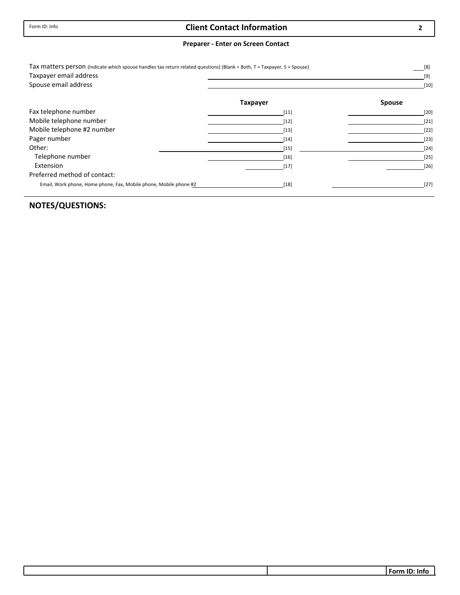### **Client Contact Information**

#### **Preparer ‐ Enter on Screen Contact**

| Tax matters person (Indicate which spouse handles tax return related questions) (Blank = Both, T = Taxpayer, S = Spouse)<br>Taxpayer email address |                 | [8]<br>[9]    |
|----------------------------------------------------------------------------------------------------------------------------------------------------|-----------------|---------------|
| Spouse email address                                                                                                                               |                 | $[10]$        |
|                                                                                                                                                    | <b>Taxpayer</b> | <b>Spouse</b> |
| Fax telephone number                                                                                                                               | $[11]$          | $[20]$        |
| Mobile telephone number                                                                                                                            | $[12]$          | $[21]$        |
| Mobile telephone #2 number                                                                                                                         | $[13]$          | $[22]$        |
| Pager number                                                                                                                                       | $[14]$          | $[23]$        |
| Other:                                                                                                                                             | $[15]$          | $[24]$        |
| Telephone number                                                                                                                                   | $[16]$          | $[25]$        |
| Extension                                                                                                                                          | $[17]$          | $[26]$        |
| Preferred method of contact:                                                                                                                       |                 |               |
| Email, Work phone, Home phone, Fax, Mobile phone, Mobile phone #2                                                                                  | $[18]$          | $[27]$        |

## **NOTES/QUESTIONS:**

**2**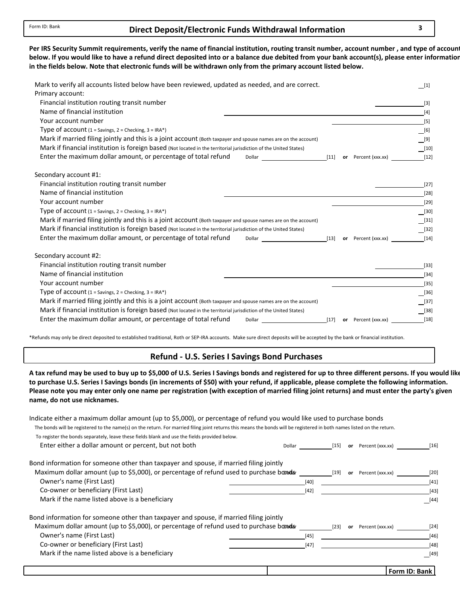#### **Direct Deposit/Electronic 3 Funds Withdrawal Information**

below. If you would like to have a refund direct deposited into or a balance due debited from your bank account(s), please enter informatior in the fields below. Note that electronic funds will be withdrawn only from the primary account listed below. Per IRS Security Summit requirements, verify the name of financial institution, routing transit number, account number, and type of accoun

| Mark to verify all accounts listed below have been reviewed, updated as needed, and are correct.<br>Primary account: |        |                     | $[1]$           |
|----------------------------------------------------------------------------------------------------------------------|--------|---------------------|-----------------|
| Financial institution routing transit number                                                                         |        |                     | $[3]$           |
| Name of financial institution                                                                                        |        |                     | $[4]$           |
| Your account number                                                                                                  |        |                     | $[5]$           |
| Type of account $(1 =$ Savings, $2 =$ Checking, $3 =$ IRA*)                                                          |        |                     | $[6]$           |
| Mark if married filing jointly and this is a joint account (Both taxpayer and spouse names are on the account)       |        |                     | $\frac{}{}$ [9] |
| Mark if financial institution is foreign based (Not located in the territorial jurisdiction of the United States)    |        |                     | $[10]$          |
| Enter the maximum dollar amount, or percentage of total refund<br>Dollar                                             | $[11]$ | or Percent (xxx.xx) | $[12]$          |
| Secondary account #1:                                                                                                |        |                     |                 |
| Financial institution routing transit number                                                                         |        |                     | $[27]$          |
| Name of financial institution                                                                                        |        |                     | $[28]$          |
| Your account number                                                                                                  |        |                     | $[29]$          |
| Type of account $(1 =$ Savings, $2 =$ Checking, $3 =$ IRA*)                                                          |        |                     | $[30]$          |
| Mark if married filing jointly and this is a joint account (Both taxpayer and spouse names are on the account)       |        |                     | $[31]$          |
| Mark if financial institution is foreign based (Not located in the territorial jurisdiction of the United States)    |        |                     | $[32]$          |
| Enter the maximum dollar amount, or percentage of total refund<br>Dollar                                             | $[13]$ | or Percent (xxx.xx) | $[14]$          |
| Secondary account #2:                                                                                                |        |                     |                 |
| Financial institution routing transit number                                                                         |        |                     | $[33]$          |
| Name of financial institution                                                                                        |        |                     | $[34]$          |
| Your account number                                                                                                  |        |                     | $[35]$          |
| Type of $account (1 = Savings, 2 = Checking, 3 = IRA*)$                                                              |        |                     | $[36]$          |
| Mark if married filing jointly and this is a joint account (Both taxpayer and spouse names are on the account)       |        |                     | [37]            |
| Mark if financial institution is foreign based (Not located in the territorial jurisdiction of the United States)    |        |                     | [38]            |
| Enter the maximum dollar amount, or percentage of total refund<br>Dollar                                             | $[17]$ | or Percent (xxx.xx) | $[18]$          |

\*Refunds may only be direct deposited to established traditional, Roth or SEP‐IRA accounts. Make sure direct deposits will be accepted by the bank or financial institution.

#### **Refund ‐ U.S. Series I Savings Bond Purchases**

A tax refund may be used to buy up to \$5,000 of U.S. Series I Savings bonds and registered for up to three different persons. If you would lik to purchase U.S. Series I Savings bonds (in increments of \$50) with your refund, if applicable, please complete the following information. **name, do not use nicknames.** Please note you may enter only one name per registration (with exception of married filing joint returns) and must enter the party's given

| Indicate either a maximum dollar amount (up to \$5,000), or percentage of refund you would like used to purchase bonds                                                  |        |        |    |                  |               |
|-------------------------------------------------------------------------------------------------------------------------------------------------------------------------|--------|--------|----|------------------|---------------|
| The bonds will be registered to the name(s) on the return. For married filing joint returns this means the bonds will be registered in both names listed on the return. |        |        |    |                  |               |
| To register the bonds separately, leave these fields blank and use the fields provided below.                                                                           |        |        |    |                  |               |
| Enter either a dollar amount or percent, but not both                                                                                                                   | Dollar | $[15]$ | or | Percent (xxx.xx) | $[16]$        |
| Bond information for someone other than taxpayer and spouse, if married filing jointly                                                                                  |        |        |    |                  |               |
| Maximum dollar amount (up to \$5,000), or percentage of refund used to purchase bondar                                                                                  |        | $[19]$ | or | Percent (xxx.xx) | [20]          |
| Owner's name (First Last)                                                                                                                                               |        | $[40]$ |    |                  | $[41]$        |
| Co-owner or beneficiary (First Last)                                                                                                                                    |        | $[42]$ |    |                  | $[43]$        |
| Mark if the name listed above is a beneficiary                                                                                                                          |        |        |    |                  | [44]          |
| Bond information for someone other than taxpayer and spouse, if married filing jointly                                                                                  |        |        |    |                  |               |
| Maximum dollar amount (up to \$5,000), or percentage of refund used to purchase bandar                                                                                  |        | $[23]$ | or | Percent (xxx.xx) | $[24]$        |
| Owner's name (First Last)                                                                                                                                               |        | [45]   |    |                  | $[46]$        |
| Co-owner or beneficiary (First Last)                                                                                                                                    |        | [47]   |    |                  | $[48]$        |
| Mark if the name listed above is a beneficiary                                                                                                                          |        |        |    |                  | $[49]$        |
|                                                                                                                                                                         |        |        |    |                  | Form ID: Bank |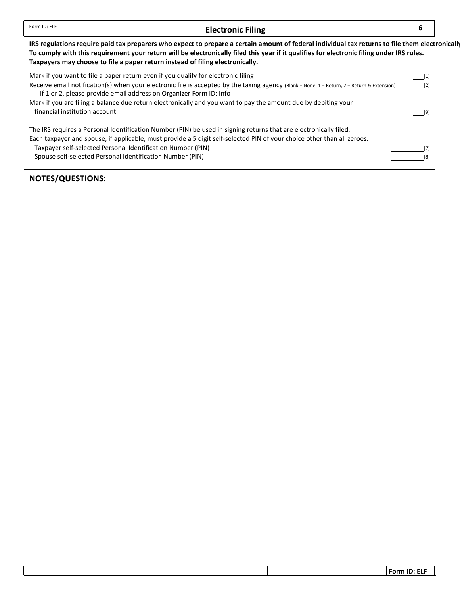#### **Electronic Filing**

**6**

IRS regulations require paid tax preparers who expect to prepare a certain amount of federal individual tax returns to file them electronically To comply with this requirement your return will be electronically filed this year if it qualifies for electronic filing under IRS rules. **Taxpayers may choose to file a paper return instead of filing electronically.**

| Mark if you want to file a paper return even if you qualify for electronic filing                                                                                                                                 | $\begin{bmatrix} 1 \end{bmatrix}$ |
|-------------------------------------------------------------------------------------------------------------------------------------------------------------------------------------------------------------------|-----------------------------------|
| Receive email notification(s) when your electronic file is accepted by the taxing agency (Blank = None, 1 = Return, 2 = Return & Extension)<br>If 1 or 2, please provide email address on Organizer Form ID: Info | [2]                               |
| Mark if you are filing a balance due return electronically and you want to pay the amount due by debiting your                                                                                                    |                                   |
| financial institution account                                                                                                                                                                                     |                                   |
| The IRS requires a Personal Identification Number (PIN) be used in signing returns that are electronically filed.                                                                                                 |                                   |
| Each taxpayer and spouse, if applicable, must provide a 5 digit self-selected PIN of your choice other than all zeroes.                                                                                           |                                   |
| Taxpayer self-selected Personal Identification Number (PIN)                                                                                                                                                       |                                   |
| Spouse self-selected Personal Identification Number (PIN)                                                                                                                                                         |                                   |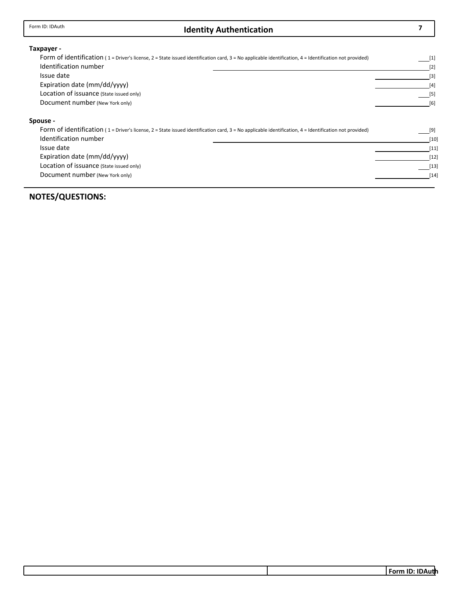## **Identity Authentication 7** Form ID: IDAuth

#### **Taxpayer ‐**

| Form of identification (1 = Driver's license, 2 = State issued identification card, 3 = No applicable identification, 4 = Identification not provided) | $[1]$ |
|--------------------------------------------------------------------------------------------------------------------------------------------------------|-------|
| Identification number                                                                                                                                  | $[2]$ |
| Issue date                                                                                                                                             | $[3]$ |
| Expiration date (mm/dd/vyyy)                                                                                                                           | [4]   |
| Location of issuance (State issued only)                                                                                                               | $[5]$ |
| Document number (New York only)                                                                                                                        | [6]   |
| Spouse -                                                                                                                                               |       |
| Form of identification (1 = Driver's license, 2 = State issued identification card, 3 = No applicable identification, 4 = Identification not provided) | [9]   |

| Identification number                    | $[10]$ |
|------------------------------------------|--------|
| Issue date                               | $[11]$ |
| Expiration date (mm/dd/yyyy)             | $[12]$ |
| Location of issuance (State issued only) | $[13]$ |
| Document number (New York only)          | $[14]$ |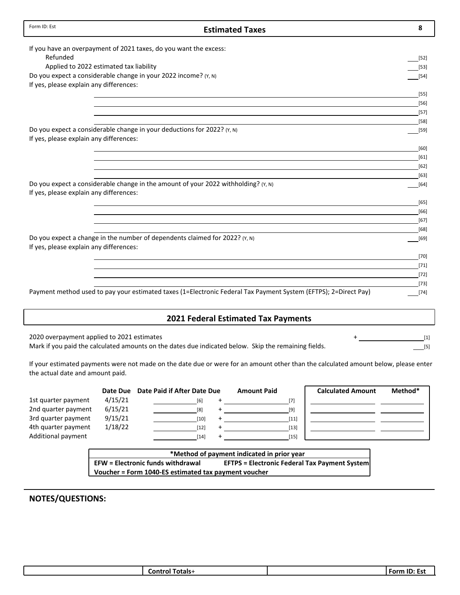| Form ID: Est                                                                       | <b>Estimated Taxes</b>                                                                                          | 8                |
|------------------------------------------------------------------------------------|-----------------------------------------------------------------------------------------------------------------|------------------|
| If you have an overpayment of 2021 taxes, do you want the excess:                  |                                                                                                                 |                  |
| Refunded                                                                           |                                                                                                                 | $[52]$           |
| Applied to 2022 estimated tax liability                                            |                                                                                                                 | $[53]$           |
| Do you expect a considerable change in your 2022 income? (Y, N)                    |                                                                                                                 | $[54]$           |
| If yes, please explain any differences:                                            |                                                                                                                 |                  |
|                                                                                    |                                                                                                                 | $[55]$           |
|                                                                                    |                                                                                                                 | $[56]$           |
|                                                                                    |                                                                                                                 | $[57]$           |
|                                                                                    |                                                                                                                 | $[58]$           |
| Do you expect a considerable change in your deductions for 2022? (Y, N)            |                                                                                                                 | $[59]$           |
| If yes, please explain any differences:                                            |                                                                                                                 |                  |
|                                                                                    |                                                                                                                 | $[60]$           |
|                                                                                    |                                                                                                                 | $[61]$           |
|                                                                                    |                                                                                                                 | $[62]$           |
| Do you expect a considerable change in the amount of your 2022 withholding? (Y, N) |                                                                                                                 | $[63]$<br>$[64]$ |
| If yes, please explain any differences:                                            |                                                                                                                 |                  |
|                                                                                    |                                                                                                                 | $[65]$           |
|                                                                                    |                                                                                                                 | $[66]$           |
|                                                                                    |                                                                                                                 | $[67]$           |
|                                                                                    |                                                                                                                 | $[68]$           |
| Do you expect a change in the number of dependents claimed for 2022? (Y, N)        |                                                                                                                 | $[69]$           |
| If yes, please explain any differences:                                            |                                                                                                                 |                  |
|                                                                                    |                                                                                                                 | $[70]$           |
|                                                                                    |                                                                                                                 | $[71]$           |
|                                                                                    |                                                                                                                 | $[72]$           |
|                                                                                    |                                                                                                                 | $[73]$           |
|                                                                                    | Payment method used to pay your estimated taxes (1=Electronic Federal Tax Payment System (EFTPS); 2=Direct Pay) | $[74]$           |
|                                                                                    |                                                                                                                 |                  |
|                                                                                    | <b>2021 Federal Estimated Tax Payments</b>                                                                      |                  |
|                                                                                    |                                                                                                                 |                  |

2020 overpayment applied to 2021 estimates Mark if you paid the calculated amounts on the dates due indicated below. Skip the remaining fields.

[1]  $[5]$ 

If your estimated payments were not made on the date due or were for an amount other than the calculated amount below, please enter the actual date and amount paid.

|                     | Date Due | <b>Date Paid if After Date Due</b> | <b>Amount Paid</b> | <b>Calculated Amount</b> | Method* |
|---------------------|----------|------------------------------------|--------------------|--------------------------|---------|
| 1st quarter payment | 4/15/21  | 161                                | [7]                |                          |         |
| 2nd quarter payment | 6/15/21  | [8]                                | [9]                |                          |         |
| 3rd quarter payment | 9/15/21  | [10]                               | $[11]$             |                          |         |
| 4th quarter payment | 1/18/22  | [12]                               | $[13]$             |                          |         |
| Additional payment  |          | [14]                               | [15]               |                          |         |
|                     |          |                                    |                    |                          |         |

**\*Method of payment indicated in prior year EFW = Electronic funds withdrawal EFTPS = Electronic Federal Tax Payment System Voucher = Form 1040‐ES estimated tax payment voucher**

| .<br>אונ<br>or<br>-<br>--- |
|----------------------------|
|----------------------------|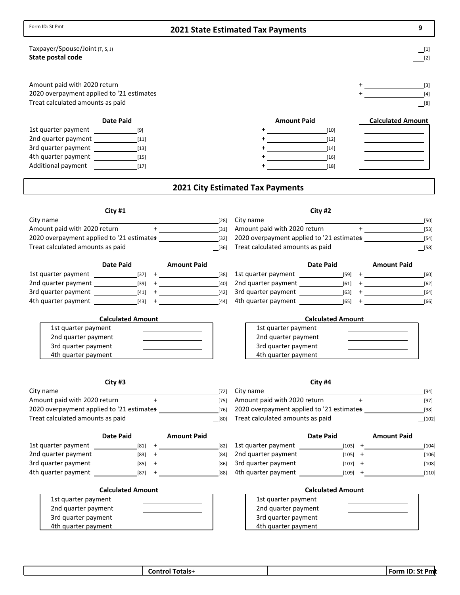| Form ID: St Pmt                                                                                               | <b>2021 State Estimated Tax Payments</b>                |                                                              |                                                            |
|---------------------------------------------------------------------------------------------------------------|---------------------------------------------------------|--------------------------------------------------------------|------------------------------------------------------------|
| Taxpayer/Spouse/Joint (T, S, J)<br>State postal code                                                          |                                                         |                                                              | [1]<br>$[2]$                                               |
| Amount paid with 2020 return<br>2020 overpayment applied to '21 estimates<br>Treat calculated amounts as paid |                                                         |                                                              | $+$ <u>the contract of the contract of</u><br>$[4]$<br>[8] |
| <b>Date Paid</b>                                                                                              |                                                         | <b>Amount Paid</b>                                           | <b>Calculated Amount</b>                                   |
|                                                                                                               |                                                         | $[10]$                                                       |                                                            |
| 2nd quarter payment [11]                                                                                      |                                                         | $[12]$                                                       |                                                            |
| 3rd quarter payment [13]                                                                                      |                                                         | $[14]$                                                       | the control of the control of the control of               |
| 4th quarter payment [15]                                                                                      |                                                         | $\overline{\phantom{a}16}$ [16]                              | <u> 1989 - Johann Barbara, martin a</u>                    |
| Additional payment<br>$\begin{array}{c}\n \begin{array}{c}\n \overline{17}\n \end{array}\n \end{array}$       |                                                         | $[18]$                                                       |                                                            |
|                                                                                                               |                                                         | <b>2021 City Estimated Tax Payments</b>                      |                                                            |
| City #1                                                                                                       |                                                         | City #2                                                      |                                                            |
| City name                                                                                                     | [28]                                                    | City name                                                    | [50]                                                       |
| Amount paid with 2020 return $+$ $-$ [31]                                                                     |                                                         |                                                              |                                                            |
|                                                                                                               |                                                         | 2020 overpayment applied to '21 estimates many research [54] |                                                            |
| Treat calculated amounts as paid                                                                              | [36]                                                    | Treat calculated amounts as paid                             | $[58]$                                                     |
| Date Paid                                                                                                     | <b>Amount Paid</b>                                      | Date Paid                                                    | <b>Amount Paid</b>                                         |
|                                                                                                               | [38]                                                    |                                                              | [60]                                                       |
|                                                                                                               | $[40]$                                                  |                                                              | $[62]$                                                     |
|                                                                                                               | $[42]$                                                  |                                                              | $[64]$                                                     |
| 4th quarter payment [43] +                                                                                    | $[44]$                                                  |                                                              | $[66]$                                                     |
| <b>Calculated Amount</b>                                                                                      |                                                         | <b>Calculated Amount</b>                                     |                                                            |
| 1st quarter payment                                                                                           |                                                         | 1st quarter payment                                          | <u> 1989 - Johann Barbara, martin a</u>                    |
| 2nd quarter payment                                                                                           | the control of the control of the control of            | 2nd quarter payment                                          | <u> 1989 - Johann Barbara, martin a</u>                    |
| 3rd quarter payment                                                                                           | the contract of the contract of the contract of         | 3rd quarter payment                                          |                                                            |
| 4th quarter payment                                                                                           |                                                         | 4th quarter payment                                          |                                                            |
| City #3                                                                                                       |                                                         | City #4                                                      |                                                            |
| City name                                                                                                     | $[72]$                                                  | City name                                                    | $[94]$                                                     |
| Amount paid with 2020 return                                                                                  | $\pm$ - $\pm$ - $\pm$ - $\pm$ - $\pm$ - $\pm$<br>$[75]$ | Amount paid with 2020 return                                 | $+$ $  -$<br>$[97]$                                        |
| 2020 overpayment applied to '21 estimates                                                                     | $[76]$                                                  | 2020 overpayment applied to '21 estimates                    | $[98]$                                                     |
| Treat calculated amounts as paid                                                                              | [80]                                                    | Treat calculated amounts as paid                             | $[102]$                                                    |
| Date Paid                                                                                                     | <b>Amount Paid</b>                                      | Date Paid                                                    | <b>Amount Paid</b>                                         |
|                                                                                                               | $[82]$                                                  | 1st quarter payment                                          | $[103]$ +<br>$[104]$                                       |
|                                                                                                               | $[84]$                                                  |                                                              | [106]                                                      |
|                                                                                                               | $[86]$                                                  |                                                              | $[108]$                                                    |
| 4th quarter payment<br>$[87]$ +                                                                               | $[88]$                                                  | 4th quarter payment                                          | $[110]$<br>$[109]$ +                                       |
| <b>Calculated Amount</b>                                                                                      |                                                         | <b>Calculated Amount</b>                                     |                                                            |
| 1st quarter payment                                                                                           |                                                         | 1st quarter payment                                          |                                                            |
| 2nd quarter payment                                                                                           |                                                         | 2nd quarter payment                                          |                                                            |
| 3rd quarter payment                                                                                           |                                                         | 3rd quarter payment                                          |                                                            |
| 4th quarter payment                                                                                           |                                                         | 4th quarter payment                                          |                                                            |

Form ID: St Pmt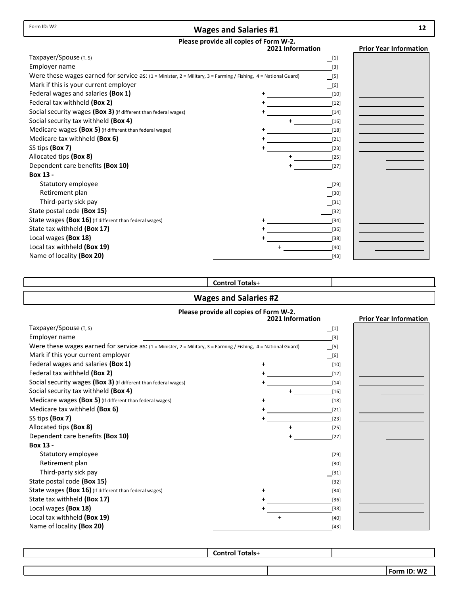#### **Wages and Salaries #1**

# **Please provide all copies of Form W‐2.**

|                                                                                                                         | rease provide an eopies of it<br>2021 Information | <b>Prior Year Information</b> |
|-------------------------------------------------------------------------------------------------------------------------|---------------------------------------------------|-------------------------------|
| Taxpayer/Spouse (T, S)                                                                                                  |                                                   | $[1]$                         |
| Employer name                                                                                                           |                                                   | $[3]$                         |
| Were these wages earned for service as: $(1 =$ Minister, $2 =$ Military, $3 =$ Farming / Fishing, $4 =$ National Guard) |                                                   | [5]                           |
| Mark if this is your current employer                                                                                   |                                                   | [6]                           |
| Federal wages and salaries (Box 1)                                                                                      |                                                   | [10]                          |
| Federal tax withheld (Box 2)                                                                                            |                                                   | $[12]$                        |
| Social security wages (Box 3) (If different than federal wages)                                                         |                                                   | $[14]$                        |
| Social security tax withheld (Box 4)                                                                                    |                                                   | $[16]$                        |
| Medicare wages (Box 5) (If different than federal wages)                                                                |                                                   | $[18]$                        |
| Medicare tax withheld (Box 6)                                                                                           |                                                   | $[21]$                        |
| SS tips (Box 7)                                                                                                         |                                                   | $[23]$                        |
| Allocated tips (Box 8)                                                                                                  |                                                   | $[25]$                        |
| Dependent care benefits (Box 10)                                                                                        |                                                   | $[27]$                        |
| Box 13 -                                                                                                                |                                                   |                               |
| Statutory employee                                                                                                      |                                                   | [29]                          |
| Retirement plan                                                                                                         |                                                   | $[30]$                        |
| Third-party sick pay                                                                                                    |                                                   | $[31]$                        |
| State postal code (Box 15)                                                                                              |                                                   | $[32]$                        |
| State wages (Box 16) (If different than federal wages)                                                                  |                                                   | $[34]$                        |
| State tax withheld (Box 17)                                                                                             |                                                   | $[36]$                        |
| Local wages (Box 18)                                                                                                    |                                                   | $[38]$                        |
| Local tax withheld (Box 19)                                                                                             | $\div$                                            | [40]                          |
| Name of locality (Box 20)                                                                                               |                                                   | $[43]$                        |

#### **Control Totals**+

#### **Wages and Salaries #2**

#### **Please provide all copies of Form W‐2. 2021 Information Prior Year Information** Taxpayer/Spouse (T, S) Employer name Were these wages earned for service as: (1 = Minister, 2 = Military, 3 = Farming / Fishing, 4 = National Guard) Mark if this your current employer Federal wages and salaries **(Box 1)** + Federal tax withheld (Box 2) Social security wages **(Box 3)** (If different than federal wages) + Social security tax withheld **(Box 4)** + Medicare wages **(Box 5)** (If different than federal wages) + Medicare tax withheld **(Box 6)** + SS tips **(Box 7)** + Allocated tips **(Box 8)** + Dependent care benefits **(Box 10)** + **Box 13 ‐** Statutory employee Retirement plan Third‐party sick pay State postal code **(Box 15)** State wages **(Box 16)** (If different than federal wages) + State tax withheld **(Box 17)** + Local wages (Box 18) Local tax withheld **(Box 19)** Name of locality **(Box 20)** [29] [40] [38] [36] [23] [34] [32] [21] [27] [18] [25] [16] [43] [14]  $[31]$ [12] [30] [10]  $\Box$ [6]  $\Box$ [5]  $[3]$  $\Box$ [1] +

**Control Totals**+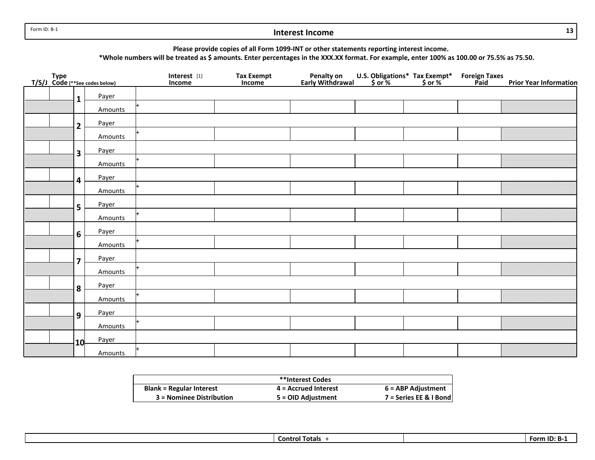Form ID: B‐1

#### **Interest Income**

**Please provide copies of all Form 1099‐INT or other statements reporting interest income.**

\*Whole numbers will be treated as \$ amounts. Enter percentages in the XXX.XX format. For example, enter 100% as 100.00 or 75.5% as 75.50.

| Type<br>T/S/J_Code (**See codes below) |                         |         | Interest [1]<br>Income | <b>Tax Exempt</b><br>Income | Penalty on<br>Early Withdrawal | U.S. Obligations* Tax Exempt*<br>\$ or % \$ or % | <b>Foreign Taxes</b><br><b>Paid</b> | <b>Prior Year Information</b> |
|----------------------------------------|-------------------------|---------|------------------------|-----------------------------|--------------------------------|--------------------------------------------------|-------------------------------------|-------------------------------|
|                                        | $\mathbf{1}$            | Payer   |                        |                             |                                |                                                  |                                     |                               |
|                                        |                         | Amounts |                        |                             |                                |                                                  |                                     |                               |
|                                        | $\overline{2}$          | Payer   |                        |                             |                                |                                                  |                                     |                               |
|                                        |                         | Amounts |                        |                             |                                |                                                  |                                     |                               |
|                                        | $\overline{\mathbf{3}}$ | Payer   |                        |                             |                                |                                                  |                                     |                               |
|                                        |                         | Amounts |                        |                             |                                |                                                  |                                     |                               |
|                                        | $\overline{\mathbf{4}}$ | Payer   |                        |                             |                                |                                                  |                                     |                               |
|                                        |                         | Amounts |                        |                             |                                |                                                  |                                     |                               |
|                                        | 5                       | Payer   |                        |                             |                                |                                                  |                                     |                               |
|                                        |                         | Amounts |                        |                             |                                |                                                  |                                     |                               |
|                                        | 6                       | Payer   |                        |                             |                                |                                                  |                                     |                               |
|                                        |                         | Amounts |                        |                             |                                |                                                  |                                     |                               |
|                                        | $\overline{\mathbf{z}}$ | Payer   |                        |                             |                                |                                                  |                                     |                               |
|                                        |                         | Amounts |                        |                             |                                |                                                  |                                     |                               |
|                                        | 8                       | Payer   |                        |                             |                                |                                                  |                                     |                               |
|                                        |                         | Amounts |                        |                             |                                |                                                  |                                     |                               |
|                                        | 9                       | Payer   |                        |                             |                                |                                                  |                                     |                               |
|                                        |                         | Amounts |                        |                             |                                |                                                  |                                     |                               |
|                                        | 10                      | Payer   |                        |                             |                                |                                                  |                                     |                               |
|                                        |                         | Amounts |                        |                             |                                |                                                  |                                     |                               |

|                                 | **Interest Codes       |                        |
|---------------------------------|------------------------|------------------------|
| <b>Blank = Regular Interest</b> | $4$ = Accrued Interest | 6 = ABP Adjustment     |
| 3 = Nominee Distribution        | 5 = OID Adjustment     | 7 = Series EE & I Bond |

**Control Totals** + **FormForm ID: B-1** 

**13**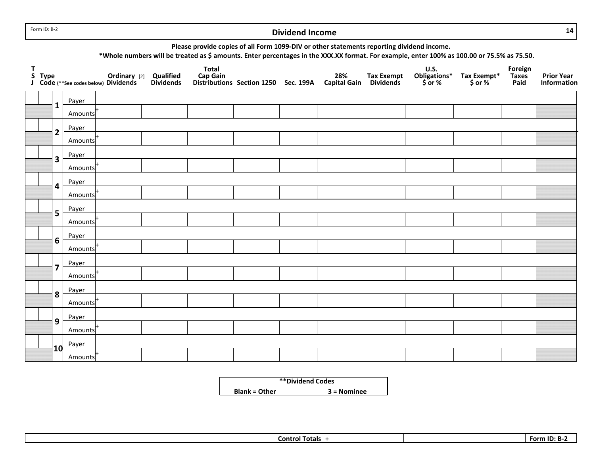Form ID: B‐2

#### **Dividend Income**

**14**

|    |                         |                                      |              |                               | Please provide copies of all Form 1099-DIV or other statements reporting dividend income. |                                      |                            |                                       | *Whole numbers will be treated as \$ amounts. Enter percentages in the XXX.XX format. For example, enter 100% as 100.00 or 75.5% as 75.50. |                        |                                 |                                  |
|----|-------------------------|--------------------------------------|--------------|-------------------------------|-------------------------------------------------------------------------------------------|--------------------------------------|----------------------------|---------------------------------------|--------------------------------------------------------------------------------------------------------------------------------------------|------------------------|---------------------------------|----------------------------------|
| T. | S Type                  | J Code (**See codes below) Dividends | Ordinary [2] | Qualified<br><b>Dividends</b> | <b>Total</b><br>Cap Gain                                                                  | Distributions Section 1250 Sec. 199A | 28%<br><b>Capital Gain</b> | <b>Tax Exempt</b><br><b>Dividends</b> | <b>U.S.</b><br>Obligations*<br>\$or %                                                                                                      | Tax Exempt*<br>\$ or % | Foreign<br><b>Taxes</b><br>Paid | <b>Prior Year</b><br>Information |
|    | $\mathbf{1}$            | Payer                                |              |                               |                                                                                           |                                      |                            |                                       |                                                                                                                                            |                        |                                 |                                  |
|    |                         | Amounts                              |              |                               |                                                                                           |                                      |                            |                                       |                                                                                                                                            |                        |                                 |                                  |
|    | $\overline{\mathbf{c}}$ | Payer<br>Amounts                     |              |                               |                                                                                           |                                      |                            |                                       |                                                                                                                                            |                        |                                 |                                  |
|    |                         | Payer                                |              |                               |                                                                                           |                                      |                            |                                       |                                                                                                                                            |                        |                                 |                                  |
|    | 3                       | Amounts                              |              |                               |                                                                                           |                                      |                            |                                       |                                                                                                                                            |                        |                                 |                                  |
|    | 4                       | Payer<br>Amounts                     |              |                               |                                                                                           |                                      |                            |                                       |                                                                                                                                            |                        |                                 |                                  |
|    |                         | Payer                                |              |                               |                                                                                           |                                      |                            |                                       |                                                                                                                                            |                        |                                 |                                  |
|    | 5                       | Amounts                              |              |                               |                                                                                           |                                      |                            |                                       |                                                                                                                                            |                        |                                 |                                  |
|    | 6                       | Payer<br>Amounts                     |              |                               |                                                                                           |                                      |                            |                                       |                                                                                                                                            |                        |                                 |                                  |
|    |                         | Payer                                |              |                               |                                                                                           |                                      |                            |                                       |                                                                                                                                            |                        |                                 |                                  |
|    | $\overline{7}$          | Amounts                              |              |                               |                                                                                           |                                      |                            |                                       |                                                                                                                                            |                        |                                 |                                  |
|    | 8                       | Payer                                |              |                               |                                                                                           |                                      |                            |                                       |                                                                                                                                            |                        |                                 |                                  |
|    |                         | Amounts                              |              |                               |                                                                                           |                                      |                            |                                       |                                                                                                                                            |                        |                                 |                                  |
|    | 9                       | Payer                                |              |                               |                                                                                           |                                      |                            |                                       |                                                                                                                                            |                        |                                 |                                  |
|    |                         | Amounts                              |              |                               |                                                                                           |                                      |                            |                                       |                                                                                                                                            |                        |                                 |                                  |
|    | 10                      | Payer                                |              |                               |                                                                                           |                                      |                            |                                       |                                                                                                                                            |                        |                                 |                                  |
|    |                         | Amounts                              |              |                               |                                                                                           |                                      |                            |                                       |                                                                                                                                            |                        |                                 |                                  |

|                      | <i><b>**Dividend Codes</b></i> |
|----------------------|--------------------------------|
| <b>Blank = Other</b> | $3 =$ Nominee                  |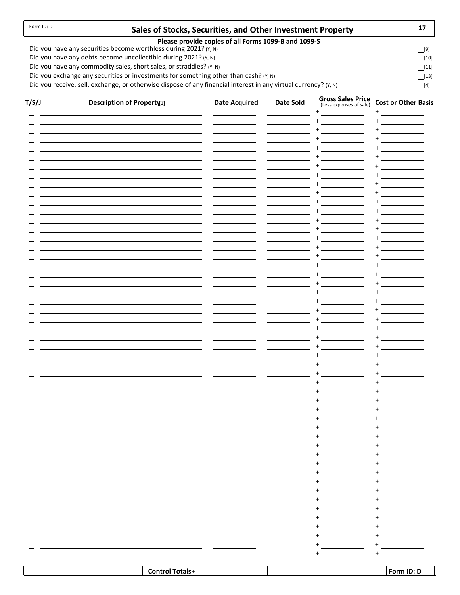#### **Sales of Stocks, Securities, and Other Investment Property 17**

 $[13]$ [11]

[9]  $[10]$ 

#### **Please provide copies of all Forms 1099‐B and 1099‐S**

Did you have any securities become worthless during 2021?  $(Y, N)$ 

Did you have any debts become uncollectible during 2021? (Y, N) Did you have any commodity sales, short sales, or straddles? (Y, N)

Did you exchange any securities or investments for something other than cash? (Y, N)

Did you receive, sell, exchange, or otherwise dispose of any financial interest in any virtual currency?  $(Y, N)$  [4]

| T/S/J | <b>Description of Property11</b> | <b>Date Acquired</b> | Date Sold | <b>Gross Sales Price</b><br>(Less expenses of sale) | <b>Cost or Other Basis</b>                                                                                                                                                                                                                                     |
|-------|----------------------------------|----------------------|-----------|-----------------------------------------------------|----------------------------------------------------------------------------------------------------------------------------------------------------------------------------------------------------------------------------------------------------------------|
|       |                                  |                      |           | $\bf +$<br>$\ddot{}$                                | $\ddot{}$<br>$\ddot{}$                                                                                                                                                                                                                                         |
|       |                                  |                      |           | $\ddot{}$                                           | $\ddot{}$                                                                                                                                                                                                                                                      |
|       |                                  |                      |           | $\ddot{}$<br>$\ddot{}$                              | $\ddot{}$<br>$\ddot{}$                                                                                                                                                                                                                                         |
|       |                                  |                      |           | $\ddot{}$                                           | $\ddot{}$                                                                                                                                                                                                                                                      |
|       |                                  |                      |           | $\ddot{}$                                           | $\ddot{}$                                                                                                                                                                                                                                                      |
|       |                                  |                      |           | $\ddot{}$                                           | $\ddot{}$<br><u>and the state of the state of the state of the state of the state of the state of the state of the state of the state of the state of the state of the state of the state of the state of the state of the state of the state</u>              |
|       |                                  |                      |           | $\ddot{}$<br>$\ddot{}$                              | $\ddot{}$<br>+                                                                                                                                                                                                                                                 |
|       |                                  |                      |           | $\ddot{}$                                           | <u>and the state of the state of the state of the state of the state of the state of the state of the state of the state of the state of the state of the state of the state of the state of the state of the state of the state</u><br>$\ddot{}$              |
|       |                                  |                      |           | $\ddot{}$                                           | $\ddot{}$<br><u>and the state</u>                                                                                                                                                                                                                              |
|       |                                  |                      |           | $\ddot{}$<br>$\ddot{}$                              | $\ddot{}$<br>$\ddot{}$                                                                                                                                                                                                                                         |
|       |                                  |                      |           | $\ddot{}$                                           | <u>and the state</u><br>$\ddot{}$                                                                                                                                                                                                                              |
|       |                                  |                      |           | $\ddot{}$                                           | $\ddot{}$                                                                                                                                                                                                                                                      |
|       |                                  |                      |           | $\ddot{}$                                           | $\ddot{}$                                                                                                                                                                                                                                                      |
|       |                                  |                      |           | $\ddot{}$<br>$\ddot{}$                              | $\ddot{}$<br>$\pmb{+}$                                                                                                                                                                                                                                         |
|       |                                  |                      |           | $\ddot{}$                                           | $\ddot{}$                                                                                                                                                                                                                                                      |
|       |                                  |                      |           | $\ddot{}$                                           | $\ddot{}$                                                                                                                                                                                                                                                      |
|       |                                  |                      |           | $\ddot{}$                                           | +                                                                                                                                                                                                                                                              |
|       |                                  |                      |           | $\ddot{}$<br>$\ddot{}$                              | $\ddot{}$<br><u>and the state of the state of the state of the state of the state of the state of the state of the state of the state of the state of the state of the state of the state of the state of the state of the state of the state</u><br>$\ddot{}$ |
|       |                                  |                      |           | $\ddot{}$                                           | $\ddot{}$                                                                                                                                                                                                                                                      |
|       |                                  |                      |           | $\ddot{}$                                           | $\ddot{}$                                                                                                                                                                                                                                                      |
|       |                                  |                      |           | $\ddot{}$                                           | $\ddot{}$                                                                                                                                                                                                                                                      |
|       |                                  |                      |           | $\ddot{}$<br>$\ddot{}$                              | $\ddot{}$<br>$\ddot{}$                                                                                                                                                                                                                                         |
|       |                                  |                      |           | $\ddot{}$                                           | $\ddot{}$                                                                                                                                                                                                                                                      |
|       |                                  |                      |           | $\ddot{}$                                           | $\ddot{}$                                                                                                                                                                                                                                                      |
|       |                                  |                      |           | $\ddot{}$                                           | $\ddot{}$                                                                                                                                                                                                                                                      |
|       |                                  |                      |           | $\ddot{}$<br>$\ddot{}$                              | $\ddot{}$<br>$\sim 10^{11}$ and $\sim 10^{11}$<br>$\ddot{}$                                                                                                                                                                                                    |
|       |                                  |                      |           | $\ddot{}$                                           | $\ddot{}$                                                                                                                                                                                                                                                      |
|       |                                  |                      |           | $\ddot{}$                                           | +                                                                                                                                                                                                                                                              |
|       |                                  |                      |           | $\ddot{}$                                           | +                                                                                                                                                                                                                                                              |
|       |                                  |                      |           | +                                                   |                                                                                                                                                                                                                                                                |
|       |                                  |                      |           | +                                                   |                                                                                                                                                                                                                                                                |
|       |                                  |                      |           | +                                                   |                                                                                                                                                                                                                                                                |
|       |                                  |                      |           | +                                                   |                                                                                                                                                                                                                                                                |
|       |                                  |                      |           | +<br>+                                              |                                                                                                                                                                                                                                                                |
|       |                                  |                      |           | +                                                   |                                                                                                                                                                                                                                                                |
|       |                                  |                      |           | +                                                   | +                                                                                                                                                                                                                                                              |
|       |                                  |                      |           |                                                     |                                                                                                                                                                                                                                                                |
|       |                                  |                      |           |                                                     |                                                                                                                                                                                                                                                                |
|       |                                  |                      |           |                                                     | $\ddot{}$                                                                                                                                                                                                                                                      |
|       |                                  |                      |           |                                                     |                                                                                                                                                                                                                                                                |
|       | <b>Control Totals+</b>           |                      |           |                                                     | Form ID: D                                                                                                                                                                                                                                                     |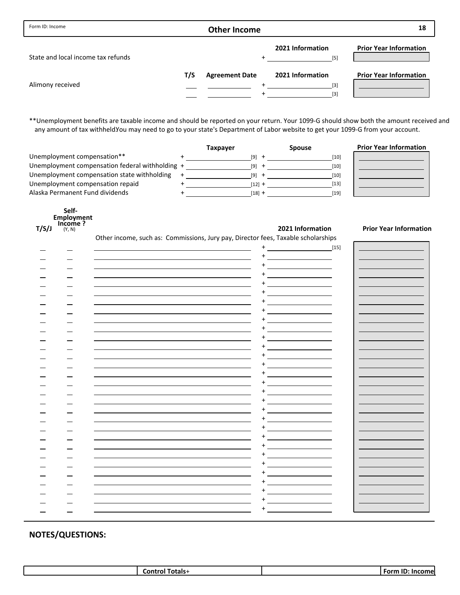| Form ID: Income                    |     | <b>Other Income</b>   |                                    | 18                            |
|------------------------------------|-----|-----------------------|------------------------------------|-------------------------------|
| State and local income tax refunds |     |                       | 2021 Information<br>$[5]$          | <b>Prior Year Information</b> |
| Alimony received                   | T/S | <b>Agreement Date</b> | 2021 Information<br>$[3]$<br>$[3]$ | <b>Prior Year Information</b> |

\*\*Unemployment benefits are taxable income and should be reported on your return. Your 1099‐G should show both the amount received and any amount of tax withheld.You may need to go to your state's Department of Labor website to get your 1099-G from your account.

|                                                 | Taxpayer | <b>Spouse</b> | <b>Prior Year Information</b> |
|-------------------------------------------------|----------|---------------|-------------------------------|
| Unemployment compensation**                     | [9]      | [10]          |                               |
| Unemployment compensation federal withholding + | [9]      | [10]          |                               |
| Unemployment compensation state withholding     | [9]      | [10]          |                               |
| Unemployment compensation repaid                | [12] +   | $[13]$        |                               |
| Alaska Permanent Fund dividends                 | [18] +   | $[19]$        |                               |

|       | Self-                  |
|-------|------------------------|
|       | Employment<br>Income ? |
| T/S/J | (Y, N)                 |
|       |                        |

**Income ? T/S/J 2021 Information Prior Year Information** Other income, such as: Commissions, Jury pay, Director fees, Taxable scholarships

|  | Utilet income, such as. Commissions, sary pay, Birector recs, raxable scholarships |                                                                                                                                                                                                                |  |
|--|------------------------------------------------------------------------------------|----------------------------------------------------------------------------------------------------------------------------------------------------------------------------------------------------------------|--|
|  |                                                                                    | $[15] % \includegraphics[width=0.9\columnwidth]{figures/fig_10.pdf} \caption{The 100 of the estimators in the left and right. The left is the same time, the right is the same time.} \label{fig:fig:15}$<br>+ |  |
|  |                                                                                    |                                                                                                                                                                                                                |  |
|  |                                                                                    |                                                                                                                                                                                                                |  |
|  |                                                                                    |                                                                                                                                                                                                                |  |
|  |                                                                                    |                                                                                                                                                                                                                |  |
|  |                                                                                    |                                                                                                                                                                                                                |  |
|  |                                                                                    |                                                                                                                                                                                                                |  |
|  |                                                                                    |                                                                                                                                                                                                                |  |
|  |                                                                                    |                                                                                                                                                                                                                |  |
|  |                                                                                    |                                                                                                                                                                                                                |  |
|  |                                                                                    |                                                                                                                                                                                                                |  |
|  |                                                                                    |                                                                                                                                                                                                                |  |
|  |                                                                                    |                                                                                                                                                                                                                |  |
|  |                                                                                    |                                                                                                                                                                                                                |  |
|  |                                                                                    |                                                                                                                                                                                                                |  |
|  |                                                                                    |                                                                                                                                                                                                                |  |
|  |                                                                                    |                                                                                                                                                                                                                |  |
|  |                                                                                    |                                                                                                                                                                                                                |  |
|  |                                                                                    |                                                                                                                                                                                                                |  |
|  |                                                                                    |                                                                                                                                                                                                                |  |
|  |                                                                                    |                                                                                                                                                                                                                |  |
|  |                                                                                    |                                                                                                                                                                                                                |  |
|  |                                                                                    |                                                                                                                                                                                                                |  |
|  |                                                                                    |                                                                                                                                                                                                                |  |
|  |                                                                                    |                                                                                                                                                                                                                |  |
|  |                                                                                    |                                                                                                                                                                                                                |  |
|  |                                                                                    |                                                                                                                                                                                                                |  |
|  |                                                                                    |                                                                                                                                                                                                                |  |
|  |                                                                                    |                                                                                                                                                                                                                |  |
|  |                                                                                    |                                                                                                                                                                                                                |  |
|  |                                                                                    |                                                                                                                                                                                                                |  |
|  |                                                                                    |                                                                                                                                                                                                                |  |
|  |                                                                                    |                                                                                                                                                                                                                |  |
|  |                                                                                    |                                                                                                                                                                                                                |  |
|  |                                                                                    |                                                                                                                                                                                                                |  |
|  |                                                                                    |                                                                                                                                                                                                                |  |
|  |                                                                                    |                                                                                                                                                                                                                |  |
|  |                                                                                    |                                                                                                                                                                                                                |  |
|  |                                                                                    |                                                                                                                                                                                                                |  |

| .<br>otals-<br>.on· | $\overline{\phantom{a}}$<br>Form |
|---------------------|----------------------------------|
|                     |                                  |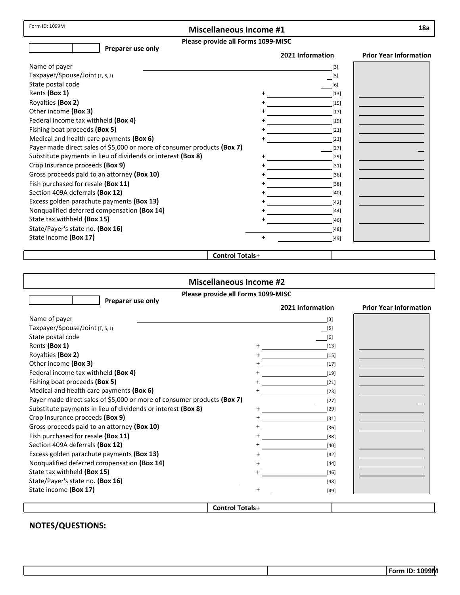Form ID: 1099M

## **Miscellaneous Income #1**

| жа |
|----|
|    |

### **Please provide all Forms 1099‐MISC**

| <b>FIGASE DI OVIGE AII FUITIIS 1033-IVIIJC</b><br>Preparer use only     |           |                  |                               |  |
|-------------------------------------------------------------------------|-----------|------------------|-------------------------------|--|
|                                                                         |           | 2021 Information | <b>Prior Year Information</b> |  |
| Name of payer                                                           |           | $[3]$            |                               |  |
| Taxpayer/Spouse/Joint (T, S, J)                                         |           | $[5]$            |                               |  |
| State postal code                                                       |           | $[6]$            |                               |  |
| Rents (Box 1)                                                           |           | $[13]$           |                               |  |
| Royalties (Box 2)                                                       |           | $[15]$           |                               |  |
| Other income (Box 3)                                                    |           | $[17]$           |                               |  |
| Federal income tax withheld (Box 4)                                     |           | $[19]$           |                               |  |
| Fishing boat proceeds (Box 5)                                           |           | $[21]$           |                               |  |
| Medical and health care payments (Box 6)                                |           | $[23]$           |                               |  |
| Payer made direct sales of \$5,000 or more of consumer products (Box 7) |           | $[27]$           |                               |  |
| Substitute payments in lieu of dividends or interest (Box 8)            |           | $[29]$           |                               |  |
| Crop Insurance proceeds (Box 9)                                         |           | $[31]$           |                               |  |
| Gross proceeds paid to an attorney (Box 10)                             |           | $[36]$           |                               |  |
| Fish purchased for resale (Box 11)                                      |           | $[38]$           |                               |  |
| Section 409A deferrals (Box 12)                                         |           | $[40]$           |                               |  |
| Excess golden parachute payments (Box 13)                               |           | $[42]$           |                               |  |
| Nonqualified deferred compensation (Box 14)                             |           | $[44]$           |                               |  |
| State tax withheld (Box 15)                                             |           | $[46]$           |                               |  |
| State/Payer's state no. (Box 16)                                        |           | $[48]$           |                               |  |
| State income (Box 17)                                                   | $\ddot{}$ | $[49]$           |                               |  |
|                                                                         |           |                  |                               |  |

### **Control Totals**+

| <b>Miscellaneous Income #2</b>                                          |           |                  |                               |  |
|-------------------------------------------------------------------------|-----------|------------------|-------------------------------|--|
| Please provide all Forms 1099-MISC                                      |           |                  |                               |  |
| Preparer use only                                                       |           | 2021 Information | <b>Prior Year Information</b> |  |
| Name of payer                                                           |           | $[3]$            |                               |  |
| Taxpayer/Spouse/Joint (T, S, J)                                         |           | $[5]$            |                               |  |
| State postal code                                                       |           | [6]              |                               |  |
| Rents (Box 1)                                                           | +         | $[13]$           |                               |  |
| Royalties (Box 2)                                                       | $\ddot{}$ | $[15]$           |                               |  |
| Other income (Box 3)                                                    | $\ddot{}$ | $[17]$           |                               |  |
| Federal income tax withheld (Box 4)                                     |           | $[19]$           |                               |  |
| Fishing boat proceeds (Box 5)                                           |           | $[21]$           |                               |  |
| Medical and health care payments (Box 6)                                |           | $[23]$           |                               |  |
| Payer made direct sales of \$5,000 or more of consumer products (Box 7) |           | $[27]$           |                               |  |
| Substitute payments in lieu of dividends or interest (Box 8)            | $\ddot{}$ | $[29]$           |                               |  |
| Crop Insurance proceeds (Box 9)                                         | $\ddot{}$ | $[31]$           |                               |  |
| Gross proceeds paid to an attorney (Box 10)                             |           | $[36]$           |                               |  |
| Fish purchased for resale (Box 11)                                      |           | $[38]$           |                               |  |
| Section 409A deferrals (Box 12)                                         |           | [40]             |                               |  |
| Excess golden parachute payments (Box 13)                               |           | $[42]$           |                               |  |
| Nonqualified deferred compensation (Box 14)                             |           | $[44]$           |                               |  |
| State tax withheld (Box 15)                                             |           | $[46]$           |                               |  |
| State/Payer's state no. (Box 16)                                        |           | $[48]$           |                               |  |
| State income (Box 17)                                                   | $\ddot{}$ | $[49]$           |                               |  |
|                                                                         |           |                  |                               |  |
| <b>Control Totals+</b>                                                  |           |                  |                               |  |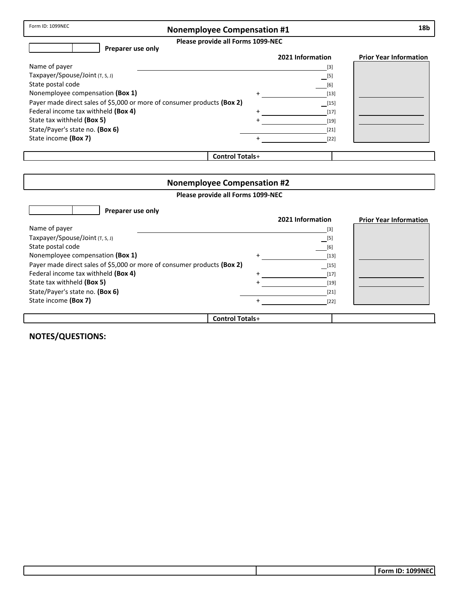## **Nonemployee Compensation #1**

**Please provide all Forms 1099‐NEC**

| Preparer use only                                                       |                        |                                           |                               |
|-------------------------------------------------------------------------|------------------------|-------------------------------------------|-------------------------------|
|                                                                         |                        | 2021 Information                          | <b>Prior Year Information</b> |
| Name of payer                                                           |                        | $[3]$                                     |                               |
| Taxpayer/Spouse/Joint (T, S, J)                                         |                        | $\equiv$ [5]                              |                               |
| State postal code                                                       |                        | [6]                                       |                               |
| Nonemployee compensation (Box 1)                                        | $\ddot{}$              | $[13]$                                    |                               |
| Payer made direct sales of \$5,000 or more of consumer products (Box 2) |                        | $\begin{array}{c} \boxed{15} \end{array}$ |                               |
| Federal income tax withheld (Box 4)                                     |                        | $[17]$                                    |                               |
| State tax withheld (Box 5)                                              |                        | $[19]$                                    |                               |
| State/Payer's state no. (Box 6)                                         |                        | $[21]$                                    |                               |
| State income (Box 7)                                                    |                        | $[22]$                                    |                               |
|                                                                         |                        |                                           |                               |
|                                                                         | <b>Control Totals+</b> |                                           |                               |

| <b>Nonemployee Compensation #2</b>                                      |           |                  |                               |
|-------------------------------------------------------------------------|-----------|------------------|-------------------------------|
| Please provide all Forms 1099-NEC                                       |           |                  |                               |
| Preparer use only                                                       |           |                  |                               |
|                                                                         |           | 2021 Information | <b>Prior Year Information</b> |
| Name of payer                                                           |           | $[3]$            |                               |
| Taxpayer/Spouse/Joint $(T, S, J)$                                       |           | [5]              |                               |
| State postal code                                                       |           | $[6]$            |                               |
| Nonemployee compensation (Box 1)                                        |           | $[13]$           |                               |
| Payer made direct sales of \$5,000 or more of consumer products (Box 2) |           |                  |                               |
| Federal income tax withheld (Box 4)                                     | $\ddot{}$ | $[17]$           |                               |
| State tax withheld (Box 5)                                              |           | $[19]$           |                               |
| State/Payer's state no. (Box 6)                                         |           | $[21]$           |                               |
| State income (Box 7)                                                    |           | $[22]$           |                               |
|                                                                         |           |                  |                               |
| <b>Control Totals+</b>                                                  |           |                  |                               |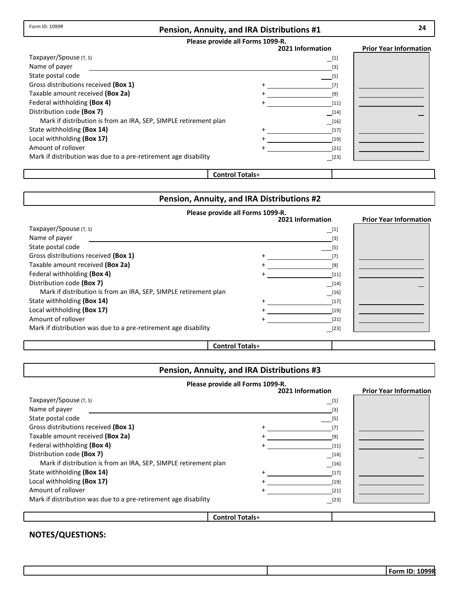#### **Pension, Annuity, and IRA Distributions #1**

### **Please provide all Forms 1099‐R.**

|                                                                  | 2021 Information   | <b>Prior Year Information</b> |
|------------------------------------------------------------------|--------------------|-------------------------------|
| Taxpayer/Spouse (T, S)                                           | $\Box$ [1]         |                               |
| Name of payer                                                    | $[3]$              |                               |
| State postal code                                                | [5]                |                               |
| Gross distributions received (Box 1)                             | [7]                |                               |
| Taxable amount received (Box 2a)                                 | [9]                |                               |
| Federal withholding (Box 4)                                      | $[11]$             |                               |
| Distribution code (Box 7)                                        | $\frac{1}{2}$ [14] |                               |
| Mark if distribution is from an IRA, SEP, SIMPLE retirement plan | $\frac{16}{16}$    |                               |
| State withholding (Box 14)                                       | $[17]$             |                               |
| Local withholding (Box 17)                                       | $[19]$             |                               |
| Amount of rollover                                               | $[21]$             |                               |
| Mark if distribution was due to a pre-retirement age disability  | $[23]$             |                               |
|                                                                  |                    |                               |

#### **Control Totals**+

### **Pension, Annuity, and IRA Distributions #2**

## **Please provide all Forms 1099‐R.**

|                                                                  | 2021 Information                                                                                                                                                                                                                                                                                                                                                                                                                                                                                                                                                                                             | <b>Prior Year Information</b> |
|------------------------------------------------------------------|--------------------------------------------------------------------------------------------------------------------------------------------------------------------------------------------------------------------------------------------------------------------------------------------------------------------------------------------------------------------------------------------------------------------------------------------------------------------------------------------------------------------------------------------------------------------------------------------------------------|-------------------------------|
| Taxpayer/Spouse (T, S)                                           | $\_$ [1]                                                                                                                                                                                                                                                                                                                                                                                                                                                                                                                                                                                                     |                               |
| Name of payer                                                    | $\left[3\right]$                                                                                                                                                                                                                                                                                                                                                                                                                                                                                                                                                                                             |                               |
| State postal code                                                | $[5]$                                                                                                                                                                                                                                                                                                                                                                                                                                                                                                                                                                                                        |                               |
| Gross distributions received (Box 1)                             |                                                                                                                                                                                                                                                                                                                                                                                                                                                                                                                                                                                                              |                               |
| Taxable amount received (Box 2a)                                 | [9]                                                                                                                                                                                                                                                                                                                                                                                                                                                                                                                                                                                                          |                               |
| Federal withholding (Box 4)                                      | [11]                                                                                                                                                                                                                                                                                                                                                                                                                                                                                                                                                                                                         |                               |
| Distribution code (Box 7)                                        | $[14]$                                                                                                                                                                                                                                                                                                                                                                                                                                                                                                                                                                                                       |                               |
| Mark if distribution is from an IRA, SEP, SIMPLE retirement plan | $[16] \centering% \includegraphics[width=1\textwidth]{figs/fig_03.pdf} \includegraphics[width=1\textwidth]{figs/fig_03.pdf} \includegraphics[width=1\textwidth]{figs/fig_03.pdf} \includegraphics[width=1\textwidth]{figs/fig_03.pdf} \includegraphics[width=1\textwidth]{figs/fig_03.pdf} \includegraphics[width=1\textwidth]{figs/fig_03.pdf} \includegraphics[width=1\textwidth]{figs/fig_03.pdf} \includegraphics[width=1\textwidth]{figs/fig_03.pdf} \includegraphics[width=1\textwidth]{figs/fig_03.pdf} \includegraphics[width=1\textwidth]{figs/fig_03.pdf} \includegraphics[width=1\textwidth]{fig$ |                               |
| State withholding (Box 14)                                       | $[17]$                                                                                                                                                                                                                                                                                                                                                                                                                                                                                                                                                                                                       |                               |
| Local withholding (Box 17)                                       | $[19]$                                                                                                                                                                                                                                                                                                                                                                                                                                                                                                                                                                                                       |                               |
| Amount of rollover                                               | $[21]$                                                                                                                                                                                                                                                                                                                                                                                                                                                                                                                                                                                                       |                               |
| Mark if distribution was due to a pre-retirement age disability  | $[23]$                                                                                                                                                                                                                                                                                                                                                                                                                                                                                                                                                                                                       |                               |
|                                                                  |                                                                                                                                                                                                                                                                                                                                                                                                                                                                                                                                                                                                              |                               |

#### **Control Totals**+

## **Pension, Annuity, and IRA Distributions #3**

| Please provide all Forms 1099-R.                                 |                        |                     |                               |  |
|------------------------------------------------------------------|------------------------|---------------------|-------------------------------|--|
|                                                                  |                        | 2021 Information    | <b>Prior Year Information</b> |  |
| Taxpayer/Spouse (T, S)                                           |                        | $\lfloor 1 \rfloor$ |                               |  |
| Name of payer                                                    |                        | $[3]$               |                               |  |
| State postal code                                                |                        | [5]                 |                               |  |
| Gross distributions received (Box 1)                             |                        | $[7]$               |                               |  |
| Taxable amount received (Box 2a)                                 |                        | $[9]$               |                               |  |
| Federal withholding (Box 4)                                      |                        | $[11]$              |                               |  |
| Distribution code (Box 7)                                        |                        | $\boxed{14}$        |                               |  |
| Mark if distribution is from an IRA, SEP, SIMPLE retirement plan |                        | $[16]$              |                               |  |
| State withholding (Box 14)                                       |                        | $[17]$              |                               |  |
| Local withholding (Box 17)                                       |                        | $[19]$              |                               |  |
| Amount of rollover                                               |                        | $[21]$              |                               |  |
| Mark if distribution was due to a pre-retirement age disability  |                        | $[23]$              |                               |  |
|                                                                  |                        |                     |                               |  |
|                                                                  | <b>Control Totals+</b> |                     |                               |  |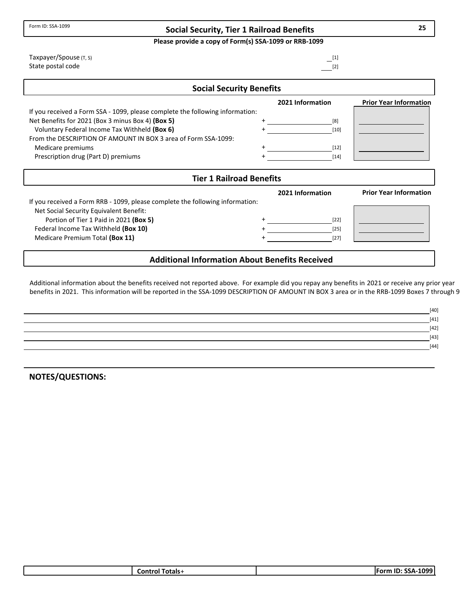**Please provide a copy of Form(s) SSA‐1099 or RRB‐1099**

|                                             | 2021 Information                | <b>Prior Y</b> |
|---------------------------------------------|---------------------------------|----------------|
|                                             | <b>Social Security Benefits</b> |                |
| Taxpayer/Spouse (T, S)<br>State postal code | $-^{[1]}$<br>$[2]$              |                |

|                                                                               | 2021 Information | <b>Prior Year Information</b> |
|-------------------------------------------------------------------------------|------------------|-------------------------------|
| If you received a Form SSA - 1099, please complete the following information: |                  |                               |
| Net Benefits for 2021 (Box 3 minus Box 4) (Box 5)                             | [8]              |                               |
| Voluntary Federal Income Tax Withheld (Box 6)                                 | [10]             |                               |
| From the DESCRIPTION OF AMOUNT IN BOX 3 area of Form SSA-1099:                |                  |                               |
| Medicare premiums                                                             | [12]             |                               |
| Prescription drug (Part D) premiums                                           | [14]             |                               |

| <b>Tier 1 Railroad Benefits</b>                                               |  |                  |                               |  |
|-------------------------------------------------------------------------------|--|------------------|-------------------------------|--|
| If you received a Form RRB - 1099, please complete the following information: |  | 2021 Information | <b>Prior Year Information</b> |  |
| Net Social Security Equivalent Benefit:                                       |  |                  |                               |  |
| Portion of Tier 1 Paid in 2021 (Box 5)                                        |  | $[22]$           |                               |  |
| Federal Income Tax Withheld (Box 10)                                          |  | $[25]$           |                               |  |
| Medicare Premium Total (Box 11)                                               |  | $[27]$           |                               |  |
|                                                                               |  |                  |                               |  |
| <b>Additional Information About Benefits Received</b>                         |  |                  |                               |  |

# Additional information about the benefits received not reported above. For example did you repay any benefits in 2021 or receive any prior year

benefits in 2021. This information will be reported in the SSA‐1099 DESCRIPTION OF AMOUNT IN BOX 3 area or in the RRB‐1099 Boxes 7 through 9

| [40]   |
|--------|
| $[41]$ |
| $[42]$ |
| $[43]$ |
| $[44]$ |
|        |

**NOTES/QUESTIONS:**

Form ID: SSA‐1099

| วtals<br>⊸ ∩ntr<br>nı | nnn.<br>IΕO.<br>- -<br>ID.<br>.<br>.<br>ככטי |
|-----------------------|----------------------------------------------|
|                       |                                              |

**25**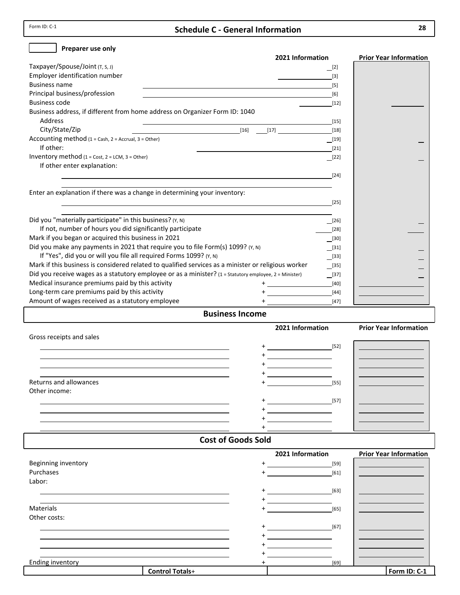Form ID: C-1

### **Schedule C ‐ General Information**

| Preparer use only                                                                                                                                 |                                           |                               |
|---------------------------------------------------------------------------------------------------------------------------------------------------|-------------------------------------------|-------------------------------|
|                                                                                                                                                   | 2021 Information                          | <b>Prior Year Information</b> |
| Taxpayer/Spouse/Joint (T, S, J)                                                                                                                   | $\boxed{2}$                               |                               |
| Employer identification number                                                                                                                    | $[3]$                                     |                               |
| <b>Business name</b>                                                                                                                              | $[5]$                                     |                               |
| Principal business/profession                                                                                                                     | [6]                                       |                               |
| <b>Business code</b>                                                                                                                              | $[12]$                                    |                               |
| Business address, if different from home address on Organizer Form ID: 1040                                                                       |                                           |                               |
| <b>Address</b>                                                                                                                                    | $[15]$                                    |                               |
| City/State/Zip<br>$[16]$<br><u> 1980 - John Stein, september 1980 - Stein Stein Stein Stein Stein Stein Stein Stein Stein Stein Stein Stein S</u> | [17]<br>$[18]$                            |                               |
| Accounting method $(1 = Cash, 2 = Accrual, 3 = Other)$                                                                                            | $\boxed{19}$                              |                               |
| If other:                                                                                                                                         | $[21]$                                    |                               |
| Inventory method $(1 = Cost, 2 = LCM, 3 = Other)$                                                                                                 | $\sqrt{22}$                               |                               |
| If other enter explanation:                                                                                                                       |                                           |                               |
| <u> 1989 - Johann Stoff, deutscher Stoff, der Stoff, der Stoff, der Stoff, der Stoff, der Stoff, der Stoff, der S</u>                             | $[24]$                                    |                               |
|                                                                                                                                                   |                                           |                               |
| Enter an explanation if there was a change in determining your inventory:                                                                         |                                           |                               |
| <u> 1989 - Johann Barbara, martin amerikan basar dan berasal dalam basa dalam basar dalam basar dalam basar dala</u>                              | $[25]$                                    |                               |
|                                                                                                                                                   |                                           |                               |
| Did you "materially participate" in this business? (Y, N)                                                                                         | $\Box$ [26]                               |                               |
| If not, number of hours you did significantly participate                                                                                         | $[28]$                                    |                               |
| Mark if you began or acquired this business in 2021                                                                                               | $[30]$                                    |                               |
| Did you make any payments in 2021 that require you to file Form(s) 1099? (Y, N)                                                                   | $\begin{array}{c} \boxed{31} \end{array}$ |                               |
| If "Yes", did you or will you file all required Forms 1099? (Y, N)                                                                                | $\boxed{[33]}$                            |                               |
| Mark if this business is considered related to qualified services as a minister or religious worker                                               | $\boxed{[35]}$                            |                               |
| Did you receive wages as a statutory employee or as a minister? (1 = Statutory employee, 2 = Minister)                                            | $\frac{1}{2}$                             |                               |
| Medical insurance premiums paid by this activity                                                                                                  | $[40]$                                    |                               |
| Long-term care premiums paid by this activity                                                                                                     | $[44]$                                    |                               |
| Amount of wages received as a statutory employee                                                                                                  | $[47]$                                    |                               |
| <b>Business Income</b>                                                                                                                            |                                           |                               |
|                                                                                                                                                   | 2021 Information                          | <b>Prior Year Information</b> |
| Gross receipts and sales                                                                                                                          |                                           |                               |
|                                                                                                                                                   | $[52]$                                    |                               |
|                                                                                                                                                   |                                           |                               |
|                                                                                                                                                   |                                           |                               |
|                                                                                                                                                   |                                           |                               |
| Returns and allowances                                                                                                                            | $[55]$                                    |                               |
| Other income:                                                                                                                                     |                                           |                               |
|                                                                                                                                                   | $[57]$                                    |                               |
|                                                                                                                                                   |                                           |                               |
|                                                                                                                                                   |                                           |                               |
|                                                                                                                                                   |                                           |                               |
| <b>Cost of Goods Sold</b>                                                                                                                         |                                           |                               |
|                                                                                                                                                   | 2021 Information                          | <b>Prior Year Information</b> |
| Beginning inventory                                                                                                                               | $[59]$                                    |                               |
| Purchases                                                                                                                                         | $[61]$                                    |                               |
| Labor:                                                                                                                                            |                                           |                               |
|                                                                                                                                                   | $[63]$                                    |                               |
|                                                                                                                                                   |                                           |                               |

| <b>Materials</b> |  |
|------------------|--|
| Other costs      |  |

| י טיייים של הייייים של<br>Purchases |           | $[61]$ |              |
|-------------------------------------|-----------|--------|--------------|
| Labor:                              |           |        |              |
|                                     | $\ddot{}$ | $[63]$ |              |
|                                     |           |        |              |
| Materials                           |           | $[65]$ |              |
| Other costs:                        |           |        |              |
|                                     | $+$       | $[67]$ |              |
|                                     |           |        |              |
|                                     |           |        |              |
|                                     |           |        |              |
| <b>Ending inventory</b>             |           | $[69]$ |              |
| <b>Control Totals+</b>              |           |        | Form ID: C-1 |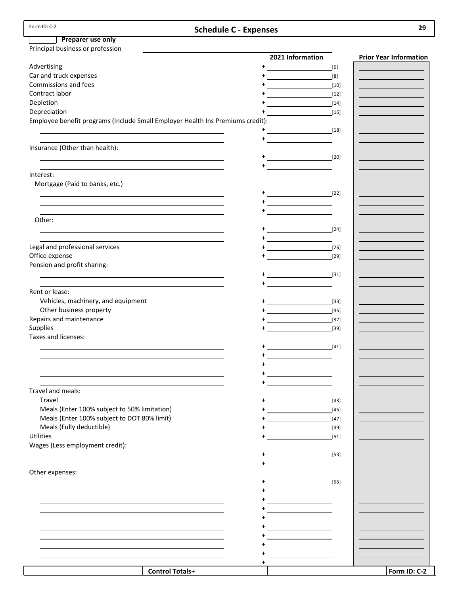|--|

## **Schedule C ‐ Expenses 29**

## **Preparer use only**

| Advertising<br>$+$<br>$[6]$<br>Car and truck expenses<br>Commissions and fees<br>$[10]$<br>Contract labor<br>$[12]$<br>Depletion<br>$[14]$<br>Depreciation<br>$[16]$<br>Employee benefit programs (Include Small Employer Health Ins Premiums credit):<br>$[18]$<br><u> 1990 - Jan Alexandria (</u><br>$^{+}$<br>Insurance (Other than health):<br>$+$ [20]<br>$+$ $   -$<br>Interest:<br>Mortgage (Paid to banks, etc.)<br>$+\underline{\hspace{1.5cm}} \hspace{1.5cm} [22]$<br><u> 1980 - Johann Barn, mars ann an t-Amhainn an t-Amhainn an t-Amhainn an t-Amhainn an t-Amhainn an t-Amhainn an</u><br>$+\underline{\hspace{1cm}}$<br>Other:<br>$+$ $[24]$<br>$\begin{picture}(20,20)(-0,0) \put(0,0){\line(1,0){10}} \put(15,0){\line(1,0){10}} \put(15,0){\line(1,0){10}} \put(15,0){\line(1,0){10}} \put(15,0){\line(1,0){10}} \put(15,0){\line(1,0){10}} \put(15,0){\line(1,0){10}} \put(15,0){\line(1,0){10}} \put(15,0){\line(1,0){10}} \put(15,0){\line(1,0){10}} \put(15,0){\line(1,0){10}} \put(15,0$<br>Legal and professional services<br>$+$ <u>____________________</u><br>$[26]$<br>Office expense<br>$+$ $   -$<br>$[29]$<br>Pension and profit sharing:<br>$+$ $  -$<br>Rent or lease:<br>Vehicles, machinery, and equipment<br>$[33]$<br>Other business property<br>$[35]$<br>Repairs and maintenance<br>$[37]$<br>Supplies<br>$[39]$<br>Taxes and licenses:<br>$+$ (41)<br>$\begin{picture}(20,20)(-0,0) \put(0,0){\vector(1,0){10}} \put(15,0){\vector(1,0){10}} \put(15,0){\vector(1,0){10}} \put(15,0){\vector(1,0){10}} \put(15,0){\vector(1,0){10}} \put(15,0){\vector(1,0){10}} \put(15,0){\vector(1,0){10}} \put(15,0){\vector(1,0){10}} \put(15,0){\vector(1,0){10}} \put(15,0){\vector(1,0){10}} \put(15,0){\vector(1,0){10}} \put(15,0$<br>Travel and meals:<br>Travel<br>$[43]$<br>Meals (Enter 100% subject to 50% limitation)<br>$[45]$<br>Meals (Enter 100% subject to DOT 80% limit)<br>$[47] \label{eq:47}$<br>$\ddot{}$<br>Meals (Fully deductible)<br>$[49]$<br><b>Utilities</b><br>$[51]$<br>Wages (Less employment credit):<br>$+$ [53]<br>Other expenses:<br>$+$<br>$\sim$ [55]<br>$\begin{picture}(20,20)(-0,0) \put(0,0){\vector(1,0){10}} \put(15,0){\vector(1,0){10}} \put(15,0){\vector(1,0){10}} \put(15,0){\vector(1,0){10}} \put(15,0){\vector(1,0){10}} \put(15,0){\vector(1,0){10}} \put(15,0){\vector(1,0){10}} \put(15,0){\vector(1,0){10}} \put(15,0){\vector(1,0){10}} \put(15,0){\vector(1,0){10}} \put(15,0){\vector(1,0){10}} \put(15,0$<br>$\ddot{}$<br>+<br>$\overline{\phantom{a}}$<br>+<br>$\ddot{}$ | Principal business or profession |                        |                  |                               |
|---------------------------------------------------------------------------------------------------------------------------------------------------------------------------------------------------------------------------------------------------------------------------------------------------------------------------------------------------------------------------------------------------------------------------------------------------------------------------------------------------------------------------------------------------------------------------------------------------------------------------------------------------------------------------------------------------------------------------------------------------------------------------------------------------------------------------------------------------------------------------------------------------------------------------------------------------------------------------------------------------------------------------------------------------------------------------------------------------------------------------------------------------------------------------------------------------------------------------------------------------------------------------------------------------------------------------------------------------------------------------------------------------------------------------------------------------------------------------------------------------------------------------------------------------------------------------------------------------------------------------------------------------------------------------------------------------------------------------------------------------------------------------------------------------------------------------------------------------------------------------------------------------------------------------------------------------------------------------------------------------------------------------------------------------------------------------------------------------------------------------------------------------------------------------------------------------------------------------------------------------------------------------------------------------------------------------------------------------------------------------------------------------------------------------------------------------------------------------------------------------------------------------------------------------------------------|----------------------------------|------------------------|------------------|-------------------------------|
|                                                                                                                                                                                                                                                                                                                                                                                                                                                                                                                                                                                                                                                                                                                                                                                                                                                                                                                                                                                                                                                                                                                                                                                                                                                                                                                                                                                                                                                                                                                                                                                                                                                                                                                                                                                                                                                                                                                                                                                                                                                                                                                                                                                                                                                                                                                                                                                                                                                                                                                                                                     |                                  |                        | 2021 Information | <b>Prior Year Information</b> |
|                                                                                                                                                                                                                                                                                                                                                                                                                                                                                                                                                                                                                                                                                                                                                                                                                                                                                                                                                                                                                                                                                                                                                                                                                                                                                                                                                                                                                                                                                                                                                                                                                                                                                                                                                                                                                                                                                                                                                                                                                                                                                                                                                                                                                                                                                                                                                                                                                                                                                                                                                                     |                                  |                        |                  |                               |
|                                                                                                                                                                                                                                                                                                                                                                                                                                                                                                                                                                                                                                                                                                                                                                                                                                                                                                                                                                                                                                                                                                                                                                                                                                                                                                                                                                                                                                                                                                                                                                                                                                                                                                                                                                                                                                                                                                                                                                                                                                                                                                                                                                                                                                                                                                                                                                                                                                                                                                                                                                     |                                  |                        |                  |                               |
|                                                                                                                                                                                                                                                                                                                                                                                                                                                                                                                                                                                                                                                                                                                                                                                                                                                                                                                                                                                                                                                                                                                                                                                                                                                                                                                                                                                                                                                                                                                                                                                                                                                                                                                                                                                                                                                                                                                                                                                                                                                                                                                                                                                                                                                                                                                                                                                                                                                                                                                                                                     |                                  |                        |                  |                               |
|                                                                                                                                                                                                                                                                                                                                                                                                                                                                                                                                                                                                                                                                                                                                                                                                                                                                                                                                                                                                                                                                                                                                                                                                                                                                                                                                                                                                                                                                                                                                                                                                                                                                                                                                                                                                                                                                                                                                                                                                                                                                                                                                                                                                                                                                                                                                                                                                                                                                                                                                                                     |                                  |                        |                  |                               |
|                                                                                                                                                                                                                                                                                                                                                                                                                                                                                                                                                                                                                                                                                                                                                                                                                                                                                                                                                                                                                                                                                                                                                                                                                                                                                                                                                                                                                                                                                                                                                                                                                                                                                                                                                                                                                                                                                                                                                                                                                                                                                                                                                                                                                                                                                                                                                                                                                                                                                                                                                                     |                                  |                        |                  |                               |
|                                                                                                                                                                                                                                                                                                                                                                                                                                                                                                                                                                                                                                                                                                                                                                                                                                                                                                                                                                                                                                                                                                                                                                                                                                                                                                                                                                                                                                                                                                                                                                                                                                                                                                                                                                                                                                                                                                                                                                                                                                                                                                                                                                                                                                                                                                                                                                                                                                                                                                                                                                     |                                  |                        |                  |                               |
|                                                                                                                                                                                                                                                                                                                                                                                                                                                                                                                                                                                                                                                                                                                                                                                                                                                                                                                                                                                                                                                                                                                                                                                                                                                                                                                                                                                                                                                                                                                                                                                                                                                                                                                                                                                                                                                                                                                                                                                                                                                                                                                                                                                                                                                                                                                                                                                                                                                                                                                                                                     |                                  |                        |                  |                               |
|                                                                                                                                                                                                                                                                                                                                                                                                                                                                                                                                                                                                                                                                                                                                                                                                                                                                                                                                                                                                                                                                                                                                                                                                                                                                                                                                                                                                                                                                                                                                                                                                                                                                                                                                                                                                                                                                                                                                                                                                                                                                                                                                                                                                                                                                                                                                                                                                                                                                                                                                                                     |                                  |                        |                  |                               |
|                                                                                                                                                                                                                                                                                                                                                                                                                                                                                                                                                                                                                                                                                                                                                                                                                                                                                                                                                                                                                                                                                                                                                                                                                                                                                                                                                                                                                                                                                                                                                                                                                                                                                                                                                                                                                                                                                                                                                                                                                                                                                                                                                                                                                                                                                                                                                                                                                                                                                                                                                                     |                                  |                        |                  |                               |
|                                                                                                                                                                                                                                                                                                                                                                                                                                                                                                                                                                                                                                                                                                                                                                                                                                                                                                                                                                                                                                                                                                                                                                                                                                                                                                                                                                                                                                                                                                                                                                                                                                                                                                                                                                                                                                                                                                                                                                                                                                                                                                                                                                                                                                                                                                                                                                                                                                                                                                                                                                     |                                  |                        |                  |                               |
|                                                                                                                                                                                                                                                                                                                                                                                                                                                                                                                                                                                                                                                                                                                                                                                                                                                                                                                                                                                                                                                                                                                                                                                                                                                                                                                                                                                                                                                                                                                                                                                                                                                                                                                                                                                                                                                                                                                                                                                                                                                                                                                                                                                                                                                                                                                                                                                                                                                                                                                                                                     |                                  |                        |                  |                               |
|                                                                                                                                                                                                                                                                                                                                                                                                                                                                                                                                                                                                                                                                                                                                                                                                                                                                                                                                                                                                                                                                                                                                                                                                                                                                                                                                                                                                                                                                                                                                                                                                                                                                                                                                                                                                                                                                                                                                                                                                                                                                                                                                                                                                                                                                                                                                                                                                                                                                                                                                                                     |                                  |                        |                  |                               |
|                                                                                                                                                                                                                                                                                                                                                                                                                                                                                                                                                                                                                                                                                                                                                                                                                                                                                                                                                                                                                                                                                                                                                                                                                                                                                                                                                                                                                                                                                                                                                                                                                                                                                                                                                                                                                                                                                                                                                                                                                                                                                                                                                                                                                                                                                                                                                                                                                                                                                                                                                                     |                                  |                        |                  |                               |
|                                                                                                                                                                                                                                                                                                                                                                                                                                                                                                                                                                                                                                                                                                                                                                                                                                                                                                                                                                                                                                                                                                                                                                                                                                                                                                                                                                                                                                                                                                                                                                                                                                                                                                                                                                                                                                                                                                                                                                                                                                                                                                                                                                                                                                                                                                                                                                                                                                                                                                                                                                     |                                  |                        |                  |                               |
|                                                                                                                                                                                                                                                                                                                                                                                                                                                                                                                                                                                                                                                                                                                                                                                                                                                                                                                                                                                                                                                                                                                                                                                                                                                                                                                                                                                                                                                                                                                                                                                                                                                                                                                                                                                                                                                                                                                                                                                                                                                                                                                                                                                                                                                                                                                                                                                                                                                                                                                                                                     |                                  |                        |                  |                               |
|                                                                                                                                                                                                                                                                                                                                                                                                                                                                                                                                                                                                                                                                                                                                                                                                                                                                                                                                                                                                                                                                                                                                                                                                                                                                                                                                                                                                                                                                                                                                                                                                                                                                                                                                                                                                                                                                                                                                                                                                                                                                                                                                                                                                                                                                                                                                                                                                                                                                                                                                                                     |                                  |                        |                  |                               |
|                                                                                                                                                                                                                                                                                                                                                                                                                                                                                                                                                                                                                                                                                                                                                                                                                                                                                                                                                                                                                                                                                                                                                                                                                                                                                                                                                                                                                                                                                                                                                                                                                                                                                                                                                                                                                                                                                                                                                                                                                                                                                                                                                                                                                                                                                                                                                                                                                                                                                                                                                                     |                                  |                        |                  |                               |
|                                                                                                                                                                                                                                                                                                                                                                                                                                                                                                                                                                                                                                                                                                                                                                                                                                                                                                                                                                                                                                                                                                                                                                                                                                                                                                                                                                                                                                                                                                                                                                                                                                                                                                                                                                                                                                                                                                                                                                                                                                                                                                                                                                                                                                                                                                                                                                                                                                                                                                                                                                     |                                  |                        |                  |                               |
|                                                                                                                                                                                                                                                                                                                                                                                                                                                                                                                                                                                                                                                                                                                                                                                                                                                                                                                                                                                                                                                                                                                                                                                                                                                                                                                                                                                                                                                                                                                                                                                                                                                                                                                                                                                                                                                                                                                                                                                                                                                                                                                                                                                                                                                                                                                                                                                                                                                                                                                                                                     |                                  |                        |                  |                               |
|                                                                                                                                                                                                                                                                                                                                                                                                                                                                                                                                                                                                                                                                                                                                                                                                                                                                                                                                                                                                                                                                                                                                                                                                                                                                                                                                                                                                                                                                                                                                                                                                                                                                                                                                                                                                                                                                                                                                                                                                                                                                                                                                                                                                                                                                                                                                                                                                                                                                                                                                                                     |                                  |                        |                  |                               |
|                                                                                                                                                                                                                                                                                                                                                                                                                                                                                                                                                                                                                                                                                                                                                                                                                                                                                                                                                                                                                                                                                                                                                                                                                                                                                                                                                                                                                                                                                                                                                                                                                                                                                                                                                                                                                                                                                                                                                                                                                                                                                                                                                                                                                                                                                                                                                                                                                                                                                                                                                                     |                                  |                        |                  |                               |
|                                                                                                                                                                                                                                                                                                                                                                                                                                                                                                                                                                                                                                                                                                                                                                                                                                                                                                                                                                                                                                                                                                                                                                                                                                                                                                                                                                                                                                                                                                                                                                                                                                                                                                                                                                                                                                                                                                                                                                                                                                                                                                                                                                                                                                                                                                                                                                                                                                                                                                                                                                     |                                  |                        |                  |                               |
|                                                                                                                                                                                                                                                                                                                                                                                                                                                                                                                                                                                                                                                                                                                                                                                                                                                                                                                                                                                                                                                                                                                                                                                                                                                                                                                                                                                                                                                                                                                                                                                                                                                                                                                                                                                                                                                                                                                                                                                                                                                                                                                                                                                                                                                                                                                                                                                                                                                                                                                                                                     |                                  |                        |                  |                               |
|                                                                                                                                                                                                                                                                                                                                                                                                                                                                                                                                                                                                                                                                                                                                                                                                                                                                                                                                                                                                                                                                                                                                                                                                                                                                                                                                                                                                                                                                                                                                                                                                                                                                                                                                                                                                                                                                                                                                                                                                                                                                                                                                                                                                                                                                                                                                                                                                                                                                                                                                                                     |                                  |                        |                  |                               |
|                                                                                                                                                                                                                                                                                                                                                                                                                                                                                                                                                                                                                                                                                                                                                                                                                                                                                                                                                                                                                                                                                                                                                                                                                                                                                                                                                                                                                                                                                                                                                                                                                                                                                                                                                                                                                                                                                                                                                                                                                                                                                                                                                                                                                                                                                                                                                                                                                                                                                                                                                                     |                                  |                        |                  |                               |
|                                                                                                                                                                                                                                                                                                                                                                                                                                                                                                                                                                                                                                                                                                                                                                                                                                                                                                                                                                                                                                                                                                                                                                                                                                                                                                                                                                                                                                                                                                                                                                                                                                                                                                                                                                                                                                                                                                                                                                                                                                                                                                                                                                                                                                                                                                                                                                                                                                                                                                                                                                     |                                  |                        |                  |                               |
|                                                                                                                                                                                                                                                                                                                                                                                                                                                                                                                                                                                                                                                                                                                                                                                                                                                                                                                                                                                                                                                                                                                                                                                                                                                                                                                                                                                                                                                                                                                                                                                                                                                                                                                                                                                                                                                                                                                                                                                                                                                                                                                                                                                                                                                                                                                                                                                                                                                                                                                                                                     |                                  |                        |                  |                               |
|                                                                                                                                                                                                                                                                                                                                                                                                                                                                                                                                                                                                                                                                                                                                                                                                                                                                                                                                                                                                                                                                                                                                                                                                                                                                                                                                                                                                                                                                                                                                                                                                                                                                                                                                                                                                                                                                                                                                                                                                                                                                                                                                                                                                                                                                                                                                                                                                                                                                                                                                                                     |                                  |                        |                  |                               |
|                                                                                                                                                                                                                                                                                                                                                                                                                                                                                                                                                                                                                                                                                                                                                                                                                                                                                                                                                                                                                                                                                                                                                                                                                                                                                                                                                                                                                                                                                                                                                                                                                                                                                                                                                                                                                                                                                                                                                                                                                                                                                                                                                                                                                                                                                                                                                                                                                                                                                                                                                                     |                                  |                        |                  |                               |
|                                                                                                                                                                                                                                                                                                                                                                                                                                                                                                                                                                                                                                                                                                                                                                                                                                                                                                                                                                                                                                                                                                                                                                                                                                                                                                                                                                                                                                                                                                                                                                                                                                                                                                                                                                                                                                                                                                                                                                                                                                                                                                                                                                                                                                                                                                                                                                                                                                                                                                                                                                     |                                  |                        |                  |                               |
|                                                                                                                                                                                                                                                                                                                                                                                                                                                                                                                                                                                                                                                                                                                                                                                                                                                                                                                                                                                                                                                                                                                                                                                                                                                                                                                                                                                                                                                                                                                                                                                                                                                                                                                                                                                                                                                                                                                                                                                                                                                                                                                                                                                                                                                                                                                                                                                                                                                                                                                                                                     |                                  |                        |                  |                               |
|                                                                                                                                                                                                                                                                                                                                                                                                                                                                                                                                                                                                                                                                                                                                                                                                                                                                                                                                                                                                                                                                                                                                                                                                                                                                                                                                                                                                                                                                                                                                                                                                                                                                                                                                                                                                                                                                                                                                                                                                                                                                                                                                                                                                                                                                                                                                                                                                                                                                                                                                                                     |                                  |                        |                  |                               |
|                                                                                                                                                                                                                                                                                                                                                                                                                                                                                                                                                                                                                                                                                                                                                                                                                                                                                                                                                                                                                                                                                                                                                                                                                                                                                                                                                                                                                                                                                                                                                                                                                                                                                                                                                                                                                                                                                                                                                                                                                                                                                                                                                                                                                                                                                                                                                                                                                                                                                                                                                                     |                                  |                        |                  |                               |
|                                                                                                                                                                                                                                                                                                                                                                                                                                                                                                                                                                                                                                                                                                                                                                                                                                                                                                                                                                                                                                                                                                                                                                                                                                                                                                                                                                                                                                                                                                                                                                                                                                                                                                                                                                                                                                                                                                                                                                                                                                                                                                                                                                                                                                                                                                                                                                                                                                                                                                                                                                     |                                  |                        |                  |                               |
|                                                                                                                                                                                                                                                                                                                                                                                                                                                                                                                                                                                                                                                                                                                                                                                                                                                                                                                                                                                                                                                                                                                                                                                                                                                                                                                                                                                                                                                                                                                                                                                                                                                                                                                                                                                                                                                                                                                                                                                                                                                                                                                                                                                                                                                                                                                                                                                                                                                                                                                                                                     |                                  |                        |                  |                               |
|                                                                                                                                                                                                                                                                                                                                                                                                                                                                                                                                                                                                                                                                                                                                                                                                                                                                                                                                                                                                                                                                                                                                                                                                                                                                                                                                                                                                                                                                                                                                                                                                                                                                                                                                                                                                                                                                                                                                                                                                                                                                                                                                                                                                                                                                                                                                                                                                                                                                                                                                                                     |                                  |                        |                  |                               |
|                                                                                                                                                                                                                                                                                                                                                                                                                                                                                                                                                                                                                                                                                                                                                                                                                                                                                                                                                                                                                                                                                                                                                                                                                                                                                                                                                                                                                                                                                                                                                                                                                                                                                                                                                                                                                                                                                                                                                                                                                                                                                                                                                                                                                                                                                                                                                                                                                                                                                                                                                                     |                                  |                        |                  |                               |
|                                                                                                                                                                                                                                                                                                                                                                                                                                                                                                                                                                                                                                                                                                                                                                                                                                                                                                                                                                                                                                                                                                                                                                                                                                                                                                                                                                                                                                                                                                                                                                                                                                                                                                                                                                                                                                                                                                                                                                                                                                                                                                                                                                                                                                                                                                                                                                                                                                                                                                                                                                     |                                  |                        |                  |                               |
|                                                                                                                                                                                                                                                                                                                                                                                                                                                                                                                                                                                                                                                                                                                                                                                                                                                                                                                                                                                                                                                                                                                                                                                                                                                                                                                                                                                                                                                                                                                                                                                                                                                                                                                                                                                                                                                                                                                                                                                                                                                                                                                                                                                                                                                                                                                                                                                                                                                                                                                                                                     |                                  |                        |                  |                               |
|                                                                                                                                                                                                                                                                                                                                                                                                                                                                                                                                                                                                                                                                                                                                                                                                                                                                                                                                                                                                                                                                                                                                                                                                                                                                                                                                                                                                                                                                                                                                                                                                                                                                                                                                                                                                                                                                                                                                                                                                                                                                                                                                                                                                                                                                                                                                                                                                                                                                                                                                                                     |                                  |                        |                  |                               |
|                                                                                                                                                                                                                                                                                                                                                                                                                                                                                                                                                                                                                                                                                                                                                                                                                                                                                                                                                                                                                                                                                                                                                                                                                                                                                                                                                                                                                                                                                                                                                                                                                                                                                                                                                                                                                                                                                                                                                                                                                                                                                                                                                                                                                                                                                                                                                                                                                                                                                                                                                                     |                                  |                        |                  |                               |
|                                                                                                                                                                                                                                                                                                                                                                                                                                                                                                                                                                                                                                                                                                                                                                                                                                                                                                                                                                                                                                                                                                                                                                                                                                                                                                                                                                                                                                                                                                                                                                                                                                                                                                                                                                                                                                                                                                                                                                                                                                                                                                                                                                                                                                                                                                                                                                                                                                                                                                                                                                     |                                  |                        |                  |                               |
|                                                                                                                                                                                                                                                                                                                                                                                                                                                                                                                                                                                                                                                                                                                                                                                                                                                                                                                                                                                                                                                                                                                                                                                                                                                                                                                                                                                                                                                                                                                                                                                                                                                                                                                                                                                                                                                                                                                                                                                                                                                                                                                                                                                                                                                                                                                                                                                                                                                                                                                                                                     |                                  |                        |                  |                               |
|                                                                                                                                                                                                                                                                                                                                                                                                                                                                                                                                                                                                                                                                                                                                                                                                                                                                                                                                                                                                                                                                                                                                                                                                                                                                                                                                                                                                                                                                                                                                                                                                                                                                                                                                                                                                                                                                                                                                                                                                                                                                                                                                                                                                                                                                                                                                                                                                                                                                                                                                                                     |                                  |                        |                  |                               |
|                                                                                                                                                                                                                                                                                                                                                                                                                                                                                                                                                                                                                                                                                                                                                                                                                                                                                                                                                                                                                                                                                                                                                                                                                                                                                                                                                                                                                                                                                                                                                                                                                                                                                                                                                                                                                                                                                                                                                                                                                                                                                                                                                                                                                                                                                                                                                                                                                                                                                                                                                                     |                                  |                        |                  |                               |
|                                                                                                                                                                                                                                                                                                                                                                                                                                                                                                                                                                                                                                                                                                                                                                                                                                                                                                                                                                                                                                                                                                                                                                                                                                                                                                                                                                                                                                                                                                                                                                                                                                                                                                                                                                                                                                                                                                                                                                                                                                                                                                                                                                                                                                                                                                                                                                                                                                                                                                                                                                     |                                  |                        |                  |                               |
|                                                                                                                                                                                                                                                                                                                                                                                                                                                                                                                                                                                                                                                                                                                                                                                                                                                                                                                                                                                                                                                                                                                                                                                                                                                                                                                                                                                                                                                                                                                                                                                                                                                                                                                                                                                                                                                                                                                                                                                                                                                                                                                                                                                                                                                                                                                                                                                                                                                                                                                                                                     |                                  |                        |                  |                               |
|                                                                                                                                                                                                                                                                                                                                                                                                                                                                                                                                                                                                                                                                                                                                                                                                                                                                                                                                                                                                                                                                                                                                                                                                                                                                                                                                                                                                                                                                                                                                                                                                                                                                                                                                                                                                                                                                                                                                                                                                                                                                                                                                                                                                                                                                                                                                                                                                                                                                                                                                                                     |                                  |                        |                  |                               |
|                                                                                                                                                                                                                                                                                                                                                                                                                                                                                                                                                                                                                                                                                                                                                                                                                                                                                                                                                                                                                                                                                                                                                                                                                                                                                                                                                                                                                                                                                                                                                                                                                                                                                                                                                                                                                                                                                                                                                                                                                                                                                                                                                                                                                                                                                                                                                                                                                                                                                                                                                                     |                                  |                        |                  |                               |
|                                                                                                                                                                                                                                                                                                                                                                                                                                                                                                                                                                                                                                                                                                                                                                                                                                                                                                                                                                                                                                                                                                                                                                                                                                                                                                                                                                                                                                                                                                                                                                                                                                                                                                                                                                                                                                                                                                                                                                                                                                                                                                                                                                                                                                                                                                                                                                                                                                                                                                                                                                     |                                  |                        |                  |                               |
|                                                                                                                                                                                                                                                                                                                                                                                                                                                                                                                                                                                                                                                                                                                                                                                                                                                                                                                                                                                                                                                                                                                                                                                                                                                                                                                                                                                                                                                                                                                                                                                                                                                                                                                                                                                                                                                                                                                                                                                                                                                                                                                                                                                                                                                                                                                                                                                                                                                                                                                                                                     |                                  |                        |                  |                               |
|                                                                                                                                                                                                                                                                                                                                                                                                                                                                                                                                                                                                                                                                                                                                                                                                                                                                                                                                                                                                                                                                                                                                                                                                                                                                                                                                                                                                                                                                                                                                                                                                                                                                                                                                                                                                                                                                                                                                                                                                                                                                                                                                                                                                                                                                                                                                                                                                                                                                                                                                                                     |                                  |                        |                  |                               |
|                                                                                                                                                                                                                                                                                                                                                                                                                                                                                                                                                                                                                                                                                                                                                                                                                                                                                                                                                                                                                                                                                                                                                                                                                                                                                                                                                                                                                                                                                                                                                                                                                                                                                                                                                                                                                                                                                                                                                                                                                                                                                                                                                                                                                                                                                                                                                                                                                                                                                                                                                                     |                                  |                        |                  |                               |
|                                                                                                                                                                                                                                                                                                                                                                                                                                                                                                                                                                                                                                                                                                                                                                                                                                                                                                                                                                                                                                                                                                                                                                                                                                                                                                                                                                                                                                                                                                                                                                                                                                                                                                                                                                                                                                                                                                                                                                                                                                                                                                                                                                                                                                                                                                                                                                                                                                                                                                                                                                     |                                  |                        |                  |                               |
|                                                                                                                                                                                                                                                                                                                                                                                                                                                                                                                                                                                                                                                                                                                                                                                                                                                                                                                                                                                                                                                                                                                                                                                                                                                                                                                                                                                                                                                                                                                                                                                                                                                                                                                                                                                                                                                                                                                                                                                                                                                                                                                                                                                                                                                                                                                                                                                                                                                                                                                                                                     |                                  |                        |                  |                               |
|                                                                                                                                                                                                                                                                                                                                                                                                                                                                                                                                                                                                                                                                                                                                                                                                                                                                                                                                                                                                                                                                                                                                                                                                                                                                                                                                                                                                                                                                                                                                                                                                                                                                                                                                                                                                                                                                                                                                                                                                                                                                                                                                                                                                                                                                                                                                                                                                                                                                                                                                                                     |                                  |                        |                  |                               |
|                                                                                                                                                                                                                                                                                                                                                                                                                                                                                                                                                                                                                                                                                                                                                                                                                                                                                                                                                                                                                                                                                                                                                                                                                                                                                                                                                                                                                                                                                                                                                                                                                                                                                                                                                                                                                                                                                                                                                                                                                                                                                                                                                                                                                                                                                                                                                                                                                                                                                                                                                                     |                                  |                        |                  |                               |
|                                                                                                                                                                                                                                                                                                                                                                                                                                                                                                                                                                                                                                                                                                                                                                                                                                                                                                                                                                                                                                                                                                                                                                                                                                                                                                                                                                                                                                                                                                                                                                                                                                                                                                                                                                                                                                                                                                                                                                                                                                                                                                                                                                                                                                                                                                                                                                                                                                                                                                                                                                     |                                  | <b>Control Totals+</b> |                  | Form ID: C-2                  |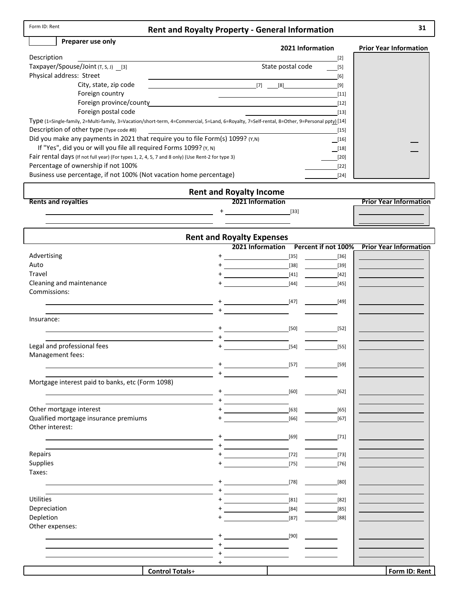| Form ID: Rent |  |  |  |
|---------------|--|--|--|
|---------------|--|--|--|

### **Rent and Royalty Property ‐ General Information**

#### **Preparer use only**

#### **2021 Information Prior Year Information**

| Description                                                                                                                                  |     |                   | $[2]$  |
|----------------------------------------------------------------------------------------------------------------------------------------------|-----|-------------------|--------|
| Taxpayer/Spouse/Joint (T, S, J) [3]                                                                                                          |     | State postal code | $[5]$  |
| Physical address: Street                                                                                                                     |     |                   | [6]    |
| City, state, zip code                                                                                                                        | [7] | [8]               | [9]    |
| Foreign country                                                                                                                              |     |                   | $[11]$ |
| Foreign province/county                                                                                                                      |     |                   | $[12]$ |
| Foreign postal code                                                                                                                          |     |                   | $[13]$ |
| Type (1=Single-family, 2=Multi-family, 3=Vacation/short-term, 4=Commercial, 5=Land, 6=Royalty, 7=Self-rental, 8=Other, 9=Personal ppty) [14] |     |                   |        |
| Description of other type (Type code #8)                                                                                                     |     |                   | $[15]$ |
| Did you make any payments in 2021 that require you to file Form(s) 1099? (Y,N)                                                               |     |                   | [16]   |
| If "Yes", did you or will you file all required Forms 1099? (Y, N)                                                                           |     |                   | [18]   |
| Fair rental days (If not full year) (For types 1, 2, 4, 5, 7 and 8 only) (Use Rent-2 for type 3)                                             |     |                   | $[20]$ |
| Percentage of ownership if not 100%                                                                                                          |     |                   | $[22]$ |
| Business use percentage, if not 100% (Not vacation home percentage)                                                                          |     |                   | $[24]$ |

#### **Rent and Royalty Income 2021 Information Prior Year Information Rents and royalties** + [33]

|                                                  |                        | <b>Rent and Royalty Expenses</b>                    |              |        |                               |
|--------------------------------------------------|------------------------|-----------------------------------------------------|--------------|--------|-------------------------------|
|                                                  |                        | 2021 Information Percent if not 100%                |              |        | <b>Prior Year Information</b> |
| Advertising                                      |                        |                                                     | $[35]$       | $[36]$ |                               |
| Auto                                             |                        |                                                     | $[38]$       | $[39]$ |                               |
| Travel                                           |                        |                                                     | $[41]$       | $[42]$ |                               |
| Cleaning and maintenance                         |                        |                                                     | $[44]$       | [45]   |                               |
| Commissions:                                     |                        |                                                     |              |        |                               |
|                                                  |                        |                                                     | [47]         | [49]   |                               |
|                                                  |                        |                                                     |              |        |                               |
| Insurance:                                       |                        |                                                     |              |        |                               |
|                                                  |                        |                                                     | [50]         | [52]   |                               |
|                                                  |                        |                                                     |              |        |                               |
| Legal and professional fees                      |                        |                                                     | $[54]$       | $[55]$ |                               |
| Management fees:                                 |                        |                                                     |              |        |                               |
|                                                  |                        |                                                     | [57]<br>[59] |        |                               |
|                                                  |                        |                                                     |              |        |                               |
| Mortgage interest paid to banks, etc (Form 1098) |                        |                                                     |              |        |                               |
|                                                  |                        |                                                     | [60]         | [62]   |                               |
|                                                  |                        |                                                     |              |        |                               |
| Other mortgage interest                          |                        |                                                     | $[63]$       | $[65]$ |                               |
| Qualified mortgage insurance premiums            |                        |                                                     | $[66]$       | $[67]$ |                               |
| Other interest:                                  |                        |                                                     |              |        |                               |
|                                                  |                        |                                                     | $[69]$       | $[71]$ |                               |
|                                                  |                        | <u> 1989 - Johann Barbara, martin a</u>             |              |        |                               |
| Repairs                                          |                        | [72]                                                |              | $[73]$ |                               |
| Supplies                                         |                        |                                                     | $[75]$       | $[76]$ |                               |
| Taxes:                                           |                        |                                                     |              |        |                               |
|                                                  | $^{+}$                 |                                                     | [78]         | [80]   |                               |
|                                                  |                        |                                                     |              |        |                               |
| <b>Utilities</b>                                 |                        | <u> 1989 - Andrea Station Barbara, amerikan per</u> | [81]         | [82]   |                               |
| Depreciation                                     |                        |                                                     | $[84]$       | $[85]$ |                               |
| Depletion                                        |                        |                                                     | $[87]$       | [88]   |                               |
| Other expenses:                                  |                        |                                                     |              |        |                               |
|                                                  |                        |                                                     | [90]         |        |                               |
|                                                  |                        |                                                     |              |        |                               |
|                                                  |                        |                                                     |              |        |                               |
|                                                  | $\pm$                  |                                                     |              |        |                               |
|                                                  | <b>Control Totals+</b> |                                                     |              |        | Form ID: Rent                 |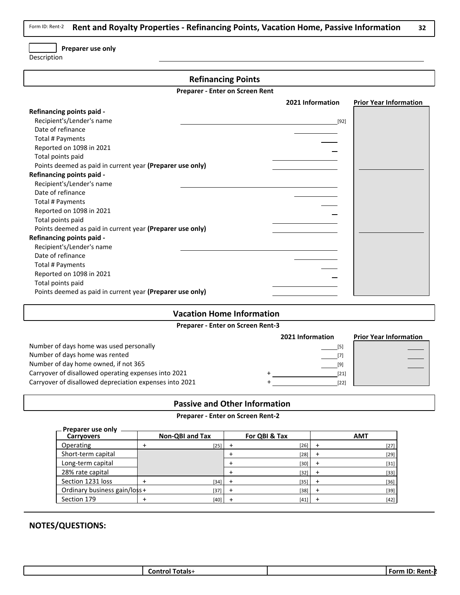**Rent and Royalty Properties ‐ Refinancing Points, Vacation Home, Passive Information 32** Form ID: Rent‐2

#### **Preparer use only**

Description

#### **Refinancing Points**

**Preparer ‐ Enter on Screen Rent**

|                                                           | 2021 Information | <b>Prior Year Information</b> |
|-----------------------------------------------------------|------------------|-------------------------------|
| Refinancing points paid -                                 |                  |                               |
| Recipient's/Lender's name                                 | $[92]$           |                               |
| Date of refinance                                         |                  |                               |
| Total # Payments                                          |                  |                               |
| Reported on 1098 in 2021                                  |                  |                               |
| Total points paid                                         |                  |                               |
| Points deemed as paid in current year (Preparer use only) |                  |                               |
| <b>Refinancing points paid -</b>                          |                  |                               |
| Recipient's/Lender's name                                 |                  |                               |
| Date of refinance                                         |                  |                               |
| Total # Payments                                          |                  |                               |
| Reported on 1098 in 2021                                  |                  |                               |
| Total points paid                                         |                  |                               |
| Points deemed as paid in current year (Preparer use only) |                  |                               |
| <b>Refinancing points paid -</b>                          |                  |                               |
| Recipient's/Lender's name                                 |                  |                               |
| Date of refinance                                         |                  |                               |
| Total # Payments                                          |                  |                               |
| Reported on 1098 in 2021                                  |                  |                               |
| Total points paid                                         |                  |                               |
| Points deemed as paid in current year (Preparer use only) |                  |                               |

#### **Vacation Home Information**

**Preparer ‐ Enter on Screen Rent‐3**

|                                                         | 2021 Information | <b>Prior Year Information</b> |
|---------------------------------------------------------|------------------|-------------------------------|
| Number of days home was used personally                 | ſ5'              |                               |
| Number of days home was rented                          |                  |                               |
| Number of day home owned, if not 365                    |                  |                               |
| Carryover of disallowed operating expenses into 2021    | $[21]$           |                               |
| Carryover of disallowed depreciation expenses into 2021 | [22]             |                               |

#### **Passive and Other Information**

#### **Preparer ‐ Enter on Screen Rent‐2**

| - Preparer use only          |                        |               |            |
|------------------------------|------------------------|---------------|------------|
| <b>Carryovers</b>            | <b>Non-QBI and Tax</b> | For QBI & Tax | <b>AMT</b> |
| Operating                    | $[25]$                 | $[26]$        | $[27]$     |
| Short-term capital           |                        | $[28]$        | $[29]$     |
| Long-term capital            |                        | $[30]$        | $[31]$     |
| 28% rate capital             |                        | $[32]$        | $[33]$     |
| Section 1231 loss            | [34]                   | $[35]$        | $[36]$     |
| Ordinary business gain/loss+ | [37]                   | $[38]$        | $[39]$     |
| Section 179                  | $[40]$                 | $[41]$        | $[42]$     |

| $\sim$<br><b>Form</b><br>∟ontr⊆<br>Totals-<br>Pon |
|---------------------------------------------------|
|---------------------------------------------------|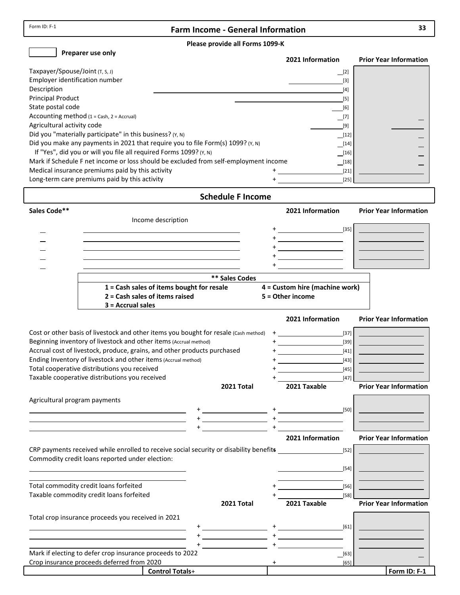$\overline{1}$ 

## **Farm Income ‐ General Information 33**

#### **Please provide all Forms 1099‐K**

**Preparer use only**

|                                                                                      | 2021 Information  | <b>Prior Year Information</b> |
|--------------------------------------------------------------------------------------|-------------------|-------------------------------|
| Taxpayer/Spouse/Joint (T, S, J)                                                      | [2]               |                               |
| Employer identification number                                                       | $\lceil 3 \rceil$ |                               |
| Description                                                                          | [4]               |                               |
| <b>Principal Product</b>                                                             | [5]               |                               |
| State postal code                                                                    | [6]               |                               |
| Accounting method $(1 = Cash, 2 = Accrual)$                                          | $\Box$ [7]        |                               |
| Agricultural activity code                                                           | [9]               |                               |
| Did you "materially participate" in this business? (Y, N)                            | $\Box$ [12]       |                               |
| Did you make any payments in 2021 that require you to file Form(s) 1099? (Y, N)      | $\Box$ [14]       |                               |
| If "Yes", did you or will you file all required Forms 1099? (Y, N)                   |                   |                               |
| Mark if Schedule F net income or loss should be excluded from self-employment income | $^{[18]}$         |                               |
| Medical insurance premiums paid by this activity                                     | $[21]$            |                               |
| Long-term care premiums paid by this activity                                        | $[25]$            |                               |

| <b>Schedule F Income</b>      |                                                                                                                                           |                                             |                       |     |                                                                                                                                                                                                                                     |                                           |                               |
|-------------------------------|-------------------------------------------------------------------------------------------------------------------------------------------|---------------------------------------------|-----------------------|-----|-------------------------------------------------------------------------------------------------------------------------------------------------------------------------------------------------------------------------------------|-------------------------------------------|-------------------------------|
| Sales Code**                  |                                                                                                                                           |                                             |                       |     | 2021 Information                                                                                                                                                                                                                    |                                           | <b>Prior Year Information</b> |
|                               |                                                                                                                                           | Income description                          |                       |     |                                                                                                                                                                                                                                     |                                           |                               |
|                               |                                                                                                                                           |                                             |                       |     |                                                                                                                                                                                                                                     |                                           |                               |
|                               |                                                                                                                                           |                                             |                       |     | <u> 1990 - John Barn Barn, amerikansk politiker</u>                                                                                                                                                                                 |                                           |                               |
|                               |                                                                                                                                           |                                             |                       |     |                                                                                                                                                                                                                                     |                                           |                               |
|                               |                                                                                                                                           |                                             |                       |     |                                                                                                                                                                                                                                     |                                           |                               |
|                               |                                                                                                                                           |                                             |                       |     |                                                                                                                                                                                                                                     |                                           |                               |
|                               |                                                                                                                                           |                                             | <b>** Sales Codes</b> |     |                                                                                                                                                                                                                                     |                                           |                               |
|                               |                                                                                                                                           | $1 =$ Cash sales of items bought for resale |                       |     | 4 = Custom hire (machine work)                                                                                                                                                                                                      |                                           |                               |
|                               | $3 =$ Accrual sales                                                                                                                       | 2 = Cash sales of items raised              |                       |     | 5 = Other income                                                                                                                                                                                                                    |                                           |                               |
|                               |                                                                                                                                           |                                             |                       |     |                                                                                                                                                                                                                                     |                                           |                               |
|                               |                                                                                                                                           |                                             |                       |     | 2021 Information                                                                                                                                                                                                                    |                                           | <b>Prior Year Information</b> |
|                               | Cost or other basis of livestock and other items you bought for resale (Cash method)                                                      |                                             |                       |     |                                                                                                                                                                                                                                     | [37]                                      |                               |
|                               | Beginning inventory of livestock and other items (Accrual method)                                                                         |                                             |                       |     |                                                                                                                                                                                                                                     | $[39]$                                    |                               |
|                               | Accrual cost of livestock, produce, grains, and other products purchased                                                                  |                                             |                       |     |                                                                                                                                                                                                                                     | $[41]$                                    |                               |
|                               | Ending Inventory of livestock and other items (Accrual method)                                                                            |                                             |                       |     |                                                                                                                                                                                                                                     | $[43]$                                    |                               |
|                               | Total cooperative distributions you received                                                                                              |                                             |                       |     |                                                                                                                                                                                                                                     | $[45]$                                    |                               |
|                               | Taxable cooperative distributions you received                                                                                            |                                             |                       |     | 2021 Taxable                                                                                                                                                                                                                        | $[47]$                                    | <b>Prior Year Information</b> |
|                               |                                                                                                                                           |                                             | 2021 Total            |     |                                                                                                                                                                                                                                     |                                           |                               |
| Agricultural program payments |                                                                                                                                           |                                             |                       |     |                                                                                                                                                                                                                                     |                                           |                               |
|                               |                                                                                                                                           |                                             |                       |     | $+\underline{\hspace{1.5cm}} \hspace{1.5cm} [50]$                                                                                                                                                                                   |                                           |                               |
|                               |                                                                                                                                           |                                             |                       |     | $+$ <u>. The contract of the contract of the contract of the contract of the contract of the contract of the contract of the contract of the contract of the contract of the contract of the contract of the contract of the co</u> |                                           |                               |
|                               |                                                                                                                                           |                                             |                       |     | 2021 Information                                                                                                                                                                                                                    |                                           | <b>Prior Year Information</b> |
|                               |                                                                                                                                           |                                             |                       |     |                                                                                                                                                                                                                                     |                                           |                               |
|                               | CRP payments received while enrolled to receive social security or disability benefits<br>Commodity credit loans reported under election: |                                             |                       |     |                                                                                                                                                                                                                                     | $[52]$                                    |                               |
|                               |                                                                                                                                           |                                             |                       |     |                                                                                                                                                                                                                                     | $[54]$                                    |                               |
|                               |                                                                                                                                           |                                             |                       |     |                                                                                                                                                                                                                                     |                                           |                               |
|                               | Total commodity credit loans forfeited                                                                                                    |                                             |                       |     |                                                                                                                                                                                                                                     | $[56]$                                    |                               |
|                               | Taxable commodity credit loans forfeited                                                                                                  |                                             |                       |     |                                                                                                                                                                                                                                     | $[58]$                                    |                               |
|                               |                                                                                                                                           |                                             | 2021 Total            |     | 2021 Taxable                                                                                                                                                                                                                        |                                           | <b>Prior Year Information</b> |
|                               | Total crop insurance proceeds you received in 2021                                                                                        |                                             |                       |     |                                                                                                                                                                                                                                     |                                           |                               |
|                               |                                                                                                                                           |                                             |                       |     |                                                                                                                                                                                                                                     | [61]                                      |                               |
|                               |                                                                                                                                           |                                             |                       |     |                                                                                                                                                                                                                                     |                                           |                               |
|                               |                                                                                                                                           |                                             |                       |     |                                                                                                                                                                                                                                     |                                           |                               |
|                               | Mark if electing to defer crop insurance proceeds to 2022                                                                                 |                                             |                       |     |                                                                                                                                                                                                                                     | $\begin{array}{c} \boxed{63} \end{array}$ |                               |
|                               | Crop insurance proceeds deferred from 2020                                                                                                |                                             |                       | $+$ |                                                                                                                                                                                                                                     | [65]                                      |                               |
|                               |                                                                                                                                           | <b>Control Totals+</b>                      |                       |     |                                                                                                                                                                                                                                     |                                           | Form ID: F-1                  |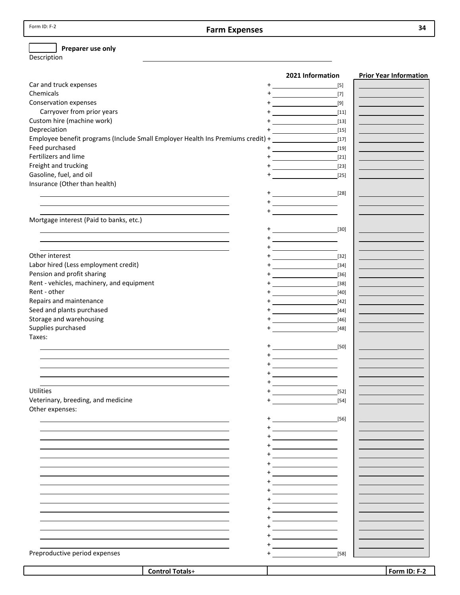### **Preparer use only**

Description

|                                                                                                                                                                                                                               | 2021 Information                                                                                                                                                                                                                                                                                                                                                                                                                                                                            | <b>Prior Year Information</b> |
|-------------------------------------------------------------------------------------------------------------------------------------------------------------------------------------------------------------------------------|---------------------------------------------------------------------------------------------------------------------------------------------------------------------------------------------------------------------------------------------------------------------------------------------------------------------------------------------------------------------------------------------------------------------------------------------------------------------------------------------|-------------------------------|
| Car and truck expenses                                                                                                                                                                                                        | $^+$<br>$[5]$<br><u> 1980 - John Barn Barn, mars a</u>                                                                                                                                                                                                                                                                                                                                                                                                                                      |                               |
| Chemicals                                                                                                                                                                                                                     | $[7]$                                                                                                                                                                                                                                                                                                                                                                                                                                                                                       |                               |
| Conservation expenses                                                                                                                                                                                                         | <u> 1989 - Jan Stein Stein Stein Stein Stein Stein Stein Stein Stein Stein Stein Stein Stein Stein Stein Stein S</u><br>$[9]$                                                                                                                                                                                                                                                                                                                                                               |                               |
| Carryover from prior years                                                                                                                                                                                                    | $[11]$                                                                                                                                                                                                                                                                                                                                                                                                                                                                                      |                               |
| Custom hire (machine work)                                                                                                                                                                                                    | $[13]$<br><u> 1989 - Johann Barn, mars and de Branch Barn, mars and de Branch Barn, mars and de Branch Barn, mars and de Br</u>                                                                                                                                                                                                                                                                                                                                                             |                               |
| Depreciation                                                                                                                                                                                                                  | $[15]$                                                                                                                                                                                                                                                                                                                                                                                                                                                                                      |                               |
| Employee benefit programs (Include Small Employer Health Ins Premiums credit) +                                                                                                                                               | $[17]$                                                                                                                                                                                                                                                                                                                                                                                                                                                                                      |                               |
| Feed purchased                                                                                                                                                                                                                | $[19] % \includegraphics[width=0.9\columnwidth]{figures/fig_0a.pdf} \caption{The 100 of the estimators in the left and right. The left is the same time, the right is the same time.} \label{fig:1}$                                                                                                                                                                                                                                                                                        |                               |
| Fertilizers and lime                                                                                                                                                                                                          | $+$ [21]                                                                                                                                                                                                                                                                                                                                                                                                                                                                                    |                               |
| Freight and trucking                                                                                                                                                                                                          | $+$ [23]                                                                                                                                                                                                                                                                                                                                                                                                                                                                                    |                               |
| Gasoline, fuel, and oil                                                                                                                                                                                                       | $[25]$                                                                                                                                                                                                                                                                                                                                                                                                                                                                                      |                               |
| Insurance (Other than health)                                                                                                                                                                                                 |                                                                                                                                                                                                                                                                                                                                                                                                                                                                                             |                               |
|                                                                                                                                                                                                                               | $+$ [28]                                                                                                                                                                                                                                                                                                                                                                                                                                                                                    |                               |
|                                                                                                                                                                                                                               | $+\underbrace{\hspace{2.5cm}}$                                                                                                                                                                                                                                                                                                                                                                                                                                                              |                               |
| the control of the control of the control of the control of the control of the control of the control of the control of the control of the control of the control of the control of the control of the control of the control |                                                                                                                                                                                                                                                                                                                                                                                                                                                                                             |                               |
| Mortgage interest (Paid to banks, etc.)                                                                                                                                                                                       |                                                                                                                                                                                                                                                                                                                                                                                                                                                                                             |                               |
|                                                                                                                                                                                                                               | $+$ [30]                                                                                                                                                                                                                                                                                                                                                                                                                                                                                    |                               |
|                                                                                                                                                                                                                               |                                                                                                                                                                                                                                                                                                                                                                                                                                                                                             |                               |
|                                                                                                                                                                                                                               | $+$ $      -$                                                                                                                                                                                                                                                                                                                                                                                                                                                                               |                               |
| Other interest                                                                                                                                                                                                                | $\begin{picture}(20,20)(-0,0) \put(0,0){\line(1,0){10}} \put(15,0){\line(1,0){10}} \put(15,0){\line(1,0){10}} \put(15,0){\line(1,0){10}} \put(15,0){\line(1,0){10}} \put(15,0){\line(1,0){10}} \put(15,0){\line(1,0){10}} \put(15,0){\line(1,0){10}} \put(15,0){\line(1,0){10}} \put(15,0){\line(1,0){10}} \put(15,0){\line(1,0){10}} \put(15,0$<br>$[32]$                                                                                                                                  |                               |
| Labor hired (Less employment credit)                                                                                                                                                                                          |                                                                                                                                                                                                                                                                                                                                                                                                                                                                                             |                               |
| Pension and profit sharing                                                                                                                                                                                                    | $[34]$                                                                                                                                                                                                                                                                                                                                                                                                                                                                                      |                               |
| Rent - vehicles, machinery, and equipment                                                                                                                                                                                     | $[36]$                                                                                                                                                                                                                                                                                                                                                                                                                                                                                      |                               |
|                                                                                                                                                                                                                               | $[38]$                                                                                                                                                                                                                                                                                                                                                                                                                                                                                      |                               |
| Rent - other                                                                                                                                                                                                                  | $[40]$                                                                                                                                                                                                                                                                                                                                                                                                                                                                                      |                               |
| Repairs and maintenance                                                                                                                                                                                                       | $+$ [42]                                                                                                                                                                                                                                                                                                                                                                                                                                                                                    |                               |
| Seed and plants purchased                                                                                                                                                                                                     | $+$ $[44]$                                                                                                                                                                                                                                                                                                                                                                                                                                                                                  |                               |
| Storage and warehousing                                                                                                                                                                                                       | [46]                                                                                                                                                                                                                                                                                                                                                                                                                                                                                        |                               |
| Supplies purchased                                                                                                                                                                                                            | [48]                                                                                                                                                                                                                                                                                                                                                                                                                                                                                        |                               |
| Taxes:                                                                                                                                                                                                                        |                                                                                                                                                                                                                                                                                                                                                                                                                                                                                             |                               |
|                                                                                                                                                                                                                               | $+$ [50]                                                                                                                                                                                                                                                                                                                                                                                                                                                                                    |                               |
|                                                                                                                                                                                                                               | $\overline{\phantom{a}}$ . The contract of $\overline{\phantom{a}}$                                                                                                                                                                                                                                                                                                                                                                                                                         |                               |
|                                                                                                                                                                                                                               | $\begin{picture}(20,20)(-0,0) \put(0,0){\line(1,0){10}} \put(15,0){\line(1,0){10}} \put(15,0){\line(1,0){10}} \put(15,0){\line(1,0){10}} \put(15,0){\line(1,0){10}} \put(15,0){\line(1,0){10}} \put(15,0){\line(1,0){10}} \put(15,0){\line(1,0){10}} \put(15,0){\line(1,0){10}} \put(15,0){\line(1,0){10}} \put(15,0){\line(1,0){10}} \put(15,0$                                                                                                                                            |                               |
|                                                                                                                                                                                                                               | $\begin{tabular}{c} \multicolumn{2}{c} {\textbf{1}}\\ \multicolumn{2}{c} {\textbf{2}}\\ \multicolumn{2}{c} {\textbf{3}}\\ \multicolumn{2}{c} {\textbf{4}}\\ \multicolumn{2}{c} {\textbf{5}}\\ \multicolumn{2}{c} {\textbf{6}}\\ \multicolumn{2}{c} {\textbf{6}}\\ \multicolumn{2}{c} {\textbf{6}}\\ \multicolumn{2}{c} {\textbf{7}}\\ \multicolumn{2}{c} {\textbf{8}}\\ \multicolumn{2}{c} {\textbf{9}}\\ \multicolumn{2}{c} {\textbf{1}}\\ \multicolumn{2}{c} {\textbf{1}}\\ \multicolumn$ |                               |
|                                                                                                                                                                                                                               |                                                                                                                                                                                                                                                                                                                                                                                                                                                                                             |                               |
| Utilities                                                                                                                                                                                                                     | $[52]$                                                                                                                                                                                                                                                                                                                                                                                                                                                                                      |                               |
| Veterinary, breeding, and medicine                                                                                                                                                                                            | $\ddot{}$<br>$[54]$                                                                                                                                                                                                                                                                                                                                                                                                                                                                         |                               |
| Other expenses:                                                                                                                                                                                                               |                                                                                                                                                                                                                                                                                                                                                                                                                                                                                             |                               |
|                                                                                                                                                                                                                               | $[56]$                                                                                                                                                                                                                                                                                                                                                                                                                                                                                      |                               |
|                                                                                                                                                                                                                               | <u>+_______________</u>                                                                                                                                                                                                                                                                                                                                                                                                                                                                     |                               |
|                                                                                                                                                                                                                               |                                                                                                                                                                                                                                                                                                                                                                                                                                                                                             |                               |
|                                                                                                                                                                                                                               | $\begin{picture}(20,20)(-0,0) \put(0,0){\line(1,0){10}} \put(15,0){\line(1,0){10}} \put(15,0){\line(1,0){10}} \put(15,0){\line(1,0){10}} \put(15,0){\line(1,0){10}} \put(15,0){\line(1,0){10}} \put(15,0){\line(1,0){10}} \put(15,0){\line(1,0){10}} \put(15,0){\line(1,0){10}} \put(15,0){\line(1,0){10}} \put(15,0){\line(1,0){10}} \put(15,0$                                                                                                                                            |                               |
|                                                                                                                                                                                                                               |                                                                                                                                                                                                                                                                                                                                                                                                                                                                                             |                               |
|                                                                                                                                                                                                                               |                                                                                                                                                                                                                                                                                                                                                                                                                                                                                             |                               |
|                                                                                                                                                                                                                               |                                                                                                                                                                                                                                                                                                                                                                                                                                                                                             |                               |
|                                                                                                                                                                                                                               |                                                                                                                                                                                                                                                                                                                                                                                                                                                                                             |                               |
|                                                                                                                                                                                                                               |                                                                                                                                                                                                                                                                                                                                                                                                                                                                                             |                               |
|                                                                                                                                                                                                                               |                                                                                                                                                                                                                                                                                                                                                                                                                                                                                             |                               |
|                                                                                                                                                                                                                               |                                                                                                                                                                                                                                                                                                                                                                                                                                                                                             |                               |
|                                                                                                                                                                                                                               |                                                                                                                                                                                                                                                                                                                                                                                                                                                                                             |                               |
|                                                                                                                                                                                                                               |                                                                                                                                                                                                                                                                                                                                                                                                                                                                                             |                               |
|                                                                                                                                                                                                                               |                                                                                                                                                                                                                                                                                                                                                                                                                                                                                             |                               |
|                                                                                                                                                                                                                               | <u> 1999 - Jan Barnett, politik e</u> ta p                                                                                                                                                                                                                                                                                                                                                                                                                                                  |                               |
| Preproductive period expenses                                                                                                                                                                                                 | $[58]$                                                                                                                                                                                                                                                                                                                                                                                                                                                                                      |                               |
|                                                                                                                                                                                                                               |                                                                                                                                                                                                                                                                                                                                                                                                                                                                                             |                               |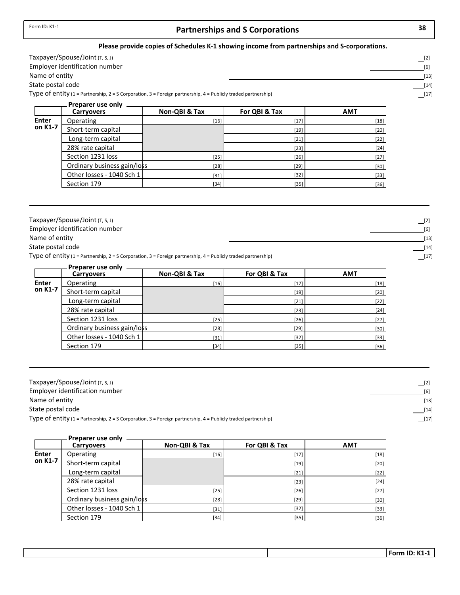## **Partnerships and S Corporations 38**

#### **Please provide copies of Schedules K‐1 showing income from partnerships and S‐corporations.**

| Тахрауеr/Spouse/Joint (т, s, J)                                                                               | [2"          |
|---------------------------------------------------------------------------------------------------------------|--------------|
| Employer identification number                                                                                | <sup>6</sup> |
| Name of entity                                                                                                | 13           |
| State postal code                                                                                             |              |
| Type of entity (1 = Partnership, 2 = S Corporation, 3 = Foreign partnership, 4 = Publicly traded partnership) | $[17$        |

|              | Preparer use only           |               |               |            |
|--------------|-----------------------------|---------------|---------------|------------|
|              | <b>Carryovers</b>           | Non-QBI & Tax | For QBI & Tax | <b>AMT</b> |
| <b>Enter</b> | Operating                   | $[16]$        | $[17]$        | $[18]$     |
| on K1-7      | Short-term capital          |               | $[19]$        | $[20]$     |
|              | Long-term capital           |               | $[21]$        | $[22]$     |
|              | 28% rate capital            |               | $[23]$        | $[24]$     |
|              | Section 1231 loss           | $[25]$        | $[26]$        | $[27]$     |
|              | Ordinary business gain/loss | $[28]$        | $[29]$        | $[30]$     |
|              | Other losses - 1040 Sch 1   | $[31]$        | $[32]$        | $[33]$     |
|              | Section 179                 | $[34]$        | $[35]$        | $[36]$     |

| Taxpayer/Spouse/Joint $(T, S, J)$                                                                             | $[2]$       |
|---------------------------------------------------------------------------------------------------------------|-------------|
| Employer identification number                                                                                | [6]         |
| Name of entity                                                                                                | $[13]$      |
| State postal code                                                                                             | $[14]$      |
| Type of entity (1 = Partnership, 2 = S Corporation, 3 = Foreign partnership, 4 = Publicly traded partnership) | $\Box$ [17] |

|              | Preparer use only           |               |               |            |
|--------------|-----------------------------|---------------|---------------|------------|
|              | <b>Carryovers</b>           | Non-QBI & Tax | For QBI & Tax | <b>AMT</b> |
| <b>Enter</b> | Operating                   | $[16]$        | $[17]$        | $[18]$     |
| on K1-7      | Short-term capital          |               | $[19]$        | $[20]$     |
|              | Long-term capital           |               | $[21]$        | $[22]$     |
|              | 28% rate capital            |               | $[23]$        | $[24]$     |
|              | Section 1231 loss           | $[25]$        | $[26]$        | $[27]$     |
|              | Ordinary business gain/loss | $[28]$        | $[29]$        | $[30]$     |
|              | Other losses - 1040 Sch 1   | $[31]$        | $[32]$        | $[33]$     |
|              | Section 179                 | $[34]$        | $[35]$        | $[36]$     |

| Taxpayer/Spouse/Joint $(T, S, J)$                                                                             | $[2]$  |
|---------------------------------------------------------------------------------------------------------------|--------|
| Employer identification number                                                                                | [6]    |
| Name of entity                                                                                                | $[13]$ |
| State postal code                                                                                             | $[14]$ |
| Type of entity (1 = Partnership, 2 = S Corporation, 3 = Foreign partnership, 4 = Publicly traded partnership) | $[17]$ |

|              | Preparer use only           |               |               |            |
|--------------|-----------------------------|---------------|---------------|------------|
|              | <b>Carryovers</b>           | Non-QBI & Tax | For QBI & Tax | <b>AMT</b> |
| <b>Enter</b> | Operating                   | $[16]$        | $[17]$        | $[18]$     |
| on K1-7      | Short-term capital          |               | $[19]$        | $[20]$     |
|              | Long-term capital           |               | $[21]$        | $[22]$     |
|              | 28% rate capital            |               | $[23]$        | $[24]$     |
|              | Section 1231 loss           | $[25]$        | $[26]$        | $[27]$     |
|              | Ordinary business gain/loss | $[28]$        | $[29]$        | $[30]$     |
|              | Other losses - 1040 Sch 1   | $[31]$        | $[32]$        | $[33]$     |
|              | Section 179                 | $[34]$        | $[35]$        | $[36]$     |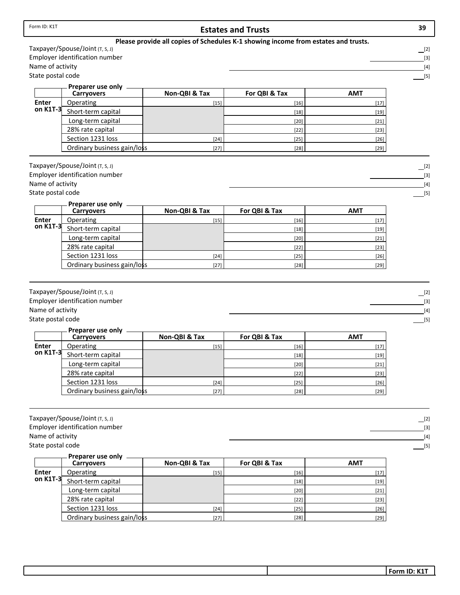|                                       | Taxpayer/Spouse/Joint (T, S, J)                                   |               |               |            | $\boxed{[2]}$                                                                                                                                                                                                                                                                                                                                                                                                                                                                                                                                                                                                                                                                                                                                                                                                                                                                                                                                                                                                                                                                                                                                                                                                                                                                                                                                                                                                                                                                                                                                                                                                                                                                                                                                                                                                                                                                                             |
|---------------------------------------|-------------------------------------------------------------------|---------------|---------------|------------|-----------------------------------------------------------------------------------------------------------------------------------------------------------------------------------------------------------------------------------------------------------------------------------------------------------------------------------------------------------------------------------------------------------------------------------------------------------------------------------------------------------------------------------------------------------------------------------------------------------------------------------------------------------------------------------------------------------------------------------------------------------------------------------------------------------------------------------------------------------------------------------------------------------------------------------------------------------------------------------------------------------------------------------------------------------------------------------------------------------------------------------------------------------------------------------------------------------------------------------------------------------------------------------------------------------------------------------------------------------------------------------------------------------------------------------------------------------------------------------------------------------------------------------------------------------------------------------------------------------------------------------------------------------------------------------------------------------------------------------------------------------------------------------------------------------------------------------------------------------------------------------------------------------|
|                                       | Employer identification number                                    |               |               |            | $[3]$                                                                                                                                                                                                                                                                                                                                                                                                                                                                                                                                                                                                                                                                                                                                                                                                                                                                                                                                                                                                                                                                                                                                                                                                                                                                                                                                                                                                                                                                                                                                                                                                                                                                                                                                                                                                                                                                                                     |
| Name of activity                      |                                                                   |               |               |            | $[4] % \includegraphics[width=0.9\columnwidth]{figures/fig_4} \caption{A graph shows a function of the number of times, and the number of times, in the right, the number of times, in the right, the number of times, in the right, the number of times, in the right, the number of times, in the right, the number of times, in the right, the number of times, in the right, the number of times, in the right, the number of times, in the right, the number of times, in the right, the number of times, in the right, the number of times, in the right, the number of times, in the right, the number of times, in the right, the number of times, in the right, the number of times, in the right, the number of times, in the right, the number of times, in the right, the number of times, in the right, the number of times, in the right, the number$                                                                                                                                                                                                                                                                                                                                                                                                                                                                                                                                                                                                                                                                                                                                                                                                                                                                                                                                                                                                                                       |
| State postal code                     |                                                                   |               |               |            | $[5]$                                                                                                                                                                                                                                                                                                                                                                                                                                                                                                                                                                                                                                                                                                                                                                                                                                                                                                                                                                                                                                                                                                                                                                                                                                                                                                                                                                                                                                                                                                                                                                                                                                                                                                                                                                                                                                                                                                     |
|                                       | Preparer use only                                                 |               |               |            |                                                                                                                                                                                                                                                                                                                                                                                                                                                                                                                                                                                                                                                                                                                                                                                                                                                                                                                                                                                                                                                                                                                                                                                                                                                                                                                                                                                                                                                                                                                                                                                                                                                                                                                                                                                                                                                                                                           |
|                                       | Carryovers                                                        | Non-QBI & Tax | For QBI & Tax | <b>AMT</b> |                                                                                                                                                                                                                                                                                                                                                                                                                                                                                                                                                                                                                                                                                                                                                                                                                                                                                                                                                                                                                                                                                                                                                                                                                                                                                                                                                                                                                                                                                                                                                                                                                                                                                                                                                                                                                                                                                                           |
| <b>Enter</b><br>on K1T-3              | Operating                                                         | $[15]$        | $[16]$        | $[17]$     |                                                                                                                                                                                                                                                                                                                                                                                                                                                                                                                                                                                                                                                                                                                                                                                                                                                                                                                                                                                                                                                                                                                                                                                                                                                                                                                                                                                                                                                                                                                                                                                                                                                                                                                                                                                                                                                                                                           |
|                                       | Short-term capital                                                |               | $[18]$        | $[19]$     |                                                                                                                                                                                                                                                                                                                                                                                                                                                                                                                                                                                                                                                                                                                                                                                                                                                                                                                                                                                                                                                                                                                                                                                                                                                                                                                                                                                                                                                                                                                                                                                                                                                                                                                                                                                                                                                                                                           |
|                                       | Long-term capital                                                 |               | $[20]$        | $[21]$     |                                                                                                                                                                                                                                                                                                                                                                                                                                                                                                                                                                                                                                                                                                                                                                                                                                                                                                                                                                                                                                                                                                                                                                                                                                                                                                                                                                                                                                                                                                                                                                                                                                                                                                                                                                                                                                                                                                           |
|                                       | 28% rate capital                                                  |               | $[22]$        | $[23]$     |                                                                                                                                                                                                                                                                                                                                                                                                                                                                                                                                                                                                                                                                                                                                                                                                                                                                                                                                                                                                                                                                                                                                                                                                                                                                                                                                                                                                                                                                                                                                                                                                                                                                                                                                                                                                                                                                                                           |
|                                       | Section 1231 loss                                                 | $[24]$        | $[25]$        | $[26]$     |                                                                                                                                                                                                                                                                                                                                                                                                                                                                                                                                                                                                                                                                                                                                                                                                                                                                                                                                                                                                                                                                                                                                                                                                                                                                                                                                                                                                                                                                                                                                                                                                                                                                                                                                                                                                                                                                                                           |
|                                       | Ordinary business gain/loss                                       | $[27]$        | $[28]$        | $[29]$     |                                                                                                                                                                                                                                                                                                                                                                                                                                                                                                                                                                                                                                                                                                                                                                                                                                                                                                                                                                                                                                                                                                                                                                                                                                                                                                                                                                                                                                                                                                                                                                                                                                                                                                                                                                                                                                                                                                           |
|                                       | Taxpayer/Spouse/Joint (T, S, J)                                   |               |               |            | $\lfloor 2 \rfloor$                                                                                                                                                                                                                                                                                                                                                                                                                                                                                                                                                                                                                                                                                                                                                                                                                                                                                                                                                                                                                                                                                                                                                                                                                                                                                                                                                                                                                                                                                                                                                                                                                                                                                                                                                                                                                                                                                       |
|                                       | Employer identification number                                    |               |               |            | $[3] % \begin{center} \includegraphics[width=\linewidth]{imagesSupplemental/Imit} \caption{The image shows the image shows a single number of times.} \label{fig:limal} \end{center}$                                                                                                                                                                                                                                                                                                                                                                                                                                                                                                                                                                                                                                                                                                                                                                                                                                                                                                                                                                                                                                                                                                                                                                                                                                                                                                                                                                                                                                                                                                                                                                                                                                                                                                                     |
| Name of activity                      |                                                                   |               |               |            | $[4] % \includegraphics[width=0.9\columnwidth]{figures/fig_4} \caption{A graph shows a function of the number of times, and the number of times, in the right, the number of times, in the right, the number of times, in the right, the number of times, in the right, the number of times, in the right, the number of times, in the right, the number of times, in the right, the number of times, in the right, the number of times, in the right, the number of times, in the right, the number of times, in the right, the number of times, in the right, the number of times, in the right, the number of times, in the right, the number of times, in the right, the number of times, in the right, the number of times, in the right, the number of times, in the right, the number of times, in the right, the number of times, in the right, the number$                                                                                                                                                                                                                                                                                                                                                                                                                                                                                                                                                                                                                                                                                                                                                                                                                                                                                                                                                                                                                                       |
| State postal code                     |                                                                   |               |               |            | $[5]$                                                                                                                                                                                                                                                                                                                                                                                                                                                                                                                                                                                                                                                                                                                                                                                                                                                                                                                                                                                                                                                                                                                                                                                                                                                                                                                                                                                                                                                                                                                                                                                                                                                                                                                                                                                                                                                                                                     |
|                                       |                                                                   |               |               |            |                                                                                                                                                                                                                                                                                                                                                                                                                                                                                                                                                                                                                                                                                                                                                                                                                                                                                                                                                                                                                                                                                                                                                                                                                                                                                                                                                                                                                                                                                                                                                                                                                                                                                                                                                                                                                                                                                                           |
|                                       | Preparer use only<br>Carryovers                                   | Non-QBI & Tax | For QBI & Tax | <b>AMT</b> |                                                                                                                                                                                                                                                                                                                                                                                                                                                                                                                                                                                                                                                                                                                                                                                                                                                                                                                                                                                                                                                                                                                                                                                                                                                                                                                                                                                                                                                                                                                                                                                                                                                                                                                                                                                                                                                                                                           |
| <b>Enter</b>                          | Operating                                                         | $[15]$        | $[16]$        | $[17]$     |                                                                                                                                                                                                                                                                                                                                                                                                                                                                                                                                                                                                                                                                                                                                                                                                                                                                                                                                                                                                                                                                                                                                                                                                                                                                                                                                                                                                                                                                                                                                                                                                                                                                                                                                                                                                                                                                                                           |
| on K1T-3                              | Short-term capital                                                |               | $[18]$        | $[19]$     |                                                                                                                                                                                                                                                                                                                                                                                                                                                                                                                                                                                                                                                                                                                                                                                                                                                                                                                                                                                                                                                                                                                                                                                                                                                                                                                                                                                                                                                                                                                                                                                                                                                                                                                                                                                                                                                                                                           |
|                                       | Long-term capital                                                 |               | $[20]$        | $[21]$     |                                                                                                                                                                                                                                                                                                                                                                                                                                                                                                                                                                                                                                                                                                                                                                                                                                                                                                                                                                                                                                                                                                                                                                                                                                                                                                                                                                                                                                                                                                                                                                                                                                                                                                                                                                                                                                                                                                           |
|                                       | 28% rate capital                                                  |               | $[22]$        | $[23]$     |                                                                                                                                                                                                                                                                                                                                                                                                                                                                                                                                                                                                                                                                                                                                                                                                                                                                                                                                                                                                                                                                                                                                                                                                                                                                                                                                                                                                                                                                                                                                                                                                                                                                                                                                                                                                                                                                                                           |
|                                       | Section 1231 loss                                                 | $[24]$        | $[25]$        | $[26]$     |                                                                                                                                                                                                                                                                                                                                                                                                                                                                                                                                                                                                                                                                                                                                                                                                                                                                                                                                                                                                                                                                                                                                                                                                                                                                                                                                                                                                                                                                                                                                                                                                                                                                                                                                                                                                                                                                                                           |
|                                       | Ordinary business gain/loss                                       | $[27]$        | $[28]$        | $[29]$     |                                                                                                                                                                                                                                                                                                                                                                                                                                                                                                                                                                                                                                                                                                                                                                                                                                                                                                                                                                                                                                                                                                                                                                                                                                                                                                                                                                                                                                                                                                                                                                                                                                                                                                                                                                                                                                                                                                           |
| Name of activity<br>State postal code | Taxpayer/Spouse/Joint (T, S, J)<br>Employer identification number |               |               |            | $\Box$ [2]<br>$[3] % \begin{center} \includegraphics[width=\linewidth]{imagesSupplemental/Imetad-Architecture.png} \end{center} % \vspace*{-1em} \caption{The image shows the number of parameters of the parameter $A$. The first two times the number of parameters of the parameter $A$. The first two times the number of parameters of the parameter $A$. The first two times the number of parameters of the parameter $A$. The first two times the number of parameters of the parameter $A$. The first two times the number of parameters of the parameter $A$. The first two times the number of parameters of the parameter $A$. The first two times the number of parameters of the parameter $A$. The first two times the number of parameters of the parameter $A$. The first two times the number of parameters of the parameter $A$. The first two times the number of parameters of the parameter $A$. The first two times the number of parameters of the parameter $A$. The first two times the number$<br>$[4] % \includegraphics[width=0.9\columnwidth]{figures/fig_4} \caption{A graph shows a function of the number of times, and the number of times, in the right, the number of times, in the right, the number of times, in the right, the number of times, in the right, the number of times, in the right, the number of times, in the right, the number of times, in the right, the number of times, in the right, the number of times, in the right, the number of times, in the right, the number of times, in the right, the number of times, in the right, the number of times, in the right, the number of times, in the right, the number of times, in the right, the number of times, in the right, the number of times, in the right, the number of times, in the right, the number of times, in the right, the number of times, in the right, the number$<br>$[5]$ |
|                                       | Preparer use only                                                 |               |               |            |                                                                                                                                                                                                                                                                                                                                                                                                                                                                                                                                                                                                                                                                                                                                                                                                                                                                                                                                                                                                                                                                                                                                                                                                                                                                                                                                                                                                                                                                                                                                                                                                                                                                                                                                                                                                                                                                                                           |
|                                       | Carryovers                                                        | Non-QBI & Tax | For QBI & Tax | <b>AMT</b> |                                                                                                                                                                                                                                                                                                                                                                                                                                                                                                                                                                                                                                                                                                                                                                                                                                                                                                                                                                                                                                                                                                                                                                                                                                                                                                                                                                                                                                                                                                                                                                                                                                                                                                                                                                                                                                                                                                           |
| <b>Enter</b><br>on K1T-3              | Operating                                                         | $[15]$        | $[16]$        | $[17]$     |                                                                                                                                                                                                                                                                                                                                                                                                                                                                                                                                                                                                                                                                                                                                                                                                                                                                                                                                                                                                                                                                                                                                                                                                                                                                                                                                                                                                                                                                                                                                                                                                                                                                                                                                                                                                                                                                                                           |
|                                       | Short-term capital                                                |               | $[18]$        | $[19]$     |                                                                                                                                                                                                                                                                                                                                                                                                                                                                                                                                                                                                                                                                                                                                                                                                                                                                                                                                                                                                                                                                                                                                                                                                                                                                                                                                                                                                                                                                                                                                                                                                                                                                                                                                                                                                                                                                                                           |
|                                       | Long-term capital                                                 |               | $[20]$        | $[21]$     |                                                                                                                                                                                                                                                                                                                                                                                                                                                                                                                                                                                                                                                                                                                                                                                                                                                                                                                                                                                                                                                                                                                                                                                                                                                                                                                                                                                                                                                                                                                                                                                                                                                                                                                                                                                                                                                                                                           |
|                                       | 28% rate capital                                                  |               | $[22]$        | $[23]$     |                                                                                                                                                                                                                                                                                                                                                                                                                                                                                                                                                                                                                                                                                                                                                                                                                                                                                                                                                                                                                                                                                                                                                                                                                                                                                                                                                                                                                                                                                                                                                                                                                                                                                                                                                                                                                                                                                                           |
|                                       | Section 1231 loss                                                 | $[24]$        | $[25]$        | $[26]$     |                                                                                                                                                                                                                                                                                                                                                                                                                                                                                                                                                                                                                                                                                                                                                                                                                                                                                                                                                                                                                                                                                                                                                                                                                                                                                                                                                                                                                                                                                                                                                                                                                                                                                                                                                                                                                                                                                                           |
|                                       | Ordinary business gain/loss                                       | $[27]$        | $[28]$        | $[29]$     |                                                                                                                                                                                                                                                                                                                                                                                                                                                                                                                                                                                                                                                                                                                                                                                                                                                                                                                                                                                                                                                                                                                                                                                                                                                                                                                                                                                                                                                                                                                                                                                                                                                                                                                                                                                                                                                                                                           |
| Name of activity<br>State postal code | Taxpayer/Spouse/Joint (T, S, J)<br>Employer identification number |               |               |            | $\lfloor 2 \rfloor$<br>$[3]$<br>$[4]$<br>$[5]$                                                                                                                                                                                                                                                                                                                                                                                                                                                                                                                                                                                                                                                                                                                                                                                                                                                                                                                                                                                                                                                                                                                                                                                                                                                                                                                                                                                                                                                                                                                                                                                                                                                                                                                                                                                                                                                            |
|                                       | Preparer use only                                                 |               |               |            |                                                                                                                                                                                                                                                                                                                                                                                                                                                                                                                                                                                                                                                                                                                                                                                                                                                                                                                                                                                                                                                                                                                                                                                                                                                                                                                                                                                                                                                                                                                                                                                                                                                                                                                                                                                                                                                                                                           |
|                                       | <b>Carryovers</b>                                                 | Non-QBI & Tax | For QBI & Tax | <b>AMT</b> |                                                                                                                                                                                                                                                                                                                                                                                                                                                                                                                                                                                                                                                                                                                                                                                                                                                                                                                                                                                                                                                                                                                                                                                                                                                                                                                                                                                                                                                                                                                                                                                                                                                                                                                                                                                                                                                                                                           |
| <b>Enter</b><br>on K1T-3              | Operating                                                         | $[15]$        | $[16]$        | $[17]$     |                                                                                                                                                                                                                                                                                                                                                                                                                                                                                                                                                                                                                                                                                                                                                                                                                                                                                                                                                                                                                                                                                                                                                                                                                                                                                                                                                                                                                                                                                                                                                                                                                                                                                                                                                                                                                                                                                                           |
|                                       | Short-term capital                                                |               | $[18]$        | $[19]$     |                                                                                                                                                                                                                                                                                                                                                                                                                                                                                                                                                                                                                                                                                                                                                                                                                                                                                                                                                                                                                                                                                                                                                                                                                                                                                                                                                                                                                                                                                                                                                                                                                                                                                                                                                                                                                                                                                                           |
|                                       | Long-term capital                                                 |               | $[20]$        | $[21]$     |                                                                                                                                                                                                                                                                                                                                                                                                                                                                                                                                                                                                                                                                                                                                                                                                                                                                                                                                                                                                                                                                                                                                                                                                                                                                                                                                                                                                                                                                                                                                                                                                                                                                                                                                                                                                                                                                                                           |
|                                       | 28% rate capital                                                  |               | $[22]$        | $[23]$     |                                                                                                                                                                                                                                                                                                                                                                                                                                                                                                                                                                                                                                                                                                                                                                                                                                                                                                                                                                                                                                                                                                                                                                                                                                                                                                                                                                                                                                                                                                                                                                                                                                                                                                                                                                                                                                                                                                           |
|                                       | Section 1231 loss                                                 | $[24]$        | $[25]$        | $[26]$     |                                                                                                                                                                                                                                                                                                                                                                                                                                                                                                                                                                                                                                                                                                                                                                                                                                                                                                                                                                                                                                                                                                                                                                                                                                                                                                                                                                                                                                                                                                                                                                                                                                                                                                                                                                                                                                                                                                           |
|                                       | Ordinary business gain/loss                                       | $[27]$        | $[28]$        | $[29]$     |                                                                                                                                                                                                                                                                                                                                                                                                                                                                                                                                                                                                                                                                                                                                                                                                                                                                                                                                                                                                                                                                                                                                                                                                                                                                                                                                                                                                                                                                                                                                                                                                                                                                                                                                                                                                                                                                                                           |

## **Please provide all copies of Schedules K‐1 showing income from estates and trusts.**

Form ID: K1T

# **Estates and Trusts 39**

 $[4]$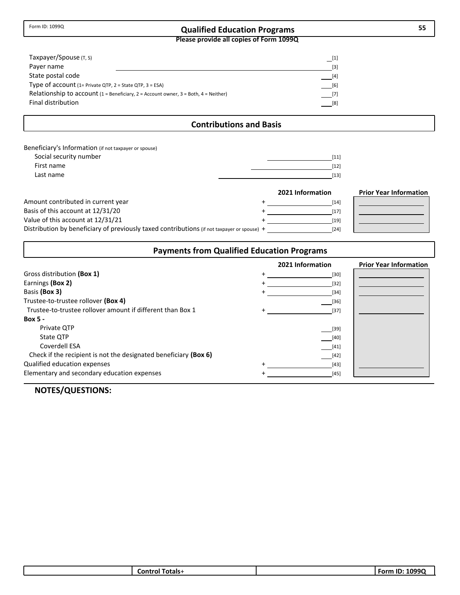## **Qualified Education Programs 55**

**Please provide all copies of Form 1099Q**

| Taxpayer/Spouse (T, S)                                                                                             | $[1] % \includegraphics[width=0.9\columnwidth]{figures/fig_1a} \caption{The figure shows the number of times, and the number of times, and the number of times, and the number of times, are indicated with the number of times, and the number of times, are indicated with the number of times, and the number of times, are indicated with the number of times, and the number of times, are indicated with the number of times, and the number of times, are indicated with the number of times, and the number of times, are indicated with the number of times, and the number of times, are indicated with the number of times, and the number of times, are indicated with the number of times.} \label{fig:time}$ |
|--------------------------------------------------------------------------------------------------------------------|----------------------------------------------------------------------------------------------------------------------------------------------------------------------------------------------------------------------------------------------------------------------------------------------------------------------------------------------------------------------------------------------------------------------------------------------------------------------------------------------------------------------------------------------------------------------------------------------------------------------------------------------------------------------------------------------------------------------------|
| Payer name                                                                                                         | $\lceil 3 \rceil$                                                                                                                                                                                                                                                                                                                                                                                                                                                                                                                                                                                                                                                                                                          |
| State postal code                                                                                                  | $[4]$                                                                                                                                                                                                                                                                                                                                                                                                                                                                                                                                                                                                                                                                                                                      |
| Type of account $(1=Private QTP, 2=State QTP, 3=ESA)$                                                              | [6]                                                                                                                                                                                                                                                                                                                                                                                                                                                                                                                                                                                                                                                                                                                        |
| Relationship to account $(1 = \text{Beneficiency}, 2 = \text{Account owner}, 3 = \text{Both}, 4 = \text{Neither})$ | $[7]$                                                                                                                                                                                                                                                                                                                                                                                                                                                                                                                                                                                                                                                                                                                      |
| Final distribution                                                                                                 | [8]                                                                                                                                                                                                                                                                                                                                                                                                                                                                                                                                                                                                                                                                                                                        |

#### **Contributions and Basis**

| Beneficiary's Information (if not taxpayer or spouse) |      |
|-------------------------------------------------------|------|
| Social security number                                | [11] |
| First name                                            | [12] |
| Last name                                             | [13] |

|                                                                                             | 2021 Information | <b>Prior Year Information</b> |
|---------------------------------------------------------------------------------------------|------------------|-------------------------------|
| Amount contributed in current year                                                          | [14]             |                               |
| Basis of this account at 12/31/20                                                           | [17]             |                               |
| Value of this account at 12/31/21                                                           | $[19]$           |                               |
| Distribution by beneficiary of previously taxed contributions (if not taxpayer or spouse) + | [24]             |                               |

## **Payments from Qualified Education Programs**

|                                                                  | 2021 Information | <b>Prior Year Information</b> |
|------------------------------------------------------------------|------------------|-------------------------------|
| Gross distribution (Box 1)                                       | $[30]$           |                               |
| Earnings (Box 2)                                                 | $[32]$           |                               |
| Basis (Box 3)                                                    | $[34]$           |                               |
| Trustee-to-trustee rollover (Box 4)                              | $[36]$           |                               |
| Trustee-to-trustee rollover amount if different than Box 1       | $[37]$           |                               |
| <b>Box 5 -</b>                                                   |                  |                               |
| Private OTP                                                      | $[39]$           |                               |
| State OTP                                                        | $[40]$           |                               |
| Coverdell ESA                                                    | $[41]$           |                               |
| Check if the recipient is not the designated beneficiary (Box 6) | $[42]$           |                               |
| Qualified education expenses                                     | $[43]$           |                               |
| Elementary and secondary education expenses                      | $[45]$           |                               |

| ⊺otals∙<br>Contro<br>nı | 1000 $\epsilon$<br>.<br>Form<br>フフし<br>LW. |
|-------------------------|--------------------------------------------|
|                         |                                            |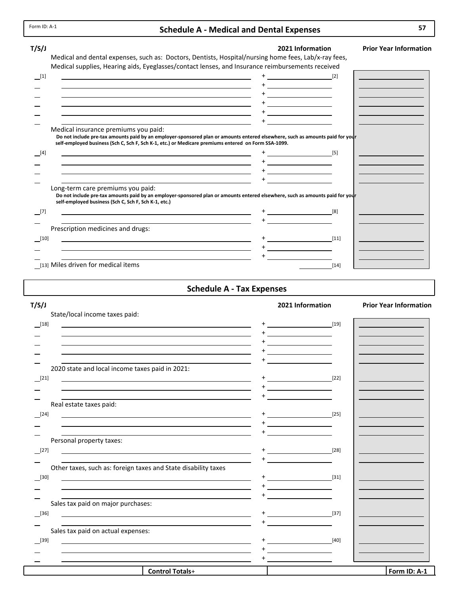## **Schedule A ‐ Medical and Dental Expenses**

| T/S/J                                                                                                                                                                                                                                | 2021 Information                                                                                                                                                                                                                                                               | <b>Prior Year Information</b> |
|--------------------------------------------------------------------------------------------------------------------------------------------------------------------------------------------------------------------------------------|--------------------------------------------------------------------------------------------------------------------------------------------------------------------------------------------------------------------------------------------------------------------------------|-------------------------------|
| Medical and dental expenses, such as: Doctors, Dentists, Hospital/nursing home fees, Lab/x-ray fees,<br>Medical supplies, Hearing aids, Eyeglasses/contact lenses, and Insurance reimbursements received                             |                                                                                                                                                                                                                                                                                |                               |
| [1]                                                                                                                                                                                                                                  |                                                                                                                                                                                                                                                                                |                               |
|                                                                                                                                                                                                                                      |                                                                                                                                                                                                                                                                                |                               |
|                                                                                                                                                                                                                                      |                                                                                                                                                                                                                                                                                |                               |
|                                                                                                                                                                                                                                      |                                                                                                                                                                                                                                                                                |                               |
|                                                                                                                                                                                                                                      |                                                                                                                                                                                                                                                                                |                               |
| Medical insurance premiums you paid:                                                                                                                                                                                                 |                                                                                                                                                                                                                                                                                |                               |
| Do not include pre-tax amounts paid by an employer-sponsored plan or amounts entered elsewhere, such as amounts paid for your<br>self-employed business (Sch C, Sch F, Sch K-1, etc.) or Medicare premiums entered on Form SSA-1099. |                                                                                                                                                                                                                                                                                |                               |
| [4]<br>and the control of the control of the control of the control of the control of the control of the control of the                                                                                                              | $\sim$ 1.0 $\sim$ 1.0 $\sim$ 1.0 $\sim$ 1.1 $\sim$ 1.1 $\sim$ 1.1 $\sim$ 1.1 $\sim$ 1.1 $\sim$ 1.1 $\sim$ 1.1 $\sim$ 1.1 $\sim$ 1.1 $\sim$ 1.1 $\sim$ 1.1 $\sim$ 1.1 $\sim$ 1.1 $\sim$ 1.1 $\sim$ 1.1 $\sim$ 1.1 $\sim$ 1.1 $\sim$ 1.1 $\sim$ 1.1 $\sim$ 1.1 $\sim$ 1.1 $\sim$ |                               |
|                                                                                                                                                                                                                                      |                                                                                                                                                                                                                                                                                |                               |
|                                                                                                                                                                                                                                      |                                                                                                                                                                                                                                                                                |                               |
| Long-term care premiums you paid:                                                                                                                                                                                                    |                                                                                                                                                                                                                                                                                |                               |
| Do not include pre-tax amounts paid by an employer-sponsored plan or amounts entered elsewhere, such as amounts paid for your<br>self-employed business (Sch C, Sch F, Sch K-1, etc.)                                                |                                                                                                                                                                                                                                                                                |                               |
| [7]                                                                                                                                                                                                                                  | [8]                                                                                                                                                                                                                                                                            |                               |
| Prescription medicines and drugs:                                                                                                                                                                                                    |                                                                                                                                                                                                                                                                                |                               |
| [10]                                                                                                                                                                                                                                 | $[11]$                                                                                                                                                                                                                                                                         |                               |
|                                                                                                                                                                                                                                      |                                                                                                                                                                                                                                                                                |                               |
|                                                                                                                                                                                                                                      |                                                                                                                                                                                                                                                                                |                               |
| [13] Miles driven for medical items                                                                                                                                                                                                  | $[14]$                                                                                                                                                                                                                                                                         |                               |

**Schedule A ‐ Tax Expenses**

| T/S/J                                                                                                                                                                                                                         | 2021 Information                                                 | <b>Prior Year Information</b> |
|-------------------------------------------------------------------------------------------------------------------------------------------------------------------------------------------------------------------------------|------------------------------------------------------------------|-------------------------------|
| State/local income taxes paid:                                                                                                                                                                                                |                                                                  |                               |
| $-$ [18]                                                                                                                                                                                                                      | $\begin{bmatrix} \begin{bmatrix} 19 \end{bmatrix} \end{bmatrix}$ |                               |
| <u> 1980 - Jan Samuel Barbara, martin de la populación de la propia de la propia de la propia de la propia de la</u>                                                                                                          |                                                                  |                               |
| the control of the control of the control of the control of the control of the control of the control of the control of the control of the control of the control of the control of the control of the control of the control |                                                                  |                               |
|                                                                                                                                                                                                                               |                                                                  |                               |
|                                                                                                                                                                                                                               |                                                                  |                               |
| 2020 state and local income taxes paid in 2021:                                                                                                                                                                               |                                                                  |                               |
| $[21]$                                                                                                                                                                                                                        | $\sim$ [22]                                                      |                               |
|                                                                                                                                                                                                                               | the control of the control of the                                |                               |
| Real estate taxes paid:                                                                                                                                                                                                       |                                                                  |                               |
| $[24]$                                                                                                                                                                                                                        |                                                                  |                               |
| <u> Alexandria de la contrada de la contrada de la contrada de la contrada de la contrada de la contrada de la c</u>                                                                                                          |                                                                  |                               |
|                                                                                                                                                                                                                               |                                                                  |                               |
| Personal property taxes:                                                                                                                                                                                                      |                                                                  |                               |
| $[27]$                                                                                                                                                                                                                        |                                                                  |                               |
|                                                                                                                                                                                                                               |                                                                  |                               |
| Other taxes, such as: foreign taxes and State disability taxes                                                                                                                                                                |                                                                  |                               |
| $[30]$<br><u> 1989 - Johann Stein, marwolaethau a bhann an t-Amhair an t-Amhair an t-Amhair an t-Amhair an t-Amhair an t-A</u>                                                                                                | [31]                                                             |                               |
| the control of the control of the control of the control of the control of the control of the control of the control of the control of the control of the control of the control of the control of the control of the control | <u> 1989 - Johann Barn, amerikansk politiker (</u>               |                               |
|                                                                                                                                                                                                                               |                                                                  |                               |
| Sales tax paid on major purchases:                                                                                                                                                                                            |                                                                  |                               |
| $[36]$                                                                                                                                                                                                                        | $+\underline{\hspace{1.5cm}} \hspace{1.5cm} [37]$                |                               |
|                                                                                                                                                                                                                               |                                                                  |                               |
| Sales tax paid on actual expenses:                                                                                                                                                                                            |                                                                  |                               |
| $[39]$<br><u> 1989 - Johann Stoff, deutscher Stoffen und der Stoffen und der Stoffen und der Stoffen und der Stoffen und der</u>                                                                                              | $[40]$                                                           |                               |
| and the control of the control of the control of the control of the control of the control of the control of the                                                                                                              |                                                                  |                               |
|                                                                                                                                                                                                                               |                                                                  |                               |
| <b>Control Totals+</b>                                                                                                                                                                                                        |                                                                  | Form ID: A-1                  |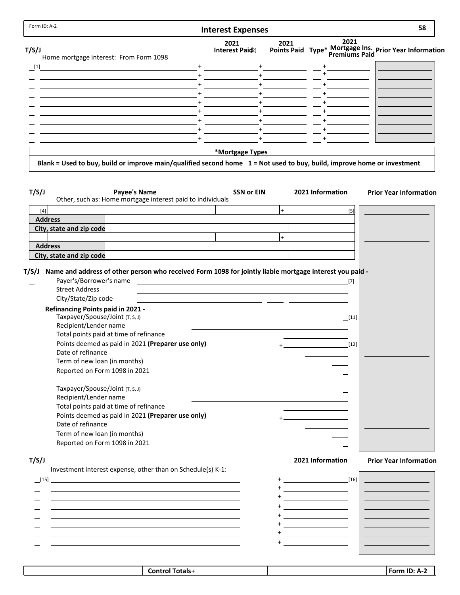| Form ID: A-2                                                                                                                                                                                                                                                             | <b>Interest Expenses</b>                                                                                              |          |                                                                                                                       | 58                                                     |
|--------------------------------------------------------------------------------------------------------------------------------------------------------------------------------------------------------------------------------------------------------------------------|-----------------------------------------------------------------------------------------------------------------------|----------|-----------------------------------------------------------------------------------------------------------------------|--------------------------------------------------------|
|                                                                                                                                                                                                                                                                          | 2021                                                                                                                  | 2021     | 2021                                                                                                                  |                                                        |
| T/S/J<br>Home mortgage interest: From Form 1098                                                                                                                                                                                                                          | Interest Paid2]                                                                                                       |          |                                                                                                                       | Points Paid Type* Mortgage Ins. Prior Year Information |
| $\boxed{1}$                                                                                                                                                                                                                                                              |                                                                                                                       |          |                                                                                                                       |                                                        |
|                                                                                                                                                                                                                                                                          |                                                                                                                       |          |                                                                                                                       |                                                        |
|                                                                                                                                                                                                                                                                          |                                                                                                                       | $+$ $ -$ |                                                                                                                       |                                                        |
|                                                                                                                                                                                                                                                                          |                                                                                                                       |          |                                                                                                                       |                                                        |
| <u> 1989 - Johann Barn, amerikan personal (</u>                                                                                                                                                                                                                          |                                                                                                                       |          |                                                                                                                       |                                                        |
|                                                                                                                                                                                                                                                                          | $+$                                                                                                                   |          |                                                                                                                       |                                                        |
|                                                                                                                                                                                                                                                                          | $+$                                                                                                                   |          |                                                                                                                       |                                                        |
| <u> 1980 - Johann Barn, amerikan personal (h. 1980).</u>                                                                                                                                                                                                                 | $+$                                                                                                                   |          |                                                                                                                       |                                                        |
|                                                                                                                                                                                                                                                                          |                                                                                                                       |          |                                                                                                                       |                                                        |
|                                                                                                                                                                                                                                                                          |                                                                                                                       |          |                                                                                                                       |                                                        |
| Blank = Used to buy, build or improve main/qualified second home 1 = Not used to buy, build, improve home or investment                                                                                                                                                  | *Mortgage Types                                                                                                       |          |                                                                                                                       |                                                        |
|                                                                                                                                                                                                                                                                          |                                                                                                                       |          |                                                                                                                       |                                                        |
| T/S/J<br><b>Payee's Name</b><br>Other, such as: Home mortgage interest paid to individuals                                                                                                                                                                               | <b>SSN or EIN</b>                                                                                                     |          | 2021 Information                                                                                                      | <b>Prior Year Information</b>                          |
| $[4]$                                                                                                                                                                                                                                                                    |                                                                                                                       | $+$      | $[5]$                                                                                                                 |                                                        |
| <b>Address</b>                                                                                                                                                                                                                                                           |                                                                                                                       |          |                                                                                                                       |                                                        |
| City, state and zip code                                                                                                                                                                                                                                                 |                                                                                                                       |          |                                                                                                                       |                                                        |
| <b>Address</b>                                                                                                                                                                                                                                                           |                                                                                                                       | $+$      |                                                                                                                       |                                                        |
|                                                                                                                                                                                                                                                                          |                                                                                                                       |          |                                                                                                                       |                                                        |
| City, state and zip code                                                                                                                                                                                                                                                 |                                                                                                                       |          |                                                                                                                       |                                                        |
| <b>Street Address</b><br>City/State/Zip code<br><b>Refinancing Points paid in 2021 -</b><br>Taxpayer/Spouse/Joint (T, S, J)<br>Recipient/Lender name<br>Total points paid at time of refinance<br>Points deemed as paid in 2021 (Preparer use only)<br>Date of refinance | <u> 1980 - Jan Jan Jawa Barat, pangangan pada 1991 - Pangangan Barat, pangangan pangangan pangangan pangangan pan</u> |          | $\boxed{11}$<br>$[12]$                                                                                                |                                                        |
| Term of new loan (in months)                                                                                                                                                                                                                                             |                                                                                                                       |          |                                                                                                                       |                                                        |
| Reported on Form 1098 in 2021                                                                                                                                                                                                                                            |                                                                                                                       |          |                                                                                                                       |                                                        |
|                                                                                                                                                                                                                                                                          |                                                                                                                       |          |                                                                                                                       |                                                        |
| Taxpayer/Spouse/Joint (T, S, J)                                                                                                                                                                                                                                          |                                                                                                                       |          |                                                                                                                       |                                                        |
| Recipient/Lender name                                                                                                                                                                                                                                                    |                                                                                                                       |          |                                                                                                                       |                                                        |
| Total points paid at time of refinance                                                                                                                                                                                                                                   |                                                                                                                       |          |                                                                                                                       |                                                        |
| Points deemed as paid in 2021 (Preparer use only)                                                                                                                                                                                                                        |                                                                                                                       |          |                                                                                                                       |                                                        |
|                                                                                                                                                                                                                                                                          |                                                                                                                       |          |                                                                                                                       |                                                        |
| Date of refinance                                                                                                                                                                                                                                                        |                                                                                                                       |          |                                                                                                                       |                                                        |
|                                                                                                                                                                                                                                                                          |                                                                                                                       |          |                                                                                                                       |                                                        |
| Term of new loan (in months)                                                                                                                                                                                                                                             |                                                                                                                       |          |                                                                                                                       |                                                        |
| Reported on Form 1098 in 2021                                                                                                                                                                                                                                            |                                                                                                                       |          |                                                                                                                       |                                                        |
|                                                                                                                                                                                                                                                                          |                                                                                                                       |          |                                                                                                                       |                                                        |
|                                                                                                                                                                                                                                                                          |                                                                                                                       |          | 2021 Information                                                                                                      |                                                        |
| Investment interest expense, other than on Schedule(s) K-1:                                                                                                                                                                                                              |                                                                                                                       |          |                                                                                                                       |                                                        |
|                                                                                                                                                                                                                                                                          |                                                                                                                       |          |                                                                                                                       |                                                        |
|                                                                                                                                                                                                                                                                          |                                                                                                                       |          |                                                                                                                       |                                                        |
|                                                                                                                                                                                                                                                                          |                                                                                                                       |          | <u> 1990 - Johann Barbara, martin a</u>                                                                               | <b>Prior Year Information</b>                          |
| T/S/J                                                                                                                                                                                                                                                                    |                                                                                                                       |          | <u> 1989 - Johann Barn, mars and de Branch Barn, mars and de Branch Barn, mars and de Branch Barn, mars and de Br</u> |                                                        |
|                                                                                                                                                                                                                                                                          |                                                                                                                       |          | <u> 1989 - Johann Barbara, martin a</u>                                                                               |                                                        |
|                                                                                                                                                                                                                                                                          |                                                                                                                       |          | <u> 1989 - Johann Barbara, martin a</u>                                                                               |                                                        |
|                                                                                                                                                                                                                                                                          |                                                                                                                       |          | <u> 1990 - Johann Barbara, martin a</u>                                                                               |                                                        |

| חו<br><b>FOLL</b><br>iotals<br>`ontro<br>71<br><br>. |  |  |
|------------------------------------------------------|--|--|
|                                                      |  |  |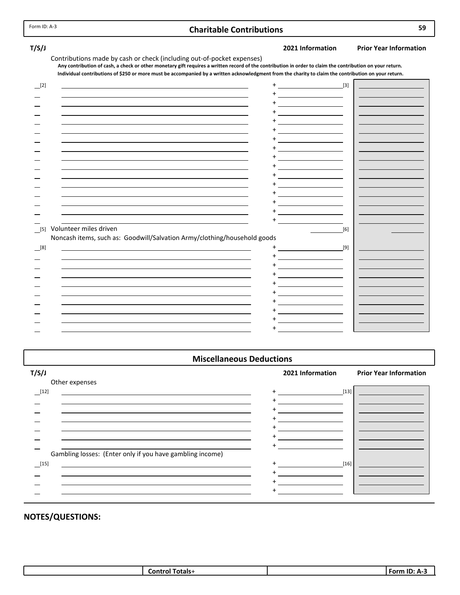## **Charitable Contributions 59**

**T/S/J 2021 Information Prior Year Information**

| Contributions made by cash or check (including out-of-pocket expenses)                                                                                    |  |
|-----------------------------------------------------------------------------------------------------------------------------------------------------------|--|
| Any contribution of cash, a check or other monetary gift requires a written record of the contribution in order to claim the contribution on your return. |  |
| Individual contributions of \$250 or more must be accompanied by a written acknowledgment from the charity to claim the contribution on your return.      |  |

| [2]                                                                      | $[3]$ |  |
|--------------------------------------------------------------------------|-------|--|
|                                                                          |       |  |
|                                                                          |       |  |
|                                                                          |       |  |
|                                                                          |       |  |
|                                                                          |       |  |
|                                                                          |       |  |
|                                                                          |       |  |
|                                                                          |       |  |
|                                                                          |       |  |
|                                                                          |       |  |
|                                                                          |       |  |
| Volunteer miles driven<br>$[5]$                                          | $[6]$ |  |
| Noncash items, such as: Goodwill/Salvation Army/clothing/household goods |       |  |
| $^{[8]}$                                                                 | [9]   |  |
|                                                                          |       |  |
|                                                                          |       |  |
|                                                                          |       |  |
|                                                                          |       |  |
|                                                                          |       |  |
|                                                                          |       |  |

## **Miscellaneous Deductions**

| T/S/J                                                     | 2021 Information | <b>Prior Year Information</b> |
|-----------------------------------------------------------|------------------|-------------------------------|
| Other expenses                                            |                  |                               |
| [12]                                                      | $[13]$<br>$+$    |                               |
|                                                           |                  |                               |
|                                                           |                  |                               |
|                                                           |                  |                               |
|                                                           |                  |                               |
|                                                           |                  |                               |
|                                                           |                  |                               |
| Gambling losses: (Enter only if you have gambling income) |                  |                               |
| $[15]$                                                    | $[16]$           |                               |
|                                                           |                  |                               |
|                                                           |                  |                               |
|                                                           |                  |                               |
|                                                           |                  |                               |

| nntr<br>. | .<br>$. For-$ |
|-----------|---------------|
|           |               |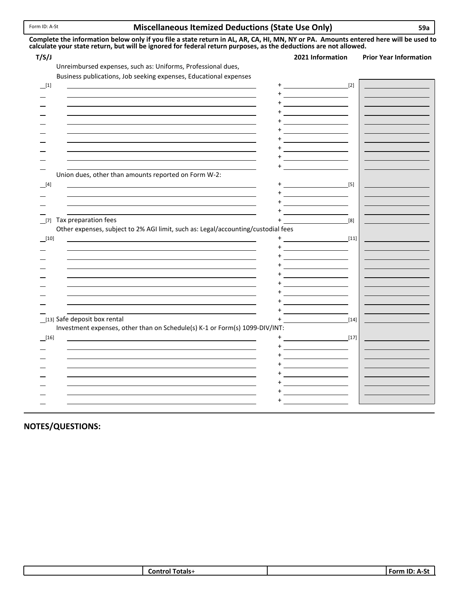#### **Miscellaneous Itemized Deductions (State Use Only) 59a** Form ID: <sup>A</sup>‐St

| T/S/J                                                                                                                | 2021 Information<br><b>Prior Year Information</b>                                                                    |
|----------------------------------------------------------------------------------------------------------------------|----------------------------------------------------------------------------------------------------------------------|
| Unreimbursed expenses, such as: Uniforms, Professional dues,                                                         |                                                                                                                      |
| Business publications, Job seeking expenses, Educational expenses                                                    |                                                                                                                      |
|                                                                                                                      | $[2]$                                                                                                                |
| <u> 1989 - Johann Barn, amerikansk politiker (d. 1989)</u>                                                           |                                                                                                                      |
|                                                                                                                      |                                                                                                                      |
|                                                                                                                      |                                                                                                                      |
|                                                                                                                      |                                                                                                                      |
| <u> 1989 - Johann Barbara, martin amerikan basar dan berasal dalam basa dan berasal dalam basa dalam basa dalam </u> | <u> 1989 - Johann Barnett, fransk konge</u>                                                                          |
| <u> 1989 - Johann Barn, amerikansk politiker (d. 1989)</u>                                                           |                                                                                                                      |
|                                                                                                                      |                                                                                                                      |
|                                                                                                                      |                                                                                                                      |
|                                                                                                                      |                                                                                                                      |
| Union dues, other than amounts reported on Form W-2:                                                                 |                                                                                                                      |
| <u> 1989 - Johann Barn, amerikansk politiker (d. 1989)</u>                                                           |                                                                                                                      |
|                                                                                                                      | <u> 1989 - Johann Barnett, fransk konge</u>                                                                          |
|                                                                                                                      |                                                                                                                      |
| [7] Tax preparation fees                                                                                             |                                                                                                                      |
| Other expenses, subject to 2% AGI limit, such as: Legal/accounting/custodial fees                                    | [8]                                                                                                                  |
|                                                                                                                      |                                                                                                                      |
| [10]                                                                                                                 |                                                                                                                      |
|                                                                                                                      |                                                                                                                      |
|                                                                                                                      | <u>+ ___________________</u>                                                                                         |
|                                                                                                                      |                                                                                                                      |
| <u> 1989 - Andrea Barbara, Amerikaansk politiker (d. 1989)</u>                                                       | <u> 1989 - Johann Barn, mars eta bainar eta idazlea (</u>                                                            |
|                                                                                                                      |                                                                                                                      |
|                                                                                                                      |                                                                                                                      |
|                                                                                                                      |                                                                                                                      |
| [13] Safe deposit box rental                                                                                         | $[14]$                                                                                                               |
| Investment expenses, other than on Schedule(s) K-1 or Form(s) 1099-DIV/INT:                                          |                                                                                                                      |
| $\boxed{16}$                                                                                                         | $\begin{bmatrix} 17 \end{bmatrix}$                                                                                   |
|                                                                                                                      |                                                                                                                      |
|                                                                                                                      |                                                                                                                      |
|                                                                                                                      | <u> 1980 - Johann Barn, mars ar breithinn ar breithinn ar breithinn ar breithinn ar breithinn ar breithinn ar br</u> |
| <u> 1989 - Johann Barn, amerikansk politiker (d. 1989)</u>                                                           |                                                                                                                      |
|                                                                                                                      | <u> 1990 - Johann Barbara, martin a</u>                                                                              |

## **NOTES/QUESTIONS:**

| $\sim$<br>⊺otals∙<br>:oni | $\sim$<br>$-0r$ $-$<br>m<br>. . |
|---------------------------|---------------------------------|
|                           |                                 |